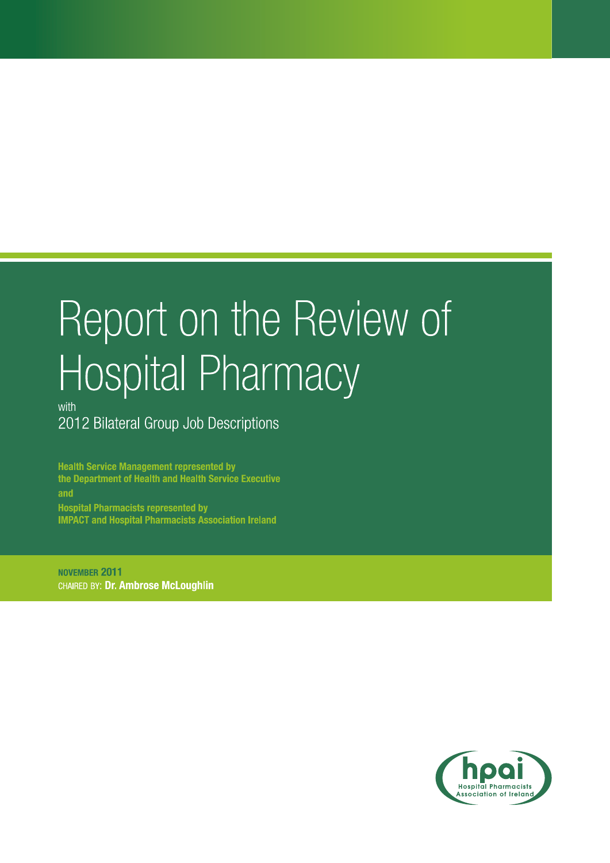# Report on the Review of Hospital Pharmacy

with 2012 Bilateral Group Job Descriptions

**Health Service Management represented by** the Department of Health and Health Service Executive and **Hospital Pharmacists represented by IMPACT and Hospital Pharmacists Association Ireland** 

NOVEMBER 2011 CHAIRED BY: Dr. Ambrose McLoughlin

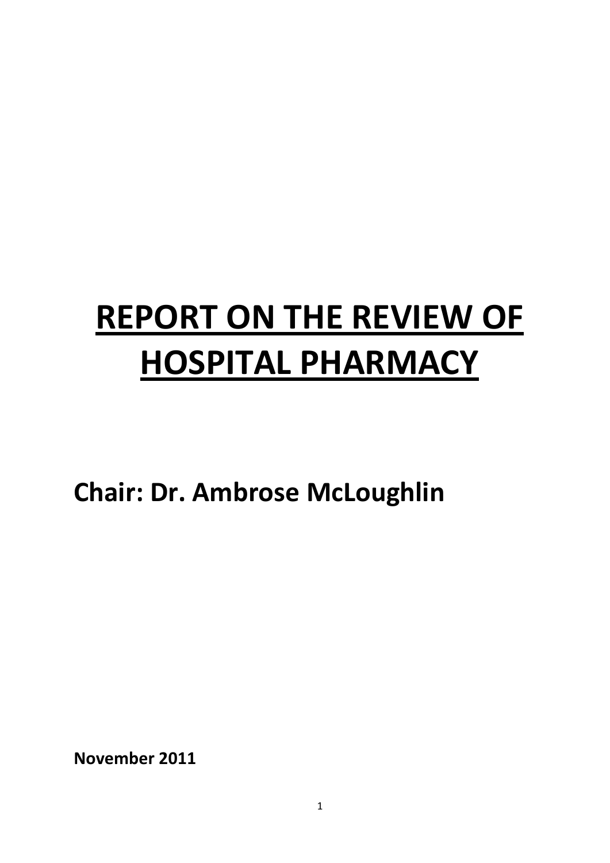# **REPORT ON THE REVIEW OF HOSPITAL PHARMACY**

**Chair: Dr. Ambrose McLoughlin**

<span id="page-2-0"></span>**November 2011**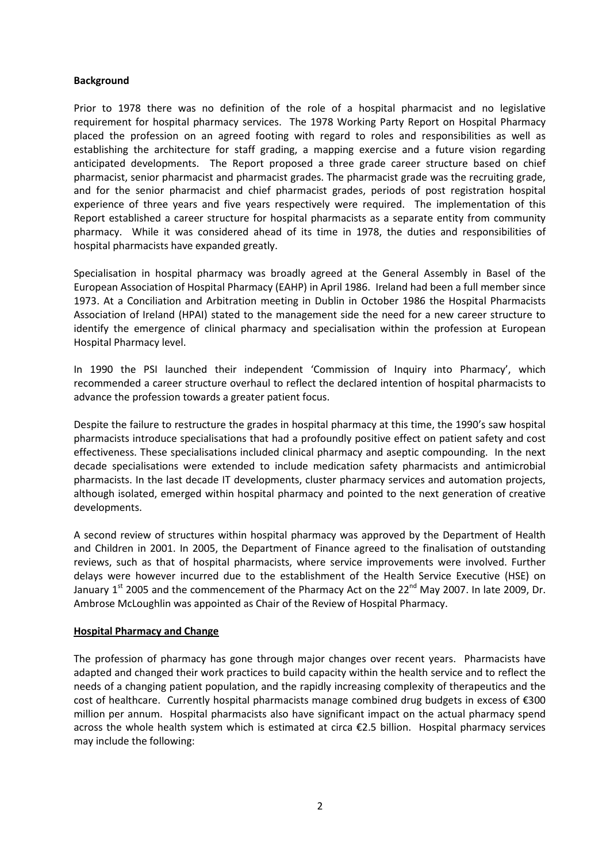#### **Background**

Prior to 1978 there was no definition of the role of a hospital pharmacist and no legislative requirement for hospital pharmacy services. The 1978 Working Party Report on Hospital Pharmacy placed the profession on an agreed footing with regard to roles and responsibilities as well as establishing the architecture for staff grading, a mapping exercise and a future vision regarding anticipated developments. The Report proposed a three grade career structure based on chief pharmacist, senior pharmacist and pharmacist grades. The pharmacist grade was the recruiting grade, and for the senior pharmacist and chief pharmacist grades, periods of post registration hospital experience of three years and five years respectively were required. The implementation of this Report established a career structure for hospital pharmacists as a separate entity from community pharmacy. While it was considered ahead of its time in 1978, the duties and responsibilities of hospital pharmacists have expanded greatly.

Specialisation in hospital pharmacy was broadly agreed at the General Assembly in Basel of the European Association of Hospital Pharmacy (EAHP) in April 1986. Ireland had been a full member since 1973. At a Conciliation and Arbitration meeting in Dublin in October 1986 the Hospital Pharmacists Association of Ireland (HPAI) stated to the management side the need for a new career structure to identify the emergence of clinical pharmacy and specialisation within the profession at European Hospital Pharmacy level.

In 1990 the PSI launched their independent 'Commission of Inquiry into Pharmacy', which recommended a career structure overhaul to reflect the declared intention of hospital pharmacists to advance the profession towards a greater patient focus.

Despite the failure to restructure the grades in hospital pharmacy at this time, the 1990's saw hospital pharmacists introduce specialisations that had a profoundly positive effect on patient safety and cost effectiveness. These specialisations included clinical pharmacy and aseptic compounding. In the next decade specialisations were extended to include medication safety pharmacists and antimicrobial pharmacists. In the last decade IT developments, cluster pharmacy services and automation projects, although isolated, emerged within hospital pharmacy and pointed to the next generation of creative developments.

A second review of structures within hospital pharmacy was approved by the Department of Health and Children in 2001. In 2005, the Department of Finance agreed to the finalisation of outstanding reviews, such as that of hospital pharmacists, where service improvements were involved. Further delays were however incurred due to the establishment of the Health Service Executive (HSE) on January 1<sup>st</sup> 2005 and the commencement of the Pharmacy Act on the 22<sup>nd</sup> May 2007. In late 2009, Dr. Ambrose McLoughlin was appointed as Chair of the Review of Hospital Pharmacy.

# **Hospital Pharmacy and Change**

The profession of pharmacy has gone through major changes over recent years. Pharmacists have adapted and changed their work practices to build capacity within the health service and to reflect the needs of a changing patient population, and the rapidly increasing complexity of therapeutics and the cost of healthcare. Currently hospital pharmacists manage combined drug budgets in excess of €300 million per annum. Hospital pharmacists also have significant impact on the actual pharmacy spend across the whole health system which is estimated at circa €2.5 billion. Hospital pharmacy services may include the following: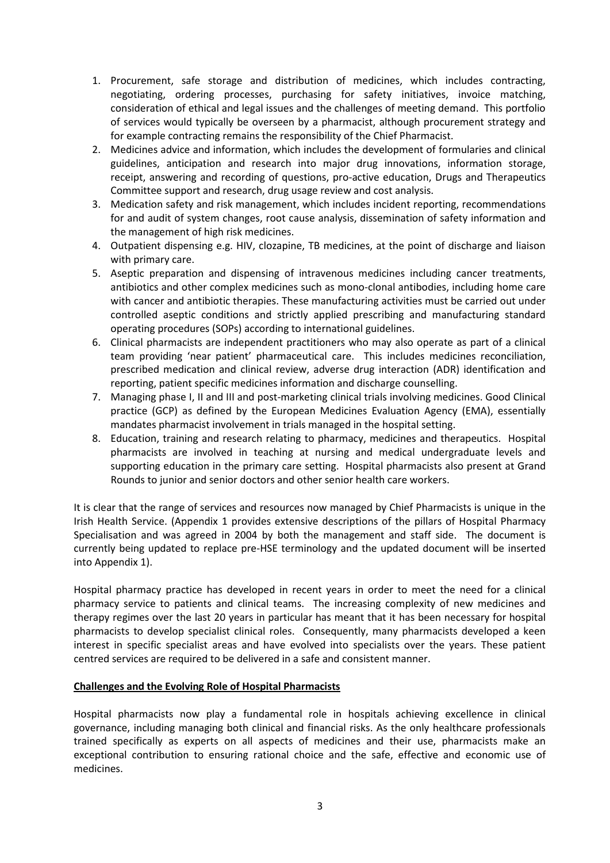- 1. Procurement, safe storage and distribution of medicines, which includes contracting, negotiating, ordering processes, purchasing for safety initiatives, invoice matching, consideration of ethical and legal issues and the challenges of meeting demand. This portfolio of services would typically be overseen by a pharmacist, although procurement strategy and for example contracting remains the responsibility of the Chief Pharmacist.
- 2. Medicines advice and information, which includes the development of formularies and clinical guidelines, anticipation and research into major drug innovations, information storage, receipt, answering and recording of questions, pro-active education, Drugs and Therapeutics Committee support and research, drug usage review and cost analysis.
- 3. Medication safety and risk management, which includes incident reporting, recommendations for and audit of system changes, root cause analysis, dissemination of safety information and the management of high risk medicines.
- 4. Outpatient dispensing e.g. HIV, clozapine, TB medicines, at the point of discharge and liaison with primary care.
- 5. Aseptic preparation and dispensing of intravenous medicines including cancer treatments, antibiotics and other complex medicines such as mono-clonal antibodies, including home care with cancer and antibiotic therapies. These manufacturing activities must be carried out under controlled aseptic conditions and strictly applied prescribing and manufacturing standard operating procedures (SOPs) according to international guidelines.
- 6. Clinical pharmacists are independent practitioners who may also operate as part of a clinical team providing 'near patient' pharmaceutical care. This includes medicines reconciliation, prescribed medication and clinical review, adverse drug interaction (ADR) identification and reporting, patient specific medicines information and discharge counselling.
- 7. Managing phase I, II and III and post-marketing clinical trials involving medicines. Good Clinical practice (GCP) as defined by the European Medicines Evaluation Agency (EMA), essentially mandates pharmacist involvement in trials managed in the hospital setting.
- 8. Education, training and research relating to pharmacy, medicines and therapeutics. Hospital pharmacists are involved in teaching at nursing and medical undergraduate levels and supporting education in the primary care setting. Hospital pharmacists also present at Grand Rounds to junior and senior doctors and other senior health care workers.

It is clear that the range of services and resources now managed by Chief Pharmacists is unique in the Irish Health Service. (Appendix 1 provides extensive descriptions of the pillars of Hospital Pharmacy Specialisation and was agreed in 2004 by both the management and staff side. The document is currently being updated to replace pre-HSE terminology and the updated document will be inserted into Appendix 1).

Hospital pharmacy practice has developed in recent years in order to meet the need for a clinical pharmacy service to patients and clinical teams. The increasing complexity of new medicines and therapy regimes over the last 20 years in particular has meant that it has been necessary for hospital pharmacists to develop specialist clinical roles. Consequently, many pharmacists developed a keen interest in specific specialist areas and have evolved into specialists over the years. These patient centred services are required to be delivered in a safe and consistent manner.

# **Challenges and the Evolving Role of Hospital Pharmacists**

Hospital pharmacists now play a fundamental role in hospitals achieving excellence in clinical governance, including managing both clinical and financial risks. As the only healthcare professionals trained specifically as experts on all aspects of medicines and their use, pharmacists make an exceptional contribution to ensuring rational choice and the safe, effective and economic use of medicines.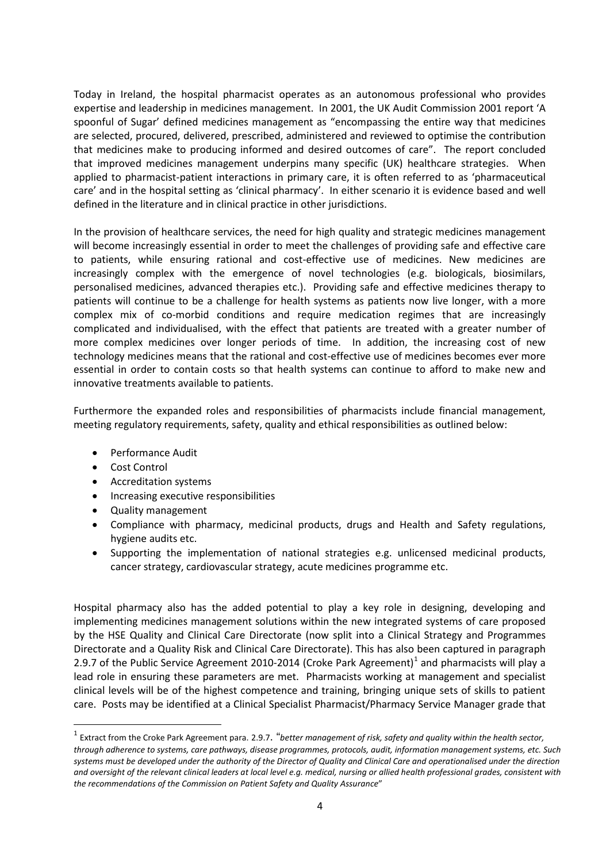Today in Ireland, the hospital pharmacist operates as an autonomous professional who provides expertise and leadership in medicines management. In 2001, the UK Audit Commission 2001 report 'A spoonful of Sugar' defined medicines management as "encompassing the entire way that medicines are selected, procured, delivered, prescribed, administered and reviewed to optimise the contribution that medicines make to producing informed and desired outcomes of care". The report concluded that improved medicines management underpins many specific (UK) healthcare strategies. When applied to pharmacist-patient interactions in primary care, it is often referred to as 'pharmaceutical care' and in the hospital setting as 'clinical pharmacy'. In either scenario it is evidence based and well defined in the literature and in clinical practice in other jurisdictions.

In the provision of healthcare services, the need for high quality and strategic medicines management will become increasingly essential in order to meet the challenges of providing safe and effective care to patients, while ensuring rational and cost-effective use of medicines. New medicines are increasingly complex with the emergence of novel technologies (e.g. biologicals, biosimilars, personalised medicines, advanced therapies etc.). Providing safe and effective medicines therapy to patients will continue to be a challenge for health systems as patients now live longer, with a more complex mix of co-morbid conditions and require medication regimes that are increasingly complicated and individualised, with the effect that patients are treated with a greater number of more complex medicines over longer periods of time. In addition, the increasing cost of new technology medicines means that the rational and cost-effective use of medicines becomes ever more essential in order to contain costs so that health systems can continue to afford to make new and innovative treatments available to patients.

Furthermore the expanded roles and responsibilities of pharmacists include financial management, meeting regulatory requirements, safety, quality and ethical responsibilities as outlined below:

- Performance Audit
- Cost Control
- Accreditation systems
- Increasing executive responsibilities
- Quality management
- Compliance with pharmacy, medicinal products, drugs and Health and Safety regulations, hygiene audits etc.
- Supporting the implementation of national strategies e.g. unlicensed medicinal products, cancer strategy, cardiovascular strategy, acute medicines programme etc.

Hospital pharmacy also has the added potential to play a key role in designing, developing and implementing medicines management solutions within the new integrated systems of care proposed by the HSE Quality and Clinical Care Directorate (now split into a Clinical Strategy and Programmes Directorate and a Quality Risk and Clinical Care Directorate). This has also been captured in paragraph 2.9.7 of the Public Service Agreement 20[1](#page-2-0)0-2014 (Croke Park Agreement)<sup>1</sup> and pharmacists will play a lead role in ensuring these parameters are met. Pharmacists working at management and specialist clinical levels will be of the highest competence and training, bringing unique sets of skills to patient care. Posts may be identified at a Clinical Specialist Pharmacist/Pharmacy Service Manager grade that

<span id="page-6-0"></span> <sup>1</sup> Extract from the Croke Park Agreement para. 2.9.7. "*better management of risk, safety and quality within the health sector, through adherence to systems, care pathways, disease programmes, protocols, audit, information management systems, etc. Such systems must be developed under the authority of the Director of Quality and Clinical Care and operationalised under the direction and oversight of the relevant clinical leaders at local level e.g. medical, nursing or allied health professional grades, consistent with the recommendations of the Commission on Patient Safety and Quality Assurance*"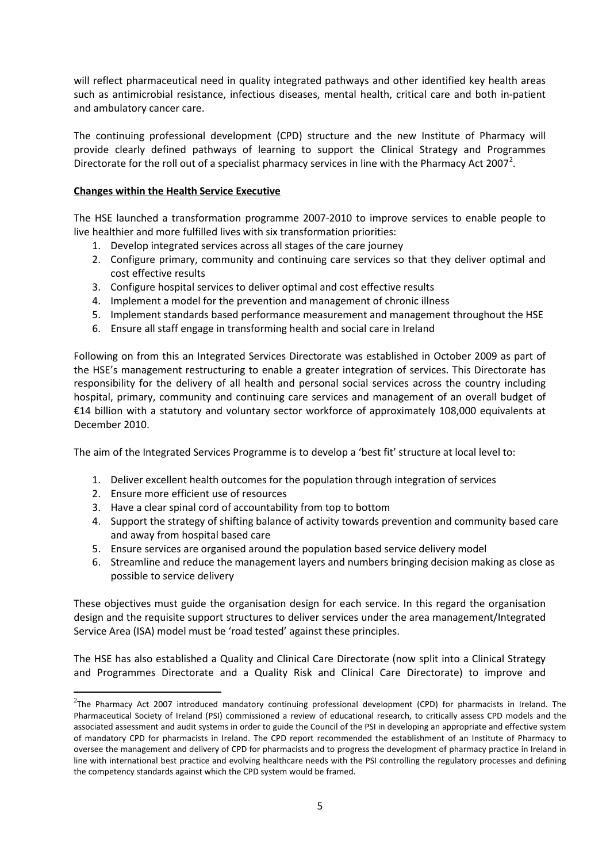will reflect pharmaceutical need in quality integrated pathways and other identified key health areas such as antimicrobial resistance, infectious diseases, mental health, critical care and both in-patient and ambulatory cancer care.

The continuing professional development (CPD) structure and the new Institute of Pharmacy will provide clearly defined pathways of learning to support the Clinical Strategy and Programmes Directorate for the roll out of a specialist pharmacy services in line with the Pharmacy Act [2](#page-6-0)007<sup>2</sup>.

# **Changes within the Health Service Executive**

The HSE launched a transformation programme 2007-2010 to improve services to enable people to live healthier and more fulfilled lives with six transformation priorities:

- 1. Develop integrated services across all stages of the care journey
- 2. Configure primary, community and continuing care services so that they deliver optimal and cost effective results
- 3. Configure hospital services to deliver optimal and cost effective results
- 4. Implement a model for the prevention and management of chronic illness
- 5. Implement standards based performance measurement and management throughout the HSE
- 6. Ensure all staff engage in transforming health and social care in Ireland

Following on from this an Integrated Services Directorate was established in October 2009 as part of the HSE's management restructuring to enable a greater integration of services. This Directorate has responsibility for the delivery of all health and personal social services across the country including hospital, primary, community and continuing care services and management of an overall budget of €14 billion with a statutory and voluntary sector workforce of approximately 108,000 equivalents at December 2010.

The aim of the Integrated Services Programme is to develop a 'best fit' structure at local level to:

- 1. Deliver excellent health outcomes for the population through integration of services
- 2. Ensure more efficient use of resources

**.** 

- 3. Have a clear spinal cord of accountability from top to bottom
- 4. Support the strategy of shifting balance of activity towards prevention and community based care and away from hospital based care
- 5. Ensure services are organised around the population based service delivery model
- 6. Streamline and reduce the management layers and numbers bringing decision making as close as possible to service delivery

These objectives must guide the organisation design for each service. In this regard the organisation design and the requisite support structures to deliver services under the area management/Integrated Service Area (ISA) model must be 'road tested' against these principles.

The HSE has also established a Quality and Clinical Care Directorate (now split into a Clinical Strategy and Programmes Directorate and a Quality Risk and Clinical Care Directorate) to improve and

<span id="page-7-0"></span> $^{2}$ The Pharmacy Act 2007 introduced mandatory continuing professional development (CPD) for pharmacists in Ireland. The Pharmaceutical Society of Ireland (PSI) commissioned a review of educational research, to critically assess CPD models and the associated assessment and audit systems in order to guide the Council of the PSI in developing an appropriate and effective system of mandatory CPD for pharmacists in Ireland. The CPD report recommended the establishment of an Institute of Pharmacy to oversee the management and delivery of CPD for pharmacists and to progress the development of pharmacy practice in Ireland in line with international best practice and evolving healthcare needs with the PSI controlling the regulatory processes and defining the competency standards against which the CPD system would be framed.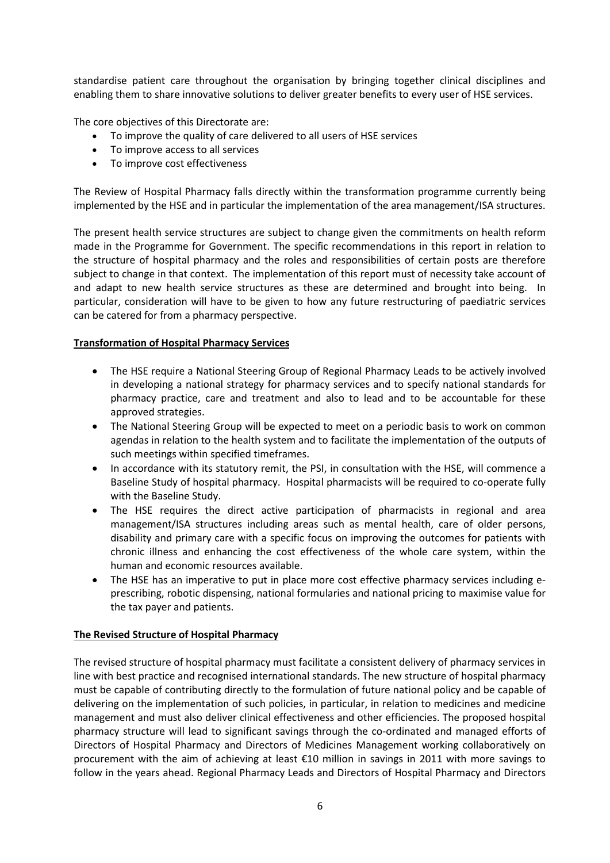standardise patient care throughout the organisation by bringing together clinical disciplines and enabling them to share innovative solutions to deliver greater benefits to every user of HSE services.

The core objectives of this Directorate are:

- To improve the quality of care delivered to all users of HSE services
- To improve access to all services
- To improve cost effectiveness

The Review of Hospital Pharmacy falls directly within the transformation programme currently being implemented by the HSE and in particular the implementation of the area management/ISA structures.

The present health service structures are subject to change given the commitments on health reform made in the Programme for Government. The specific recommendations in this report in relation to the structure of hospital pharmacy and the roles and responsibilities of certain posts are therefore subject to change in that context. The implementation of this report must of necessity take account of and adapt to new health service structures as these are determined and brought into being. In particular, consideration will have to be given to how any future restructuring of paediatric services can be catered for from a pharmacy perspective.

# **Transformation of Hospital Pharmacy Services**

- The HSE require a National Steering Group of Regional Pharmacy Leads to be actively involved in developing a national strategy for pharmacy services and to specify national standards for pharmacy practice, care and treatment and also to lead and to be accountable for these approved strategies.
- The National Steering Group will be expected to meet on a periodic basis to work on common agendas in relation to the health system and to facilitate the implementation of the outputs of such meetings within specified timeframes.
- In accordance with its statutory remit, the PSI, in consultation with the HSE, will commence a Baseline Study of hospital pharmacy. Hospital pharmacists will be required to co-operate fully with the Baseline Study.
- The HSE requires the direct active participation of pharmacists in regional and area management/ISA structures including areas such as mental health, care of older persons, disability and primary care with a specific focus on improving the outcomes for patients with chronic illness and enhancing the cost effectiveness of the whole care system, within the human and economic resources available.
- The HSE has an imperative to put in place more cost effective pharmacy services including eprescribing, robotic dispensing, national formularies and national pricing to maximise value for the tax payer and patients.

# **The Revised Structure of Hospital Pharmacy**

The revised structure of hospital pharmacy must facilitate a consistent delivery of pharmacy services in line with best practice and recognised international standards. The new structure of hospital pharmacy must be capable of contributing directly to the formulation of future national policy and be capable of delivering on the implementation of such policies, in particular, in relation to medicines and medicine management and must also deliver clinical effectiveness and other efficiencies. The proposed hospital pharmacy structure will lead to significant savings through the co-ordinated and managed efforts of Directors of Hospital Pharmacy and Directors of Medicines Management working collaboratively on procurement with the aim of achieving at least €10 million in savings in 2011 with more savings to follow in the years ahead. Regional Pharmacy Leads and Directors of Hospital Pharmacy and Directors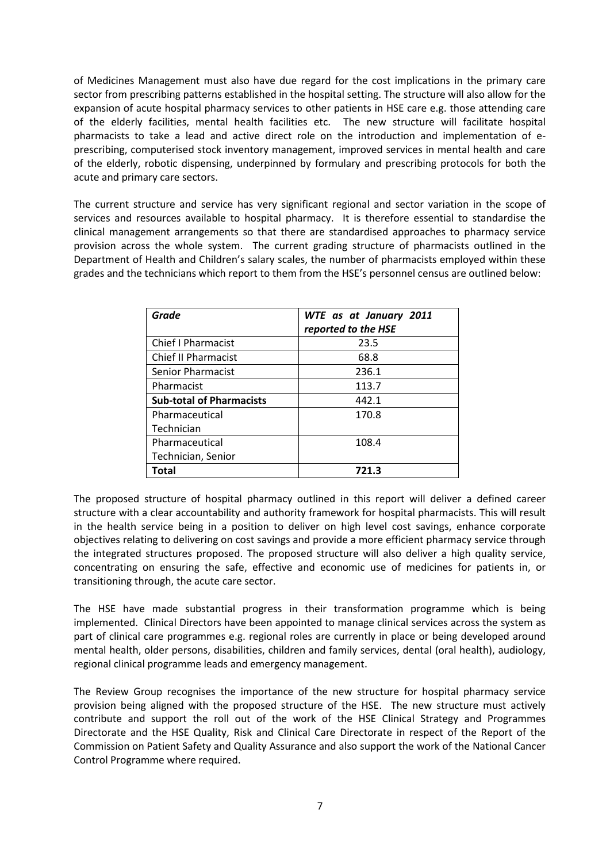of Medicines Management must also have due regard for the cost implications in the primary care sector from prescribing patterns established in the hospital setting. The structure will also allow for the expansion of acute hospital pharmacy services to other patients in HSE care e.g. those attending care of the elderly facilities, mental health facilities etc. The new structure will facilitate hospital pharmacists to take a lead and active direct role on the introduction and implementation of eprescribing, computerised stock inventory management, improved services in mental health and care of the elderly, robotic dispensing, underpinned by formulary and prescribing protocols for both the acute and primary care sectors.

The current structure and service has very significant regional and sector variation in the scope of services and resources available to hospital pharmacy. It is therefore essential to standardise the clinical management arrangements so that there are standardised approaches to pharmacy service provision across the whole system. The current grading structure of pharmacists outlined in the Department of Health and Children's salary scales, the number of pharmacists employed within these grades and the technicians which report to them from the HSE's personnel census are outlined below:

| <b>Grade</b>                    | WTE as at January 2011<br>reported to the HSE |
|---------------------------------|-----------------------------------------------|
| <b>Chief I Pharmacist</b>       | 23.5                                          |
| <b>Chief II Pharmacist</b>      | 68.8                                          |
| <b>Senior Pharmacist</b>        | 236.1                                         |
| Pharmacist                      | 113.7                                         |
| <b>Sub-total of Pharmacists</b> | 442.1                                         |
| Pharmaceutical                  | 170.8                                         |
| Technician                      |                                               |
| Pharmaceutical                  | 108.4                                         |
| Technician, Senior              |                                               |
| Total                           | 721.3                                         |

The proposed structure of hospital pharmacy outlined in this report will deliver a defined career structure with a clear accountability and authority framework for hospital pharmacists. This will result in the health service being in a position to deliver on high level cost savings, enhance corporate objectives relating to delivering on cost savings and provide a more efficient pharmacy service through the integrated structures proposed. The proposed structure will also deliver a high quality service, concentrating on ensuring the safe, effective and economic use of medicines for patients in, or transitioning through, the acute care sector.

The HSE have made substantial progress in their transformation programme which is being implemented. Clinical Directors have been appointed to manage clinical services across the system as part of clinical care programmes e.g. regional roles are currently in place or being developed around mental health, older persons, disabilities, children and family services, dental (oral health), audiology, regional clinical programme leads and emergency management.

The Review Group recognises the importance of the new structure for hospital pharmacy service provision being aligned with the proposed structure of the HSE. The new structure must actively contribute and support the roll out of the work of the HSE Clinical Strategy and Programmes Directorate and the HSE Quality, Risk and Clinical Care Directorate in respect of the Report of the Commission on Patient Safety and Quality Assurance and also support the work of the National Cancer Control Programme where required.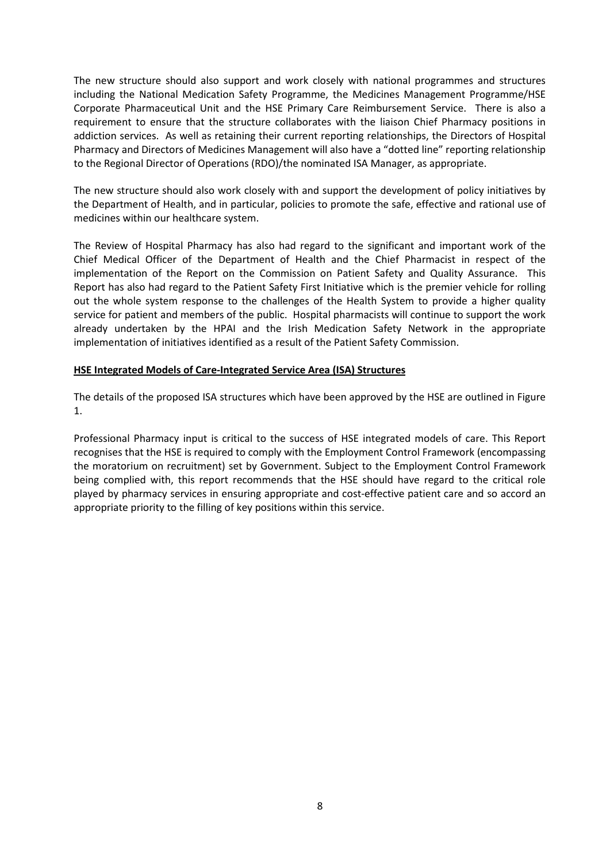The new structure should also support and work closely with national programmes and structures including the National Medication Safety Programme, the Medicines Management Programme/HSE Corporate Pharmaceutical Unit and the HSE Primary Care Reimbursement Service. There is also a requirement to ensure that the structure collaborates with the liaison Chief Pharmacy positions in addiction services. As well as retaining their current reporting relationships, the Directors of Hospital Pharmacy and Directors of Medicines Management will also have a "dotted line" reporting relationship to the Regional Director of Operations (RDO)/the nominated ISA Manager, as appropriate.

The new structure should also work closely with and support the development of policy initiatives by the Department of Health, and in particular, policies to promote the safe, effective and rational use of medicines within our healthcare system.

The Review of Hospital Pharmacy has also had regard to the significant and important work of the Chief Medical Officer of the Department of Health and the Chief Pharmacist in respect of the implementation of the Report on the Commission on Patient Safety and Quality Assurance. This Report has also had regard to the Patient Safety First Initiative which is the premier vehicle for rolling out the whole system response to the challenges of the Health System to provide a higher quality service for patient and members of the public. Hospital pharmacists will continue to support the work already undertaken by the HPAI and the Irish Medication Safety Network in the appropriate implementation of initiatives identified as a result of the Patient Safety Commission.

#### **HSE Integrated Models of Care-Integrated Service Area (ISA) Structures**

The details of the proposed ISA structures which have been approved by the HSE are outlined in Figure 1.

Professional Pharmacy input is critical to the success of HSE integrated models of care. This Report recognises that the HSE is required to comply with the Employment Control Framework (encompassing the moratorium on recruitment) set by Government. Subject to the Employment Control Framework being complied with, this report recommends that the HSE should have regard to the critical role played by pharmacy services in ensuring appropriate and cost-effective patient care and so accord an appropriate priority to the filling of key positions within this service.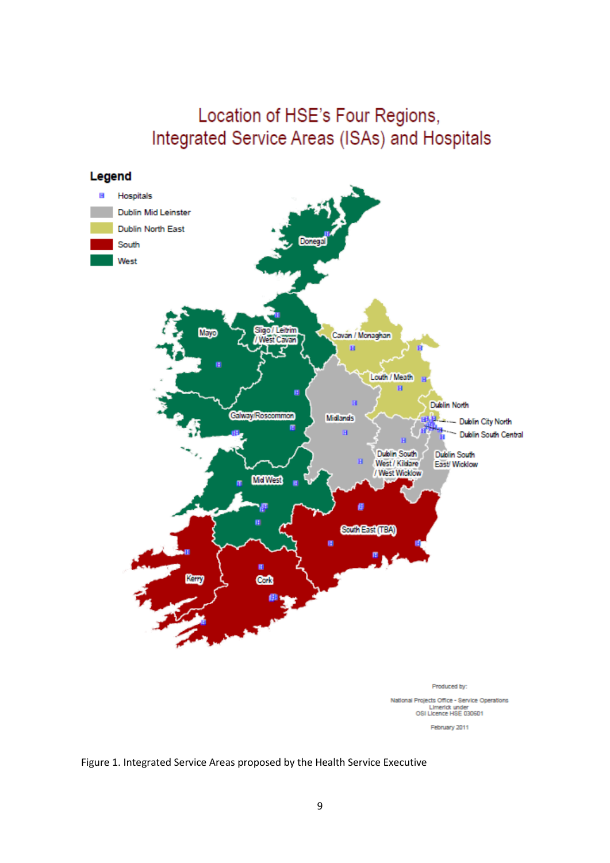# Location of HSE's Four Regions, Integrated Service Areas (ISAs) and Hospitals



National Projects Office - Service Operations Limerick under<br>OSI Licence HSE 030601

February 2011

# Figure 1. Integrated Service Areas proposed by the Health Service Executive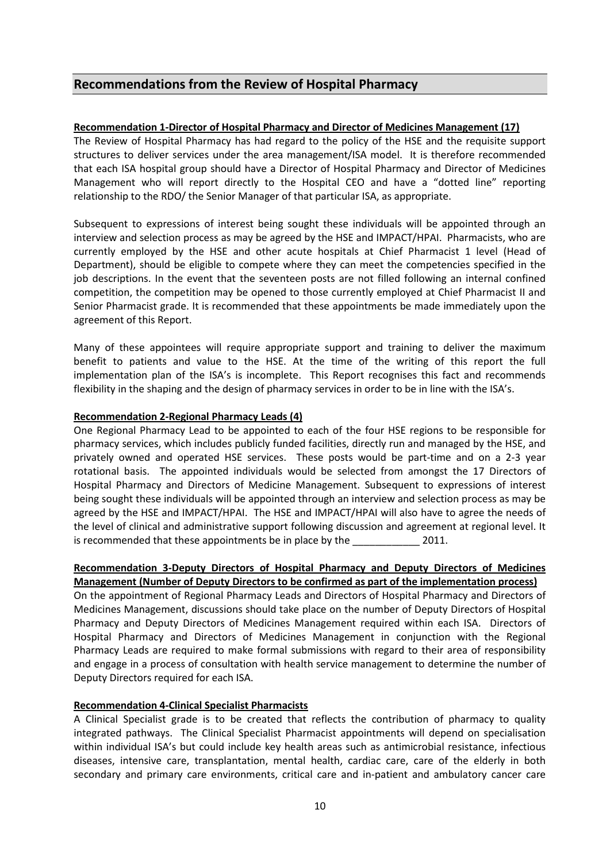# **Recommendations from the Review of Hospital Pharmacy**

# **Recommendation 1-Director of Hospital Pharmacy and Director of Medicines Management (17)**

The Review of Hospital Pharmacy has had regard to the policy of the HSE and the requisite support structures to deliver services under the area management/ISA model. It is therefore recommended that each ISA hospital group should have a Director of Hospital Pharmacy and Director of Medicines Management who will report directly to the Hospital CEO and have a "dotted line" reporting relationship to the RDO/ the Senior Manager of that particular ISA, as appropriate.

Subsequent to expressions of interest being sought these individuals will be appointed through an interview and selection process as may be agreed by the HSE and IMPACT/HPAI. Pharmacists, who are currently employed by the HSE and other acute hospitals at Chief Pharmacist 1 level (Head of Department), should be eligible to compete where they can meet the competencies specified in the job descriptions. In the event that the seventeen posts are not filled following an internal confined competition, the competition may be opened to those currently employed at Chief Pharmacist II and Senior Pharmacist grade. It is recommended that these appointments be made immediately upon the agreement of this Report.

Many of these appointees will require appropriate support and training to deliver the maximum benefit to patients and value to the HSE. At the time of the writing of this report the full implementation plan of the ISA's is incomplete. This Report recognises this fact and recommends flexibility in the shaping and the design of pharmacy services in order to be in line with the ISA's.

# **Recommendation 2-Regional Pharmacy Leads (4)**

One Regional Pharmacy Lead to be appointed to each of the four HSE regions to be responsible for pharmacy services, which includes publicly funded facilities, directly run and managed by the HSE, and privately owned and operated HSE services. These posts would be part-time and on a 2-3 year rotational basis. The appointed individuals would be selected from amongst the 17 Directors of Hospital Pharmacy and Directors of Medicine Management. Subsequent to expressions of interest being sought these individuals will be appointed through an interview and selection process as may be agreed by the HSE and IMPACT/HPAI. The HSE and IMPACT/HPAI will also have to agree the needs of the level of clinical and administrative support following discussion and agreement at regional level. It is recommended that these appointments be in place by the 2011.

# **Recommendation 3-Deputy Directors of Hospital Pharmacy and Deputy Directors of Medicines Management (Number of Deputy Directors to be confirmed as part of the implementation process)**

On the appointment of Regional Pharmacy Leads and Directors of Hospital Pharmacy and Directors of Medicines Management, discussions should take place on the number of Deputy Directors of Hospital Pharmacy and Deputy Directors of Medicines Management required within each ISA. Directors of Hospital Pharmacy and Directors of Medicines Management in conjunction with the Regional Pharmacy Leads are required to make formal submissions with regard to their area of responsibility and engage in a process of consultation with health service management to determine the number of Deputy Directors required for each ISA.

# **Recommendation 4-Clinical Specialist Pharmacists**

A Clinical Specialist grade is to be created that reflects the contribution of pharmacy to quality integrated pathways. The Clinical Specialist Pharmacist appointments will depend on specialisation within individual ISA's but could include key health areas such as antimicrobial resistance, infectious diseases, intensive care, transplantation, mental health, cardiac care, care of the elderly in both secondary and primary care environments, critical care and in-patient and ambulatory cancer care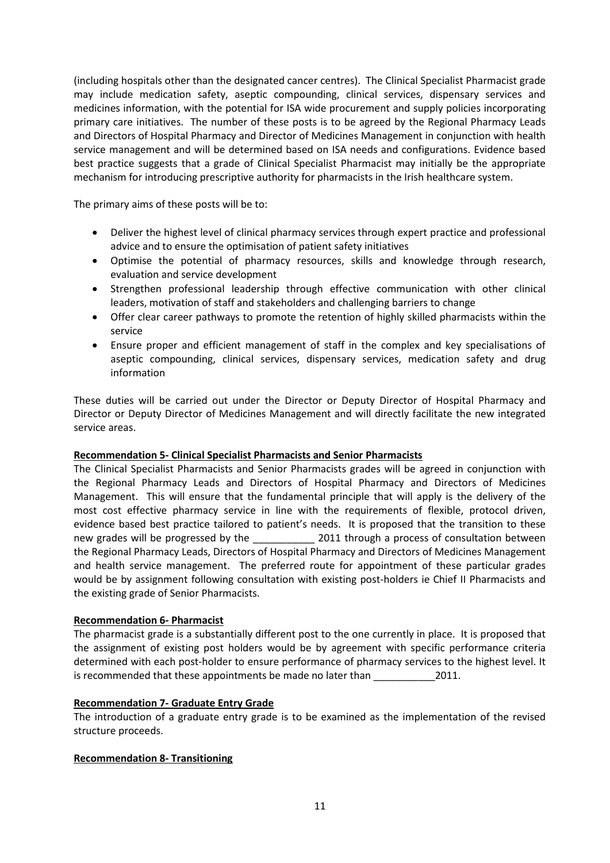(including hospitals other than the designated cancer centres). The Clinical Specialist Pharmacist grade may include medication safety, aseptic compounding, clinical services, dispensary services and medicines information, with the potential for ISA wide procurement and supply policies incorporating primary care initiatives. The number of these posts is to be agreed by the Regional Pharmacy Leads and Directors of Hospital Pharmacy and Director of Medicines Management in conjunction with health service management and will be determined based on ISA needs and configurations. Evidence based best practice suggests that a grade of Clinical Specialist Pharmacist may initially be the appropriate mechanism for introducing prescriptive authority for pharmacists in the Irish healthcare system.

The primary aims of these posts will be to:

- Deliver the highest level of clinical pharmacy services through expert practice and professional advice and to ensure the optimisation of patient safety initiatives
- Optimise the potential of pharmacy resources, skills and knowledge through research, evaluation and service development
- Strengthen professional leadership through effective communication with other clinical leaders, motivation of staff and stakeholders and challenging barriers to change
- Offer clear career pathways to promote the retention of highly skilled pharmacists within the service
- Ensure proper and efficient management of staff in the complex and key specialisations of aseptic compounding, clinical services, dispensary services, medication safety and drug information

These duties will be carried out under the Director or Deputy Director of Hospital Pharmacy and Director or Deputy Director of Medicines Management and will directly facilitate the new integrated service areas.

# **Recommendation 5- Clinical Specialist Pharmacists and Senior Pharmacists**

The Clinical Specialist Pharmacists and Senior Pharmacists grades will be agreed in conjunction with the Regional Pharmacy Leads and Directors of Hospital Pharmacy and Directors of Medicines Management. This will ensure that the fundamental principle that will apply is the delivery of the most cost effective pharmacy service in line with the requirements of flexible, protocol driven, evidence based best practice tailored to patient's needs. It is proposed that the transition to these new grades will be progressed by the \_\_\_\_\_\_\_\_\_\_\_\_\_\_ 2011 through a process of consultation between the Regional Pharmacy Leads, Directors of Hospital Pharmacy and Directors of Medicines Management and health service management. The preferred route for appointment of these particular grades would be by assignment following consultation with existing post-holders ie Chief II Pharmacists and the existing grade of Senior Pharmacists.

# **Recommendation 6- Pharmacist**

The pharmacist grade is a substantially different post to the one currently in place. It is proposed that the assignment of existing post holders would be by agreement with specific performance criteria determined with each post-holder to ensure performance of pharmacy services to the highest level. It is recommended that these appointments be made no later than 2011.

# **Recommendation 7- Graduate Entry Grade**

The introduction of a graduate entry grade is to be examined as the implementation of the revised structure proceeds.

# **Recommendation 8- Transitioning**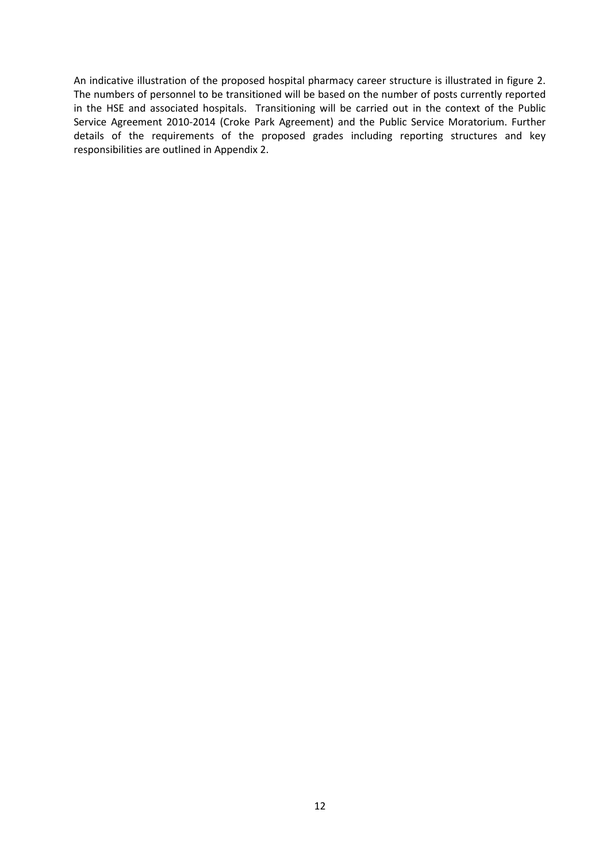An indicative illustration of the proposed hospital pharmacy career structure is illustrated in figure 2. The numbers of personnel to be transitioned will be based on the number of posts currently reported in the HSE and associated hospitals. Transitioning will be carried out in the context of the Public Service Agreement 2010-2014 (Croke Park Agreement) and the Public Service Moratorium. Further details of the requirements of the proposed grades including reporting structures and key responsibilities are outlined in Appendix 2.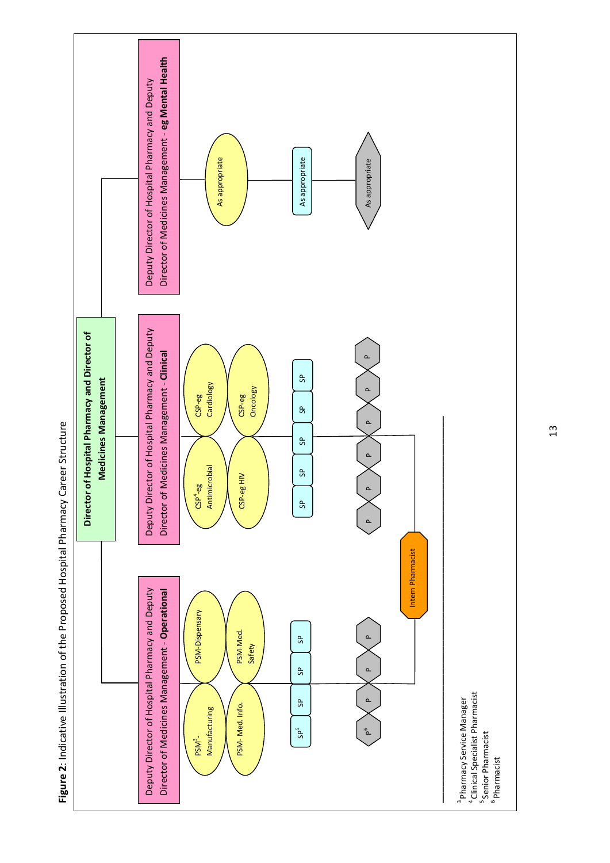

Figure 2: Indicative Illustration of the Proposed Hospital Pharmacy Career Structure **Figure 2**: Indicative Illustration of the Proposed Hospital Pharmacy Career Structure

13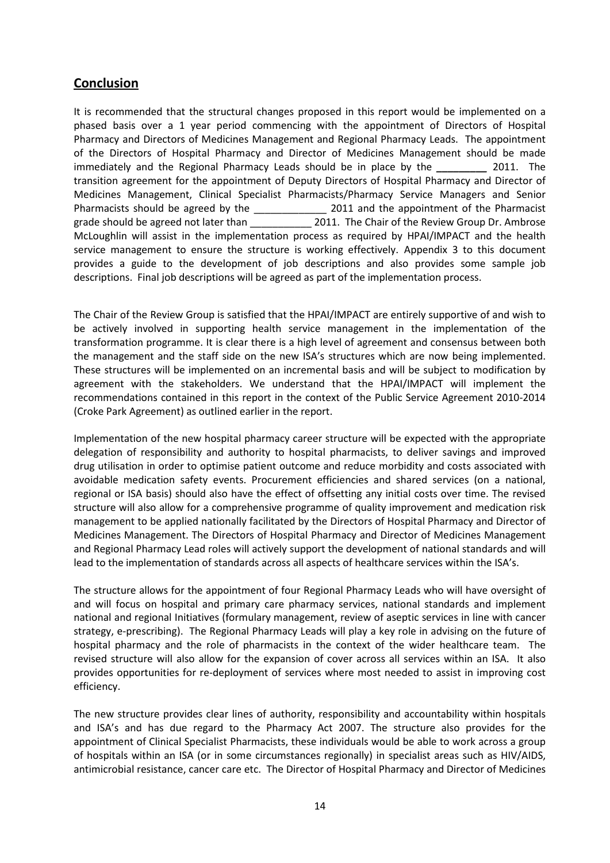# **Conclusion**

It is recommended that the structural changes proposed in this report would be implemented on a phased basis over a 1 year period commencing with the appointment of Directors of Hospital Pharmacy and Directors of Medicines Management and Regional Pharmacy Leads. The appointment of the Directors of Hospital Pharmacy and Director of Medicines Management should be made immediately and the Regional Pharmacy Leads should be in place by the *\_\_\_\_\_\_\_\_\_* 2011. The transition agreement for the appointment of Deputy Directors of Hospital Pharmacy and Director of Medicines Management, Clinical Specialist Pharmacists/Pharmacy Service Managers and Senior Pharmacists should be agreed by the 2011 and the appointment of the Pharmacist grade should be agreed not later than  $2011$ . The Chair of the Review Group Dr. Ambrose McLoughlin will assist in the implementation process as required by HPAI/IMPACT and the health service management to ensure the structure is working effectively. Appendix 3 to this document provides a guide to the development of job descriptions and also provides some sample job descriptions. Final job descriptions will be agreed as part of the implementation process.

The Chair of the Review Group is satisfied that the HPAI/IMPACT are entirely supportive of and wish to be actively involved in supporting health service management in the implementation of the transformation programme. It is clear there is a high level of agreement and consensus between both the management and the staff side on the new ISA's structures which are now being implemented. These structures will be implemented on an incremental basis and will be subject to modification by agreement with the stakeholders. We understand that the HPAI/IMPACT will implement the recommendations contained in this report in the context of the Public Service Agreement 2010-2014 (Croke Park Agreement) as outlined earlier in the report.

Implementation of the new hospital pharmacy career structure will be expected with the appropriate delegation of responsibility and authority to hospital pharmacists, to deliver savings and improved drug utilisation in order to optimise patient outcome and reduce morbidity and costs associated with avoidable medication safety events. Procurement efficiencies and shared services (on a national, regional or ISA basis) should also have the effect of offsetting any initial costs over time. The revised structure will also allow for a comprehensive programme of quality improvement and medication risk management to be applied nationally facilitated by the Directors of Hospital Pharmacy and Director of Medicines Management. The Directors of Hospital Pharmacy and Director of Medicines Management and Regional Pharmacy Lead roles will actively support the development of national standards and will lead to the implementation of standards across all aspects of healthcare services within the ISA's.

The structure allows for the appointment of four Regional Pharmacy Leads who will have oversight of and will focus on hospital and primary care pharmacy services, national standards and implement national and regional Initiatives (formulary management, review of aseptic services in line with cancer strategy, e-prescribing). The Regional Pharmacy Leads will play a key role in advising on the future of hospital pharmacy and the role of pharmacists in the context of the wider healthcare team. The revised structure will also allow for the expansion of cover across all services within an ISA. It also provides opportunities for re-deployment of services where most needed to assist in improving cost efficiency.

The new structure provides clear lines of authority, responsibility and accountability within hospitals and ISA's and has due regard to the Pharmacy Act 2007. The structure also provides for the appointment of Clinical Specialist Pharmacists, these individuals would be able to work across a group of hospitals within an ISA (or in some circumstances regionally) in specialist areas such as HIV/AIDS, antimicrobial resistance, cancer care etc. The Director of Hospital Pharmacy and Director of Medicines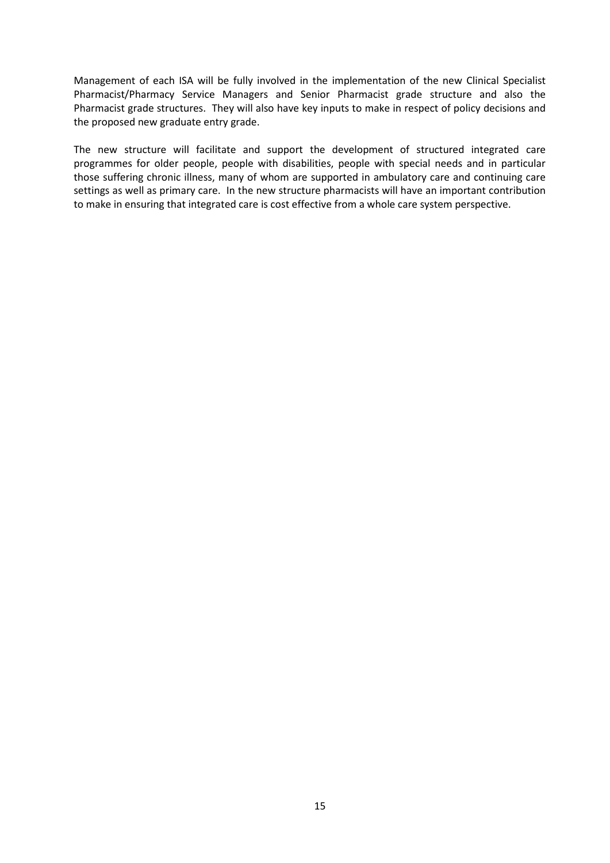Management of each ISA will be fully involved in the implementation of the new Clinical Specialist Pharmacist/Pharmacy Service Managers and Senior Pharmacist grade structure and also the Pharmacist grade structures. They will also have key inputs to make in respect of policy decisions and the proposed new graduate entry grade.

The new structure will facilitate and support the development of structured integrated care programmes for older people, people with disabilities, people with special needs and in particular those suffering chronic illness, many of whom are supported in ambulatory care and continuing care settings as well as primary care. In the new structure pharmacists will have an important contribution to make in ensuring that integrated care is cost effective from a whole care system perspective.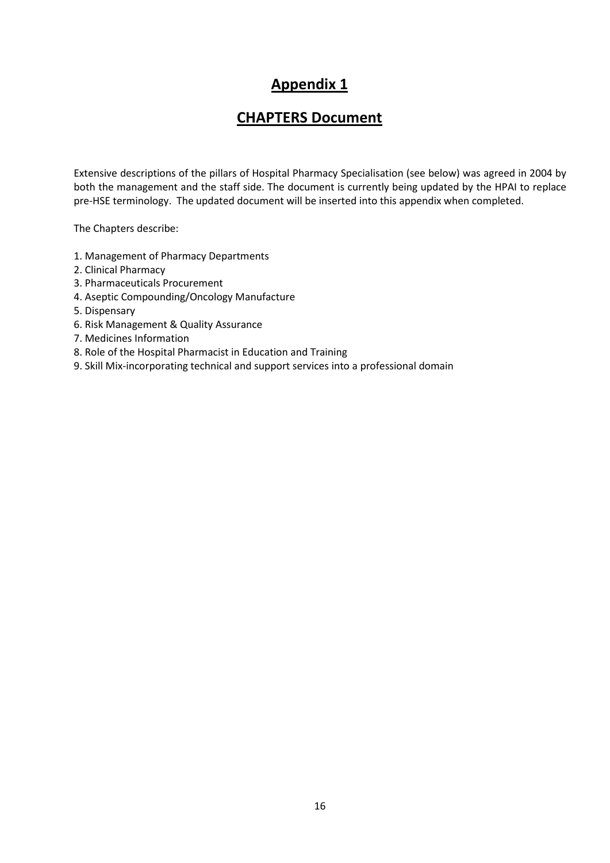# **Appendix 1**

# **CHAPTERS Document**

Extensive descriptions of the pillars of Hospital Pharmacy Specialisation (see below) was agreed in 2004 by both the management and the staff side. The document is currently being updated by the HPAI to replace pre-HSE terminology. The updated document will be inserted into this appendix when completed.

The Chapters describe:

- 1. Management of Pharmacy Departments
- 2. Clinical Pharmacy
- 3. Pharmaceuticals Procurement
- 4. Aseptic Compounding/Oncology Manufacture
- 5. Dispensary
- 6. Risk Management & Quality Assurance
- 7. Medicines Information
- 8. Role of the Hospital Pharmacist in Education and Training
- 9. Skill Mix-incorporating technical and support services into a professional domain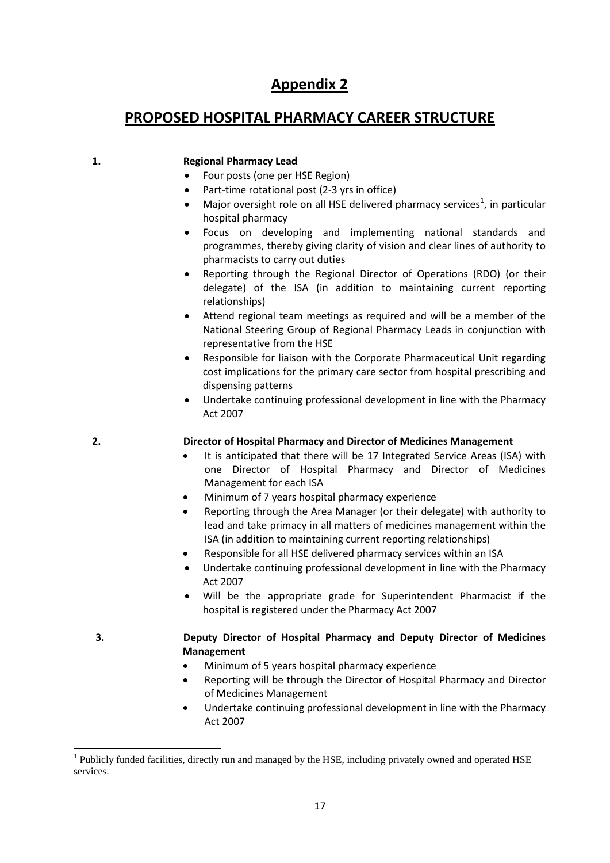# **Appendix 2**

# **PROPOSED HOSPITAL PHARMACY CAREER STRUCTURE**

# **1. Regional Pharmacy Lead**

- Four posts (one per HSE Region)
- Part-time rotational post (2-3 yrs in office)
- Major oversight role on all HSE delivered pharmacy services<sup>[1](#page-7-0)</sup>, in particular hospital pharmacy
- Focus on developing and implementing national standards and programmes, thereby giving clarity of vision and clear lines of authority to pharmacists to carry out duties
- Reporting through the Regional Director of Operations (RDO) (or their delegate) of the ISA (in addition to maintaining current reporting relationships)
- Attend regional team meetings as required and will be a member of the National Steering Group of Regional Pharmacy Leads in conjunction with representative from the HSE
- Responsible for liaison with the Corporate Pharmaceutical Unit regarding cost implications for the primary care sector from hospital prescribing and dispensing patterns
- Undertake continuing professional development in line with the Pharmacy Act 2007

# **2. Director of Hospital Pharmacy and Director of Medicines Management**

- It is anticipated that there will be 17 Integrated Service Areas (ISA) with one Director of Hospital Pharmacy and Director of Medicines Management for each ISA
- Minimum of 7 years hospital pharmacy experience
- Reporting through the Area Manager (or their delegate) with authority to lead and take primacy in all matters of medicines management within the ISA (in addition to maintaining current reporting relationships)
- Responsible for all HSE delivered pharmacy services within an ISA
- Undertake continuing professional development in line with the Pharmacy Act 2007
- Will be the appropriate grade for Superintendent Pharmacist if the hospital is registered under the Pharmacy Act 2007

- **3. Deputy Director of Hospital Pharmacy and Deputy Director of Medicines Management**
	- Minimum of 5 years hospital pharmacy experience
	- Reporting will be through the Director of Hospital Pharmacy and Director of Medicines Management
	- Undertake continuing professional development in line with the Pharmacy Act 2007

 $<sup>1</sup>$  Publicly funded facilities, directly run and managed by the HSE, including privately owned and operated HSE</sup> services.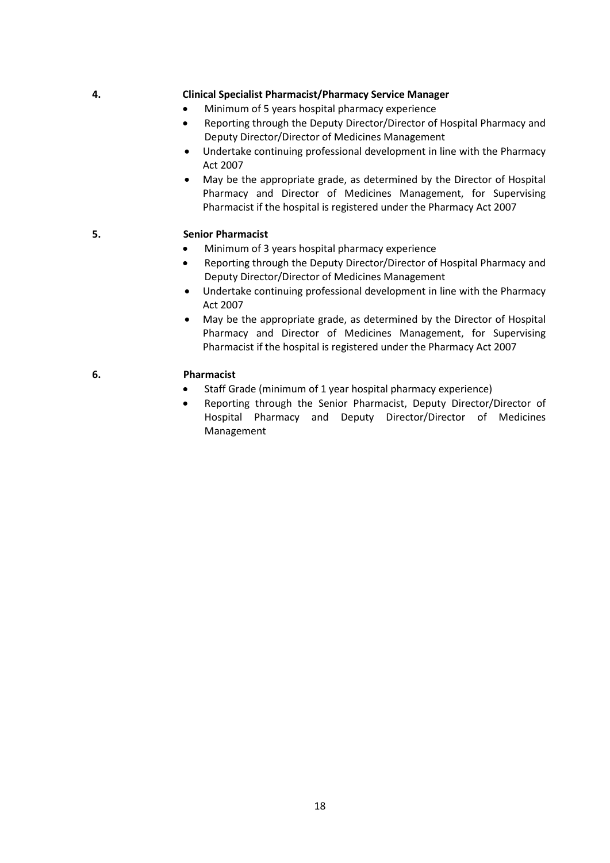### **4. Clinical Specialist Pharmacist/Pharmacy Service Manager**

- Minimum of 5 years hospital pharmacy experience
- Reporting through the Deputy Director/Director of Hospital Pharmacy and Deputy Director/Director of Medicines Management
- Undertake continuing professional development in line with the Pharmacy Act 2007
- May be the appropriate grade, as determined by the Director of Hospital Pharmacy and Director of Medicines Management, for Supervising Pharmacist if the hospital is registered under the Pharmacy Act 2007

# **5. Senior Pharmacist**

- Minimum of 3 years hospital pharmacy experience
- Reporting through the Deputy Director/Director of Hospital Pharmacy and Deputy Director/Director of Medicines Management
- Undertake continuing professional development in line with the Pharmacy Act 2007
- May be the appropriate grade, as determined by the Director of Hospital Pharmacy and Director of Medicines Management, for Supervising Pharmacist if the hospital is registered under the Pharmacy Act 2007

# **6. Pharmacist**

- Staff Grade (minimum of 1 year hospital pharmacy experience)
- Reporting through the Senior Pharmacist, Deputy Director/Director of Hospital Pharmacy and Deputy Director/Director of Medicines Management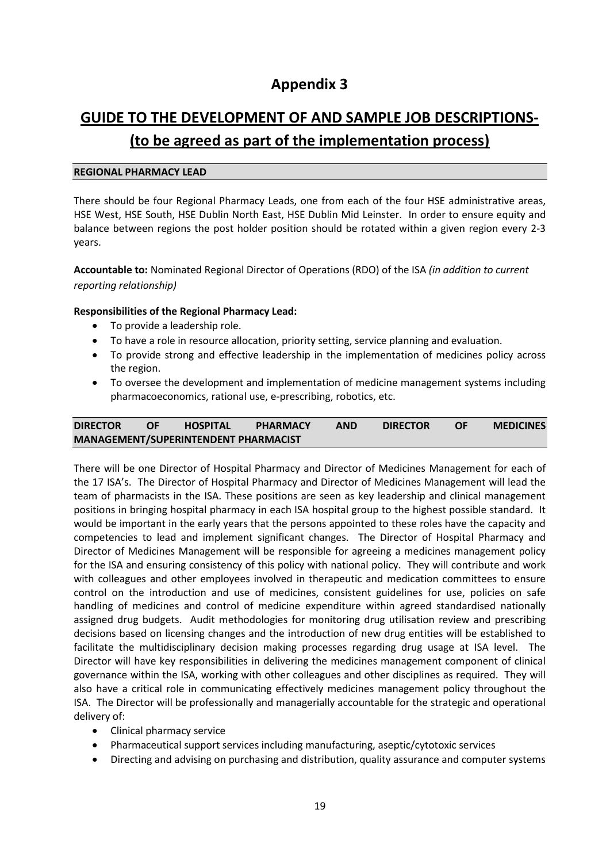# **Appendix 3**

# **GUIDE TO THE DEVELOPMENT OF AND SAMPLE JOB DESCRIPTIONS-**

# **(to be agreed as part of the implementation process)**

# **REGIONAL PHARMACY LEAD**

There should be four Regional Pharmacy Leads, one from each of the four HSE administrative areas, HSE West, HSE South, HSE Dublin North East, HSE Dublin Mid Leinster. In order to ensure equity and balance between regions the post holder position should be rotated within a given region every 2-3 years.

**Accountable to:** Nominated Regional Director of Operations (RDO) of the ISA *(in addition to current reporting relationship)*

# **Responsibilities of the Regional Pharmacy Lead:**

- To provide a leadership role.
- To have a role in resource allocation, priority setting, service planning and evaluation.
- To provide strong and effective leadership in the implementation of medicines policy across the region.
- To oversee the development and implementation of medicine management systems including pharmacoeconomics, rational use, e-prescribing, robotics, etc.

# **DIRECTOR OF HOSPITAL PHARMACY AND DIRECTOR OF MEDICINES MANAGEMENT/SUPERINTENDENT PHARMACIST**

There will be one Director of Hospital Pharmacy and Director of Medicines Management for each of the 17 ISA's. The Director of Hospital Pharmacy and Director of Medicines Management will lead the team of pharmacists in the ISA. These positions are seen as key leadership and clinical management positions in bringing hospital pharmacy in each ISA hospital group to the highest possible standard. It would be important in the early years that the persons appointed to these roles have the capacity and competencies to lead and implement significant changes. The Director of Hospital Pharmacy and Director of Medicines Management will be responsible for agreeing a medicines management policy for the ISA and ensuring consistency of this policy with national policy. They will contribute and work with colleagues and other employees involved in therapeutic and medication committees to ensure control on the introduction and use of medicines, consistent guidelines for use, policies on safe handling of medicines and control of medicine expenditure within agreed standardised nationally assigned drug budgets. Audit methodologies for monitoring drug utilisation review and prescribing decisions based on licensing changes and the introduction of new drug entities will be established to facilitate the multidisciplinary decision making processes regarding drug usage at ISA level. The Director will have key responsibilities in delivering the medicines management component of clinical governance within the ISA, working with other colleagues and other disciplines as required. They will also have a critical role in communicating effectively medicines management policy throughout the ISA. The Director will be professionally and managerially accountable for the strategic and operational delivery of:

- Clinical pharmacy service
- Pharmaceutical support services including manufacturing, aseptic/cytotoxic services
- Directing and advising on purchasing and distribution, quality assurance and computer systems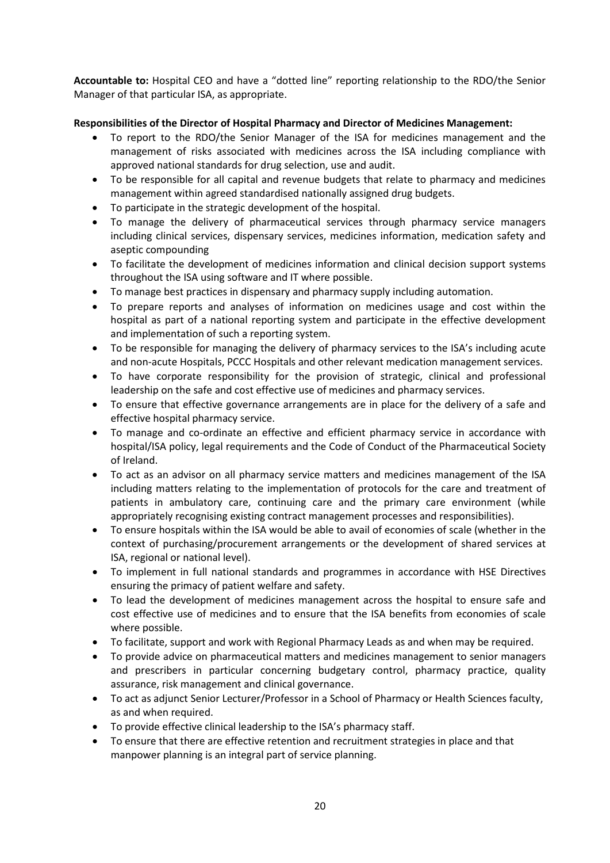**Accountable to:** Hospital CEO and have a "dotted line" reporting relationship to the RDO/the Senior Manager of that particular ISA, as appropriate.

# **Responsibilities of the Director of Hospital Pharmacy and Director of Medicines Management:**

- To report to the RDO/the Senior Manager of the ISA for medicines management and the management of risks associated with medicines across the ISA including compliance with approved national standards for drug selection, use and audit.
- To be responsible for all capital and revenue budgets that relate to pharmacy and medicines management within agreed standardised nationally assigned drug budgets.
- To participate in the strategic development of the hospital.
- To manage the delivery of pharmaceutical services through pharmacy service managers including clinical services, dispensary services, medicines information, medication safety and aseptic compounding
- To facilitate the development of medicines information and clinical decision support systems throughout the ISA using software and IT where possible.
- To manage best practices in dispensary and pharmacy supply including automation.
- To prepare reports and analyses of information on medicines usage and cost within the hospital as part of a national reporting system and participate in the effective development and implementation of such a reporting system.
- To be responsible for managing the delivery of pharmacy services to the ISA's including acute and non-acute Hospitals, PCCC Hospitals and other relevant medication management services.
- To have corporate responsibility for the provision of strategic, clinical and professional leadership on the safe and cost effective use of medicines and pharmacy services.
- To ensure that effective governance arrangements are in place for the delivery of a safe and effective hospital pharmacy service.
- To manage and co-ordinate an effective and efficient pharmacy service in accordance with hospital/ISA policy, legal requirements and the Code of Conduct of the Pharmaceutical Society of Ireland.
- To act as an advisor on all pharmacy service matters and medicines management of the ISA including matters relating to the implementation of protocols for the care and treatment of patients in ambulatory care, continuing care and the primary care environment (while appropriately recognising existing contract management processes and responsibilities).
- To ensure hospitals within the ISA would be able to avail of economies of scale (whether in the context of purchasing/procurement arrangements or the development of shared services at ISA, regional or national level).
- To implement in full national standards and programmes in accordance with HSE Directives ensuring the primacy of patient welfare and safety.
- To lead the development of medicines management across the hospital to ensure safe and cost effective use of medicines and to ensure that the ISA benefits from economies of scale where possible.
- To facilitate, support and work with Regional Pharmacy Leads as and when may be required.
- To provide advice on pharmaceutical matters and medicines management to senior managers and prescribers in particular concerning budgetary control, pharmacy practice, quality assurance, risk management and clinical governance.
- To act as adjunct Senior Lecturer/Professor in a School of Pharmacy or Health Sciences faculty, as and when required.
- To provide effective clinical leadership to the ISA's pharmacy staff.
- To ensure that there are effective retention and recruitment strategies in place and that manpower planning is an integral part of service planning.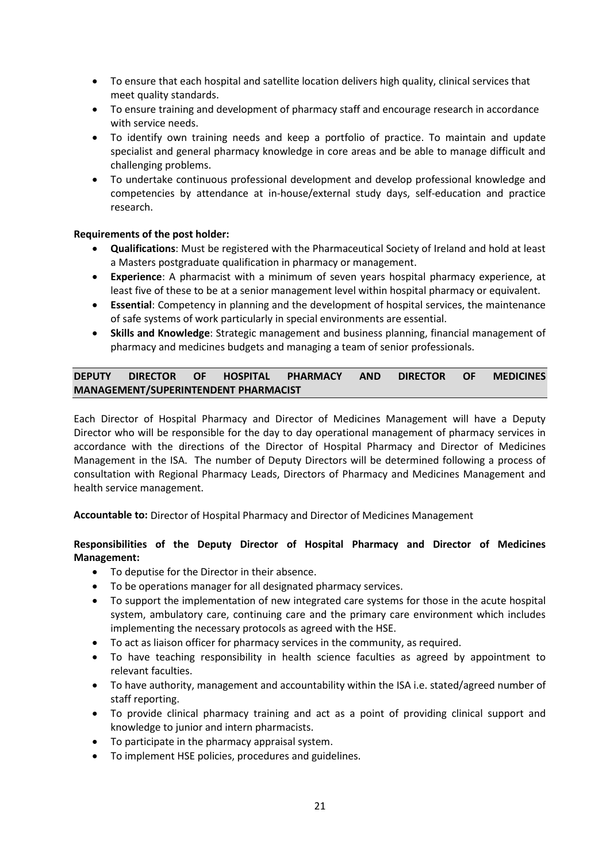- To ensure that each hospital and satellite location delivers high quality, clinical services that meet quality standards.
- To ensure training and development of pharmacy staff and encourage research in accordance with service needs.
- To identify own training needs and keep a portfolio of practice. To maintain and update specialist and general pharmacy knowledge in core areas and be able to manage difficult and challenging problems.
- To undertake continuous professional development and develop professional knowledge and competencies by attendance at in-house/external study days, self-education and practice research.

# **Requirements of the post holder:**

- **Qualifications**: Must be registered with the Pharmaceutical Society of Ireland and hold at least a Masters postgraduate qualification in pharmacy or management.
- **Experience**: A pharmacist with a minimum of seven years hospital pharmacy experience, at least five of these to be at a senior management level within hospital pharmacy or equivalent.
- **Essential**: Competency in planning and the development of hospital services, the maintenance of safe systems of work particularly in special environments are essential.
- **Skills and Knowledge**: Strategic management and business planning, financial management of pharmacy and medicines budgets and managing a team of senior professionals.

# **DEPUTY DIRECTOR OF HOSPITAL PHARMACY AND DIRECTOR OF MEDICINES MANAGEMENT/SUPERINTENDENT PHARMACIST**

Each Director of Hospital Pharmacy and Director of Medicines Management will have a Deputy Director who will be responsible for the day to day operational management of pharmacy services in accordance with the directions of the Director of Hospital Pharmacy and Director of Medicines Management in the ISA. The number of Deputy Directors will be determined following a process of consultation with Regional Pharmacy Leads, Directors of Pharmacy and Medicines Management and health service management.

**Accountable to:** Director of Hospital Pharmacy and Director of Medicines Management

# **Responsibilities of the Deputy Director of Hospital Pharmacy and Director of Medicines Management:**

- To deputise for the Director in their absence.
- To be operations manager for all designated pharmacy services.
- To support the implementation of new integrated care systems for those in the acute hospital system, ambulatory care, continuing care and the primary care environment which includes implementing the necessary protocols as agreed with the HSE.
- To act as liaison officer for pharmacy services in the community, as required.
- To have teaching responsibility in health science faculties as agreed by appointment to relevant faculties.
- To have authority, management and accountability within the ISA i.e. stated/agreed number of staff reporting.
- To provide clinical pharmacy training and act as a point of providing clinical support and knowledge to junior and intern pharmacists.
- To participate in the pharmacy appraisal system.
- To implement HSE policies, procedures and guidelines.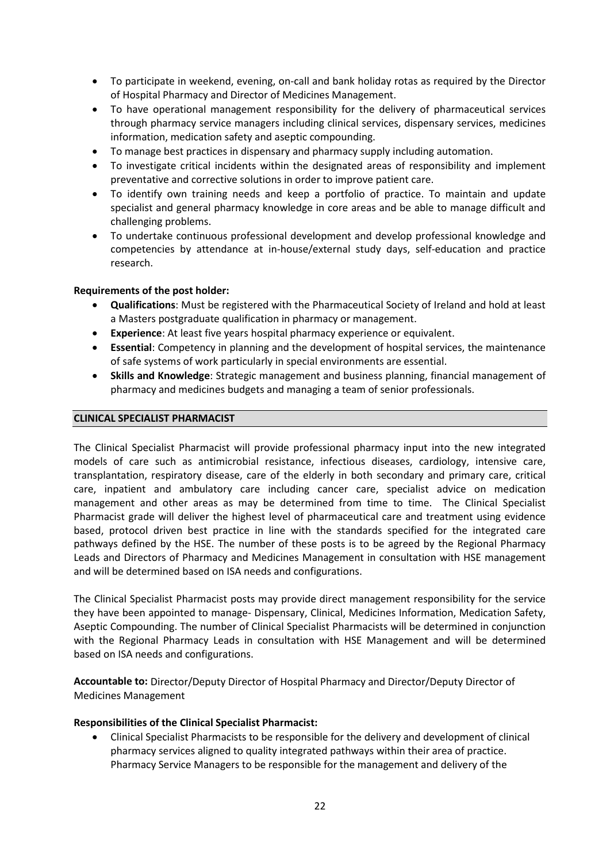- To participate in weekend, evening, on-call and bank holiday rotas as required by the Director of Hospital Pharmacy and Director of Medicines Management.
- To have operational management responsibility for the delivery of pharmaceutical services through pharmacy service managers including clinical services, dispensary services, medicines information, medication safety and aseptic compounding.
- To manage best practices in dispensary and pharmacy supply including automation.
- To investigate critical incidents within the designated areas of responsibility and implement preventative and corrective solutions in order to improve patient care.
- To identify own training needs and keep a portfolio of practice. To maintain and update specialist and general pharmacy knowledge in core areas and be able to manage difficult and challenging problems.
- To undertake continuous professional development and develop professional knowledge and competencies by attendance at in-house/external study days, self-education and practice research.

# **Requirements of the post holder:**

- **Qualifications**: Must be registered with the Pharmaceutical Society of Ireland and hold at least a Masters postgraduate qualification in pharmacy or management.
- **Experience**: At least five years hospital pharmacy experience or equivalent.
- **Essential**: Competency in planning and the development of hospital services, the maintenance of safe systems of work particularly in special environments are essential.
- **Skills and Knowledge**: Strategic management and business planning, financial management of pharmacy and medicines budgets and managing a team of senior professionals.

# **CLINICAL SPECIALIST PHARMACIST**

The Clinical Specialist Pharmacist will provide professional pharmacy input into the new integrated models of care such as antimicrobial resistance, infectious diseases, cardiology, intensive care, transplantation, respiratory disease, care of the elderly in both secondary and primary care, critical care, inpatient and ambulatory care including cancer care, specialist advice on medication management and other areas as may be determined from time to time. The Clinical Specialist Pharmacist grade will deliver the highest level of pharmaceutical care and treatment using evidence based, protocol driven best practice in line with the standards specified for the integrated care pathways defined by the HSE. The number of these posts is to be agreed by the Regional Pharmacy Leads and Directors of Pharmacy and Medicines Management in consultation with HSE management and will be determined based on ISA needs and configurations.

The Clinical Specialist Pharmacist posts may provide direct management responsibility for the service they have been appointed to manage- Dispensary, Clinical, Medicines Information, Medication Safety, Aseptic Compounding. The number of Clinical Specialist Pharmacists will be determined in conjunction with the Regional Pharmacy Leads in consultation with HSE Management and will be determined based on ISA needs and configurations.

**Accountable to:** Director/Deputy Director of Hospital Pharmacy and Director/Deputy Director of Medicines Management

# **Responsibilities of the Clinical Specialist Pharmacist:**

• Clinical Specialist Pharmacists to be responsible for the delivery and development of clinical pharmacy services aligned to quality integrated pathways within their area of practice. Pharmacy Service Managers to be responsible for the management and delivery of the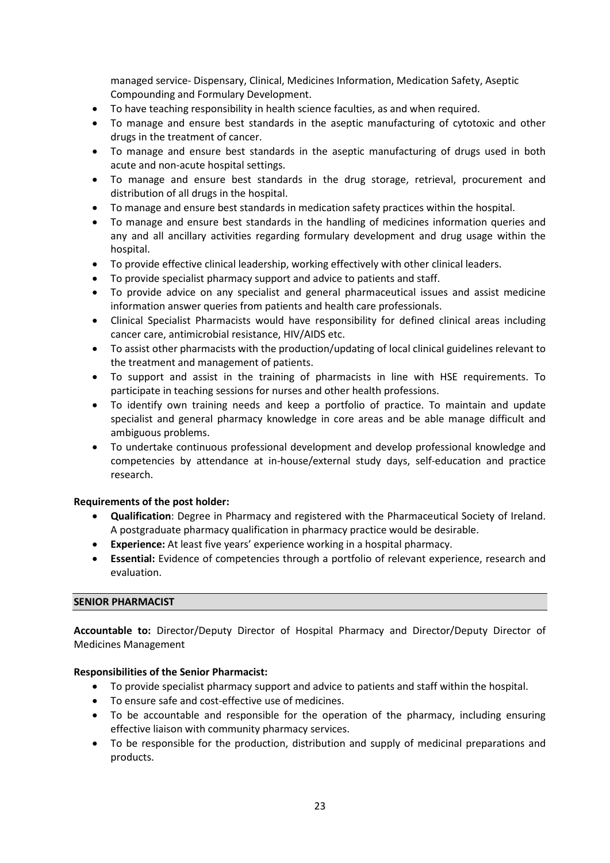managed service- Dispensary, Clinical, Medicines Information, Medication Safety, Aseptic Compounding and Formulary Development.

- To have teaching responsibility in health science faculties, as and when required.
- To manage and ensure best standards in the aseptic manufacturing of cytotoxic and other drugs in the treatment of cancer.
- To manage and ensure best standards in the aseptic manufacturing of drugs used in both acute and non-acute hospital settings.
- To manage and ensure best standards in the drug storage, retrieval, procurement and distribution of all drugs in the hospital.
- To manage and ensure best standards in medication safety practices within the hospital.
- To manage and ensure best standards in the handling of medicines information queries and any and all ancillary activities regarding formulary development and drug usage within the hospital.
- To provide effective clinical leadership, working effectively with other clinical leaders.
- To provide specialist pharmacy support and advice to patients and staff.
- To provide advice on any specialist and general pharmaceutical issues and assist medicine information answer queries from patients and health care professionals.
- Clinical Specialist Pharmacists would have responsibility for defined clinical areas including cancer care, antimicrobial resistance, HIV/AIDS etc.
- To assist other pharmacists with the production/updating of local clinical guidelines relevant to the treatment and management of patients.
- To support and assist in the training of pharmacists in line with HSE requirements. To participate in teaching sessions for nurses and other health professions.
- To identify own training needs and keep a portfolio of practice. To maintain and update specialist and general pharmacy knowledge in core areas and be able manage difficult and ambiguous problems.
- To undertake continuous professional development and develop professional knowledge and competencies by attendance at in-house/external study days, self-education and practice research.

# **Requirements of the post holder:**

- **Qualification**: Degree in Pharmacy and registered with the Pharmaceutical Society of Ireland. A postgraduate pharmacy qualification in pharmacy practice would be desirable.
- **Experience:** At least five years' experience working in a hospital pharmacy.
- **Essential:** Evidence of competencies through a portfolio of relevant experience, research and evaluation.

# **SENIOR PHARMACIST**

**Accountable to:** Director/Deputy Director of Hospital Pharmacy and Director/Deputy Director of Medicines Management

# **Responsibilities of the Senior Pharmacist:**

- To provide specialist pharmacy support and advice to patients and staff within the hospital.
- To ensure safe and cost-effective use of medicines.
- To be accountable and responsible for the operation of the pharmacy, including ensuring effective liaison with community pharmacy services.
- To be responsible for the production, distribution and supply of medicinal preparations and products.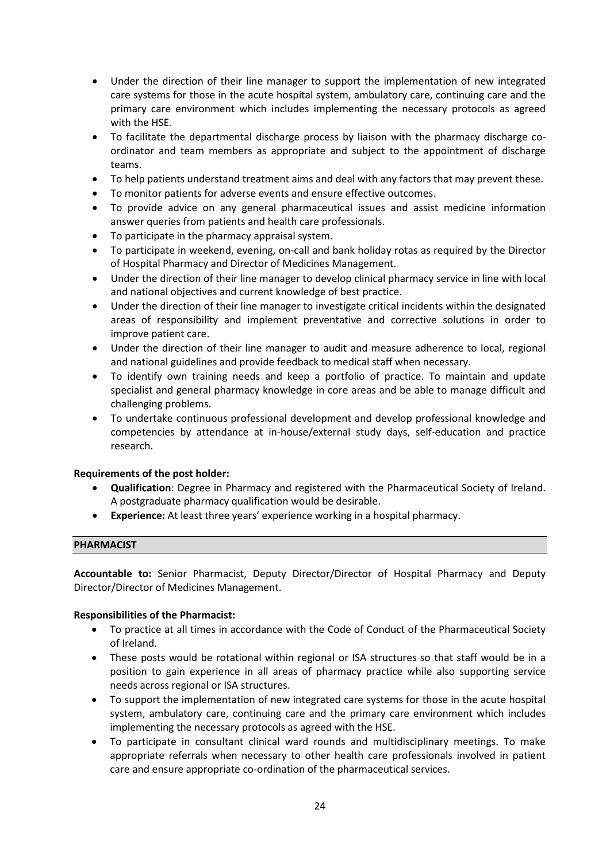- Under the direction of their line manager to support the implementation of new integrated care systems for those in the acute hospital system, ambulatory care, continuing care and the primary care environment which includes implementing the necessary protocols as agreed with the HSE.
- To facilitate the departmental discharge process by liaison with the pharmacy discharge coordinator and team members as appropriate and subject to the appointment of discharge teams.
- To help patients understand treatment aims and deal with any factors that may prevent these.
- To monitor patients for adverse events and ensure effective outcomes.
- To provide advice on any general pharmaceutical issues and assist medicine information answer queries from patients and health care professionals.
- To participate in the pharmacy appraisal system.
- To participate in weekend, evening, on-call and bank holiday rotas as required by the Director of Hospital Pharmacy and Director of Medicines Management.
- Under the direction of their line manager to develop clinical pharmacy service in line with local and national objectives and current knowledge of best practice.
- Under the direction of their line manager to investigate critical incidents within the designated areas of responsibility and implement preventative and corrective solutions in order to improve patient care.
- Under the direction of their line manager to audit and measure adherence to local, regional and national guidelines and provide feedback to medical staff when necessary.
- To identify own training needs and keep a portfolio of practice. To maintain and update specialist and general pharmacy knowledge in core areas and be able to manage difficult and challenging problems.
- To undertake continuous professional development and develop professional knowledge and competencies by attendance at in-house/external study days, self-education and practice research.

# **Requirements of the post holder:**

- **Qualification**: Degree in Pharmacy and registered with the Pharmaceutical Society of Ireland. A postgraduate pharmacy qualification would be desirable.
- **Experience:** At least three years' experience working in a hospital pharmacy.

# **PHARMACIST**

**Accountable to:** Senior Pharmacist, Deputy Director/Director of Hospital Pharmacy and Deputy Director/Director of Medicines Management.

# **Responsibilities of the Pharmacist:**

- To practice at all times in accordance with the Code of Conduct of the Pharmaceutical Society of Ireland.
- These posts would be rotational within regional or ISA structures so that staff would be in a position to gain experience in all areas of pharmacy practice while also supporting service needs across regional or ISA structures.
- To support the implementation of new integrated care systems for those in the acute hospital system, ambulatory care, continuing care and the primary care environment which includes implementing the necessary protocols as agreed with the HSE.
- To participate in consultant clinical ward rounds and multidisciplinary meetings. To make appropriate referrals when necessary to other health care professionals involved in patient care and ensure appropriate co-ordination of the pharmaceutical services.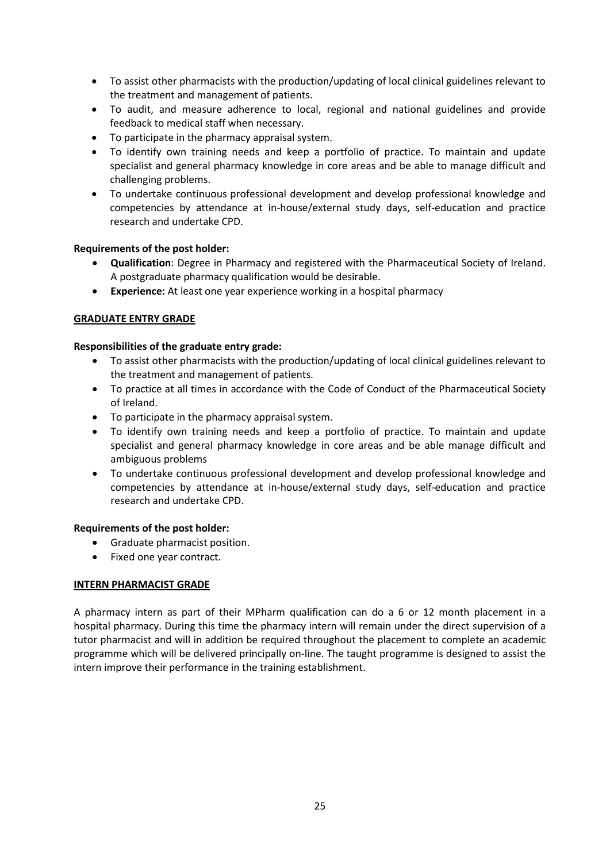- To assist other pharmacists with the production/updating of local clinical guidelines relevant to the treatment and management of patients.
- To audit, and measure adherence to local, regional and national guidelines and provide feedback to medical staff when necessary.
- To participate in the pharmacy appraisal system.
- To identify own training needs and keep a portfolio of practice. To maintain and update specialist and general pharmacy knowledge in core areas and be able to manage difficult and challenging problems.
- To undertake continuous professional development and develop professional knowledge and competencies by attendance at in-house/external study days, self-education and practice research and undertake CPD.

# **Requirements of the post holder:**

- **Qualification**: Degree in Pharmacy and registered with the Pharmaceutical Society of Ireland. A postgraduate pharmacy qualification would be desirable.
- **Experience:** At least one year experience working in a hospital pharmacy

# **GRADUATE ENTRY GRADE**

# **Responsibilities of the graduate entry grade:**

- To assist other pharmacists with the production/updating of local clinical guidelines relevant to the treatment and management of patients.
- To practice at all times in accordance with the Code of Conduct of the Pharmaceutical Society of Ireland.
- To participate in the pharmacy appraisal system.
- To identify own training needs and keep a portfolio of practice. To maintain and update specialist and general pharmacy knowledge in core areas and be able manage difficult and ambiguous problems
- To undertake continuous professional development and develop professional knowledge and competencies by attendance at in-house/external study days, self-education and practice research and undertake CPD.

# **Requirements of the post holder:**

- Graduate pharmacist position.
- Fixed one year contract.

# **INTERN PHARMACIST GRADE**

A pharmacy intern as part of their MPharm qualification can do a 6 or 12 month placement in a hospital pharmacy. During this time the pharmacy intern will remain under the direct supervision of a tutor pharmacist and will in addition be required throughout the placement to complete an academic programme which will be delivered principally on-line. The taught programme is designed to assist the intern improve their performance in the training establishment.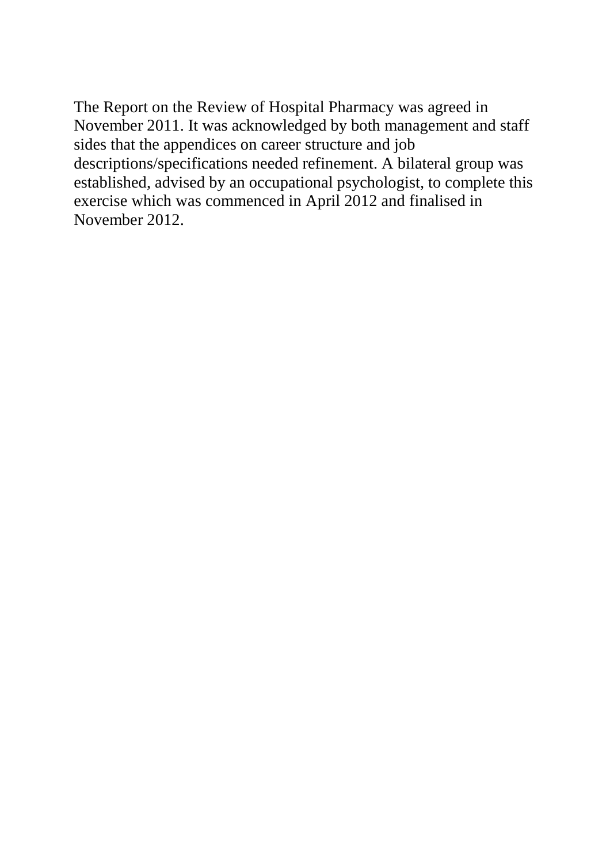The Report on the Review of Hospital Pharmacy was agreed in November 2011. It was acknowledged by both management and staff sides that the appendices on career structure and job descriptions/specifications needed refinement. A bilateral group was established, advised by an occupational psychologist, to complete this exercise which was commenced in April 2012 and finalised in November 2012.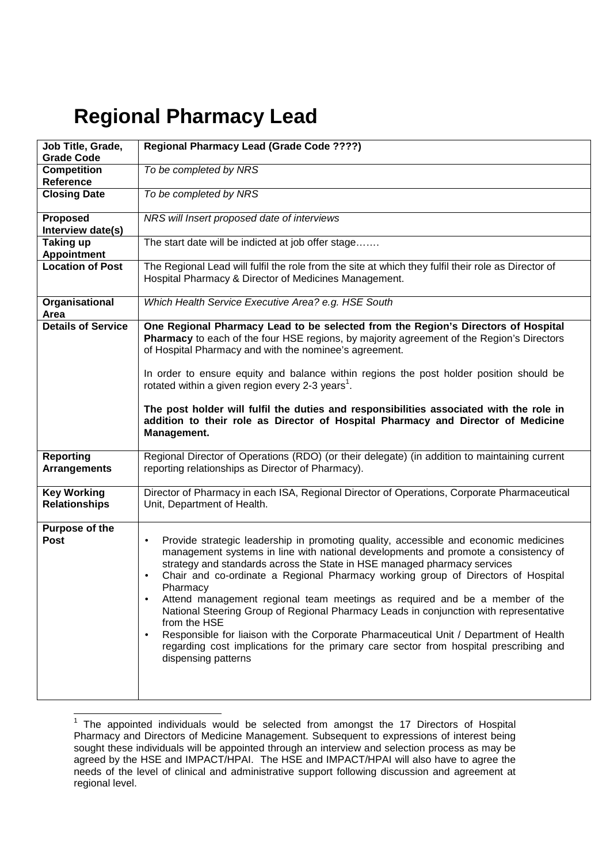# **Regional Pharmacy Lead**

| Job Title, Grade,<br><b>Grade Code</b>     | Regional Pharmacy Lead (Grade Code ????)                                                                                                                                                                                                                                                                                                                                                                                                                                                                                                                                                                                                                                                                                                                                          |
|--------------------------------------------|-----------------------------------------------------------------------------------------------------------------------------------------------------------------------------------------------------------------------------------------------------------------------------------------------------------------------------------------------------------------------------------------------------------------------------------------------------------------------------------------------------------------------------------------------------------------------------------------------------------------------------------------------------------------------------------------------------------------------------------------------------------------------------------|
| <b>Competition</b><br>Reference            | To be completed by NRS                                                                                                                                                                                                                                                                                                                                                                                                                                                                                                                                                                                                                                                                                                                                                            |
| <b>Closing Date</b>                        | To be completed by NRS                                                                                                                                                                                                                                                                                                                                                                                                                                                                                                                                                                                                                                                                                                                                                            |
| Proposed<br>Interview date(s)              | NRS will Insert proposed date of interviews                                                                                                                                                                                                                                                                                                                                                                                                                                                                                                                                                                                                                                                                                                                                       |
| <b>Taking up</b><br><b>Appointment</b>     | The start date will be indicted at job offer stage                                                                                                                                                                                                                                                                                                                                                                                                                                                                                                                                                                                                                                                                                                                                |
| <b>Location of Post</b>                    | The Regional Lead will fulfil the role from the site at which they fulfil their role as Director of<br>Hospital Pharmacy & Director of Medicines Management.                                                                                                                                                                                                                                                                                                                                                                                                                                                                                                                                                                                                                      |
| Organisational<br>Area                     | Which Health Service Executive Area? e.g. HSE South                                                                                                                                                                                                                                                                                                                                                                                                                                                                                                                                                                                                                                                                                                                               |
| <b>Details of Service</b>                  | One Regional Pharmacy Lead to be selected from the Region's Directors of Hospital<br>Pharmacy to each of the four HSE regions, by majority agreement of the Region's Directors<br>of Hospital Pharmacy and with the nominee's agreement.                                                                                                                                                                                                                                                                                                                                                                                                                                                                                                                                          |
|                                            | In order to ensure equity and balance within regions the post holder position should be<br>rotated within a given region every 2-3 years <sup>1</sup> .                                                                                                                                                                                                                                                                                                                                                                                                                                                                                                                                                                                                                           |
|                                            | The post holder will fulfil the duties and responsibilities associated with the role in<br>addition to their role as Director of Hospital Pharmacy and Director of Medicine<br>Management.                                                                                                                                                                                                                                                                                                                                                                                                                                                                                                                                                                                        |
| <b>Reporting</b><br><b>Arrangements</b>    | Regional Director of Operations (RDO) (or their delegate) (in addition to maintaining current<br>reporting relationships as Director of Pharmacy).                                                                                                                                                                                                                                                                                                                                                                                                                                                                                                                                                                                                                                |
| <b>Key Working</b><br><b>Relationships</b> | Director of Pharmacy in each ISA, Regional Director of Operations, Corporate Pharmaceutical<br>Unit, Department of Health.                                                                                                                                                                                                                                                                                                                                                                                                                                                                                                                                                                                                                                                        |
| Purpose of the<br>Post                     | Provide strategic leadership in promoting quality, accessible and economic medicines<br>$\bullet$<br>management systems in line with national developments and promote a consistency of<br>strategy and standards across the State in HSE managed pharmacy services<br>Chair and co-ordinate a Regional Pharmacy working group of Directors of Hospital<br>$\bullet$<br>Pharmacy<br>Attend management regional team meetings as required and be a member of the<br>National Steering Group of Regional Pharmacy Leads in conjunction with representative<br>from the HSE<br>Responsible for liaison with the Corporate Pharmaceutical Unit / Department of Health<br>regarding cost implications for the primary care sector from hospital prescribing and<br>dispensing patterns |

The appointed individuals would be selected from amongst the 17 Directors of Hospital Pharmacy and Directors of Medicine Management. Subsequent to expressions of interest being sought these individuals will be appointed through an interview and selection process as may be agreed by the HSE and IMPACT/HPAI. The HSE and IMPACT/HPAI will also have to agree the needs of the level of clinical and administrative support following discussion and agreement at regional level.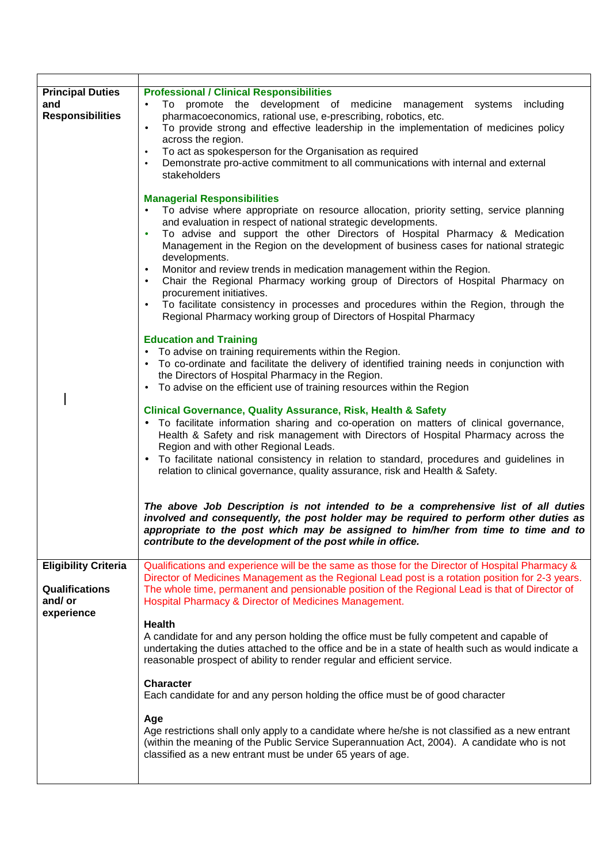| <b>Principal Duties</b><br>and<br><b>Responsibilities</b>                    | <b>Professional / Clinical Responsibilities</b><br>To promote the development of medicine management systems<br>including<br>$\bullet$<br>pharmacoeconomics, rational use, e-prescribing, robotics, etc.<br>To provide strong and effective leadership in the implementation of medicines policy<br>$\bullet$<br>across the region.<br>To act as spokesperson for the Organisation as required<br>$\bullet$<br>Demonstrate pro-active commitment to all communications with internal and external<br>stakeholders                                                                                                                                                                                                                         |
|------------------------------------------------------------------------------|-------------------------------------------------------------------------------------------------------------------------------------------------------------------------------------------------------------------------------------------------------------------------------------------------------------------------------------------------------------------------------------------------------------------------------------------------------------------------------------------------------------------------------------------------------------------------------------------------------------------------------------------------------------------------------------------------------------------------------------------|
|                                                                              | <b>Managerial Responsibilities</b><br>To advise where appropriate on resource allocation, priority setting, service planning<br>and evaluation in respect of national strategic developments.<br>To advise and support the other Directors of Hospital Pharmacy & Medication<br>Management in the Region on the development of business cases for national strategic<br>developments.<br>Monitor and review trends in medication management within the Region.<br>Chair the Regional Pharmacy working group of Directors of Hospital Pharmacy on<br>procurement initiatives.<br>To facilitate consistency in processes and procedures within the Region, through the<br>Regional Pharmacy working group of Directors of Hospital Pharmacy |
|                                                                              | <b>Education and Training</b><br>To advise on training requirements within the Region.<br>To co-ordinate and facilitate the delivery of identified training needs in conjunction with<br>the Directors of Hospital Pharmacy in the Region.<br>To advise on the efficient use of training resources within the Region                                                                                                                                                                                                                                                                                                                                                                                                                      |
|                                                                              | <b>Clinical Governance, Quality Assurance, Risk, Health &amp; Safety</b><br>To facilitate information sharing and co-operation on matters of clinical governance,<br>Health & Safety and risk management with Directors of Hospital Pharmacy across the<br>Region and with other Regional Leads.<br>To facilitate national consistency in relation to standard, procedures and guidelines in<br>relation to clinical governance, quality assurance, risk and Health & Safety.                                                                                                                                                                                                                                                             |
|                                                                              | The above Job Description is not intended to be a comprehensive list of all duties<br>involved and consequently, the post holder may be required to perform other duties as<br>appropriate to the post which may be assigned to him/her from time to time and to<br>contribute to the development of the post while in office.                                                                                                                                                                                                                                                                                                                                                                                                            |
| <b>Eligibility Criteria</b><br><b>Qualifications</b><br>and/or<br>experience | Qualifications and experience will be the same as those for the Director of Hospital Pharmacy &<br>Director of Medicines Management as the Regional Lead post is a rotation position for 2-3 years.<br>The whole time, permanent and pensionable position of the Regional Lead is that of Director of<br>Hospital Pharmacy & Director of Medicines Management.                                                                                                                                                                                                                                                                                                                                                                            |
|                                                                              | <b>Health</b><br>A candidate for and any person holding the office must be fully competent and capable of<br>undertaking the duties attached to the office and be in a state of health such as would indicate a<br>reasonable prospect of ability to render regular and efficient service.                                                                                                                                                                                                                                                                                                                                                                                                                                                |
|                                                                              | <b>Character</b><br>Each candidate for and any person holding the office must be of good character                                                                                                                                                                                                                                                                                                                                                                                                                                                                                                                                                                                                                                        |
|                                                                              | Age<br>Age restrictions shall only apply to a candidate where he/she is not classified as a new entrant<br>(within the meaning of the Public Service Superannuation Act, 2004). A candidate who is not<br>classified as a new entrant must be under 65 years of age.                                                                                                                                                                                                                                                                                                                                                                                                                                                                      |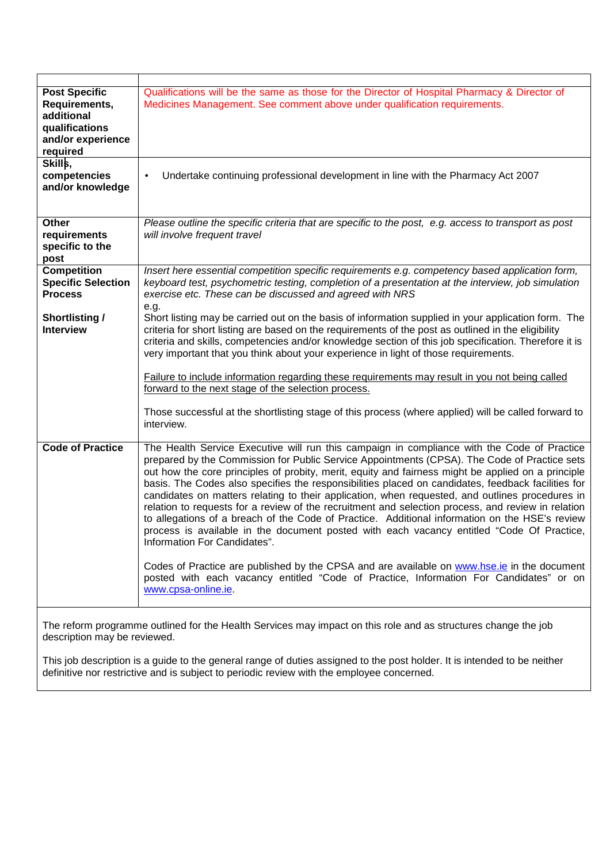| <b>Post Specific</b><br>Requirements,<br>additional<br>qualifications<br>and/or experience<br>required | Qualifications will be the same as those for the Director of Hospital Pharmacy & Director of<br>Medicines Management. See comment above under qualification requirements.                                                                                                                                                                                                                                                                                                                                                                                                                                                                                                                                                                                                                                                                                                                                                                                                                                                                                       |
|--------------------------------------------------------------------------------------------------------|-----------------------------------------------------------------------------------------------------------------------------------------------------------------------------------------------------------------------------------------------------------------------------------------------------------------------------------------------------------------------------------------------------------------------------------------------------------------------------------------------------------------------------------------------------------------------------------------------------------------------------------------------------------------------------------------------------------------------------------------------------------------------------------------------------------------------------------------------------------------------------------------------------------------------------------------------------------------------------------------------------------------------------------------------------------------|
| Skills,<br>competencies<br>and/or knowledge                                                            | Undertake continuing professional development in line with the Pharmacy Act 2007<br>$\bullet$                                                                                                                                                                                                                                                                                                                                                                                                                                                                                                                                                                                                                                                                                                                                                                                                                                                                                                                                                                   |
| <b>Other</b><br>requirements<br>specific to the<br>post                                                | Please outline the specific criteria that are specific to the post, e.g. access to transport as post<br>will involve frequent travel                                                                                                                                                                                                                                                                                                                                                                                                                                                                                                                                                                                                                                                                                                                                                                                                                                                                                                                            |
| <b>Competition</b><br><b>Specific Selection</b><br><b>Process</b>                                      | Insert here essential competition specific requirements e.g. competency based application form,<br>keyboard test, psychometric testing, completion of a presentation at the interview, job simulation<br>exercise etc. These can be discussed and agreed with NRS<br>e.g.                                                                                                                                                                                                                                                                                                                                                                                                                                                                                                                                                                                                                                                                                                                                                                                       |
| <b>Shortlisting /</b><br><b>Interview</b>                                                              | Short listing may be carried out on the basis of information supplied in your application form. The<br>criteria for short listing are based on the requirements of the post as outlined in the eligibility<br>criteria and skills, competencies and/or knowledge section of this job specification. Therefore it is<br>very important that you think about your experience in light of those requirements.<br>Failure to include information regarding these requirements may result in you not being called<br>forward to the next stage of the selection process.<br>Those successful at the shortlisting stage of this process (where applied) will be called forward to<br>interview.                                                                                                                                                                                                                                                                                                                                                                       |
| <b>Code of Practice</b>                                                                                | The Health Service Executive will run this campaign in compliance with the Code of Practice<br>prepared by the Commission for Public Service Appointments (CPSA). The Code of Practice sets<br>out how the core principles of probity, merit, equity and fairness might be applied on a principle<br>basis. The Codes also specifies the responsibilities placed on candidates, feedback facilities for<br>candidates on matters relating to their application, when requested, and outlines procedures in<br>relation to requests for a review of the recruitment and selection process, and review in relation<br>to allegations of a breach of the Code of Practice. Additional information on the HSE's review<br>process is available in the document posted with each vacancy entitled "Code Of Practice,<br>Information For Candidates".<br>Codes of Practice are published by the CPSA and are available on www.hse.ie in the document<br>posted with each vacancy entitled "Code of Practice, Information For Candidates" or on<br>www.cpsa-online.ie. |
|                                                                                                        |                                                                                                                                                                                                                                                                                                                                                                                                                                                                                                                                                                                                                                                                                                                                                                                                                                                                                                                                                                                                                                                                 |

The reform programme outlined for the Health Services may impact on this role and as structures change the job description may be reviewed.

This job description is a guide to the general range of duties assigned to the post holder. It is intended to be neither definitive nor restrictive and is subject to periodic review with the employee concerned.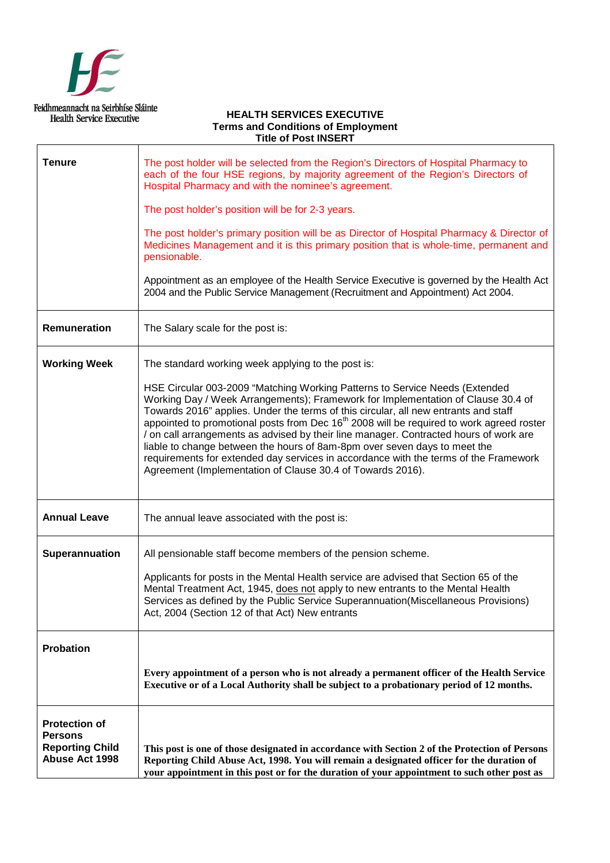

#### **HEALTH SERVICES EXECUTIVE Terms and Conditions of Employment Title of Post INSERT**

| <b>Tenure</b>                                                                             | The post holder will be selected from the Region's Directors of Hospital Pharmacy to<br>each of the four HSE regions, by majority agreement of the Region's Directors of<br>Hospital Pharmacy and with the nominee's agreement.                                                                                                                                                                                                                                                                                                                                                                                                                                                            |  |
|-------------------------------------------------------------------------------------------|--------------------------------------------------------------------------------------------------------------------------------------------------------------------------------------------------------------------------------------------------------------------------------------------------------------------------------------------------------------------------------------------------------------------------------------------------------------------------------------------------------------------------------------------------------------------------------------------------------------------------------------------------------------------------------------------|--|
|                                                                                           | The post holder's position will be for 2-3 years.                                                                                                                                                                                                                                                                                                                                                                                                                                                                                                                                                                                                                                          |  |
|                                                                                           | The post holder's primary position will be as Director of Hospital Pharmacy & Director of<br>Medicines Management and it is this primary position that is whole-time, permanent and<br>pensionable.                                                                                                                                                                                                                                                                                                                                                                                                                                                                                        |  |
|                                                                                           | Appointment as an employee of the Health Service Executive is governed by the Health Act<br>2004 and the Public Service Management (Recruitment and Appointment) Act 2004.                                                                                                                                                                                                                                                                                                                                                                                                                                                                                                                 |  |
| Remuneration                                                                              | The Salary scale for the post is:                                                                                                                                                                                                                                                                                                                                                                                                                                                                                                                                                                                                                                                          |  |
| <b>Working Week</b>                                                                       | The standard working week applying to the post is:                                                                                                                                                                                                                                                                                                                                                                                                                                                                                                                                                                                                                                         |  |
|                                                                                           | HSE Circular 003-2009 "Matching Working Patterns to Service Needs (Extended<br>Working Day / Week Arrangements); Framework for Implementation of Clause 30.4 of<br>Towards 2016" applies. Under the terms of this circular, all new entrants and staff<br>appointed to promotional posts from Dec 16 <sup>th</sup> 2008 will be required to work agreed roster<br>/ on call arrangements as advised by their line manager. Contracted hours of work are<br>liable to change between the hours of 8am-8pm over seven days to meet the<br>requirements for extended day services in accordance with the terms of the Framework<br>Agreement (Implementation of Clause 30.4 of Towards 2016). |  |
| <b>Annual Leave</b>                                                                       | The annual leave associated with the post is:                                                                                                                                                                                                                                                                                                                                                                                                                                                                                                                                                                                                                                              |  |
| Superannuation                                                                            | All pensionable staff become members of the pension scheme.                                                                                                                                                                                                                                                                                                                                                                                                                                                                                                                                                                                                                                |  |
|                                                                                           | Applicants for posts in the Mental Health service are advised that Section 65 of the<br>Mental Treatment Act, 1945, does not apply to new entrants to the Mental Health<br>Services as defined by the Public Service Superannuation(Miscellaneous Provisions)<br>Act, 2004 (Section 12 of that Act) New entrants                                                                                                                                                                                                                                                                                                                                                                           |  |
| Probation                                                                                 |                                                                                                                                                                                                                                                                                                                                                                                                                                                                                                                                                                                                                                                                                            |  |
|                                                                                           | Every appointment of a person who is not already a permanent officer of the Health Service<br>Executive or of a Local Authority shall be subject to a probationary period of 12 months.                                                                                                                                                                                                                                                                                                                                                                                                                                                                                                    |  |
| <b>Protection of</b><br><b>Persons</b><br><b>Reporting Child</b><br><b>Abuse Act 1998</b> | This post is one of those designated in accordance with Section 2 of the Protection of Persons<br>Reporting Child Abuse Act, 1998. You will remain a designated officer for the duration of<br>your appointment in this post or for the duration of your appointment to such other post as                                                                                                                                                                                                                                                                                                                                                                                                 |  |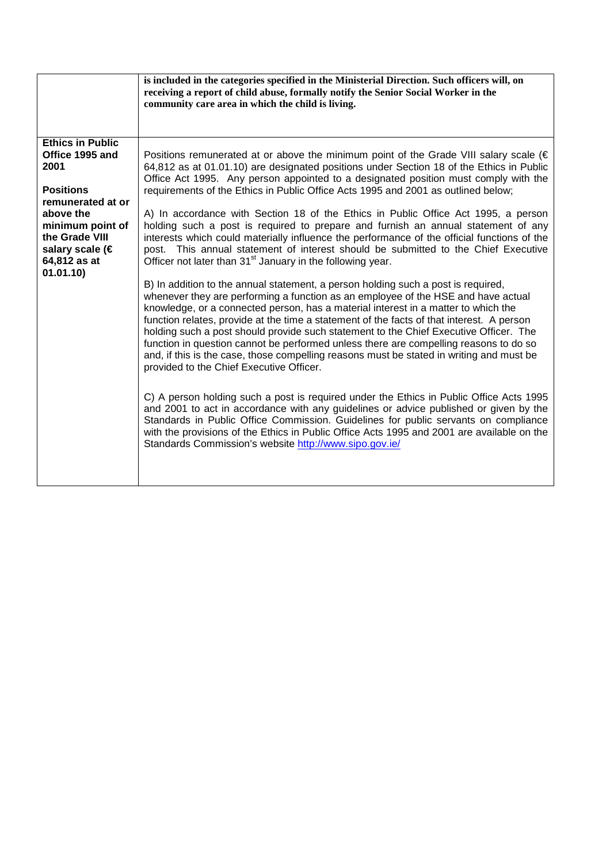|                                                                                                                                                                                               | is included in the categories specified in the Ministerial Direction. Such officers will, on<br>receiving a report of child abuse, formally notify the Senior Social Worker in the<br>community care area in which the child is living.                                                                                                                                                                                                                                                                                                                                                                                                                                                                                                                                                                                                                                                                                                                                                                                                                                                                                                                                                                                                                                                                                                                                                                                                                                                                                                                                                                                                                                                                                                                                                                                                                                                                                                |
|-----------------------------------------------------------------------------------------------------------------------------------------------------------------------------------------------|----------------------------------------------------------------------------------------------------------------------------------------------------------------------------------------------------------------------------------------------------------------------------------------------------------------------------------------------------------------------------------------------------------------------------------------------------------------------------------------------------------------------------------------------------------------------------------------------------------------------------------------------------------------------------------------------------------------------------------------------------------------------------------------------------------------------------------------------------------------------------------------------------------------------------------------------------------------------------------------------------------------------------------------------------------------------------------------------------------------------------------------------------------------------------------------------------------------------------------------------------------------------------------------------------------------------------------------------------------------------------------------------------------------------------------------------------------------------------------------------------------------------------------------------------------------------------------------------------------------------------------------------------------------------------------------------------------------------------------------------------------------------------------------------------------------------------------------------------------------------------------------------------------------------------------------|
| <b>Ethics in Public</b><br>Office 1995 and<br>2001<br><b>Positions</b><br>remunerated at or<br>above the<br>minimum point of<br>the Grade VIII<br>salary scale (€<br>64,812 as at<br>01.01.10 | Positions remunerated at or above the minimum point of the Grade VIII salary scale ( $\in$<br>64,812 as at 01.01.10) are designated positions under Section 18 of the Ethics in Public<br>Office Act 1995. Any person appointed to a designated position must comply with the<br>requirements of the Ethics in Public Office Acts 1995 and 2001 as outlined below;<br>A) In accordance with Section 18 of the Ethics in Public Office Act 1995, a person<br>holding such a post is required to prepare and furnish an annual statement of any<br>interests which could materially influence the performance of the official functions of the<br>post. This annual statement of interest should be submitted to the Chief Executive<br>Officer not later than 31 <sup>st</sup> January in the following year.<br>B) In addition to the annual statement, a person holding such a post is required,<br>whenever they are performing a function as an employee of the HSE and have actual<br>knowledge, or a connected person, has a material interest in a matter to which the<br>function relates, provide at the time a statement of the facts of that interest. A person<br>holding such a post should provide such statement to the Chief Executive Officer. The<br>function in question cannot be performed unless there are compelling reasons to do so<br>and, if this is the case, those compelling reasons must be stated in writing and must be<br>provided to the Chief Executive Officer.<br>C) A person holding such a post is required under the Ethics in Public Office Acts 1995<br>and 2001 to act in accordance with any guidelines or advice published or given by the<br>Standards in Public Office Commission. Guidelines for public servants on compliance<br>with the provisions of the Ethics in Public Office Acts 1995 and 2001 are available on the<br>Standards Commission's website http://www.sipo.gov.ie/ |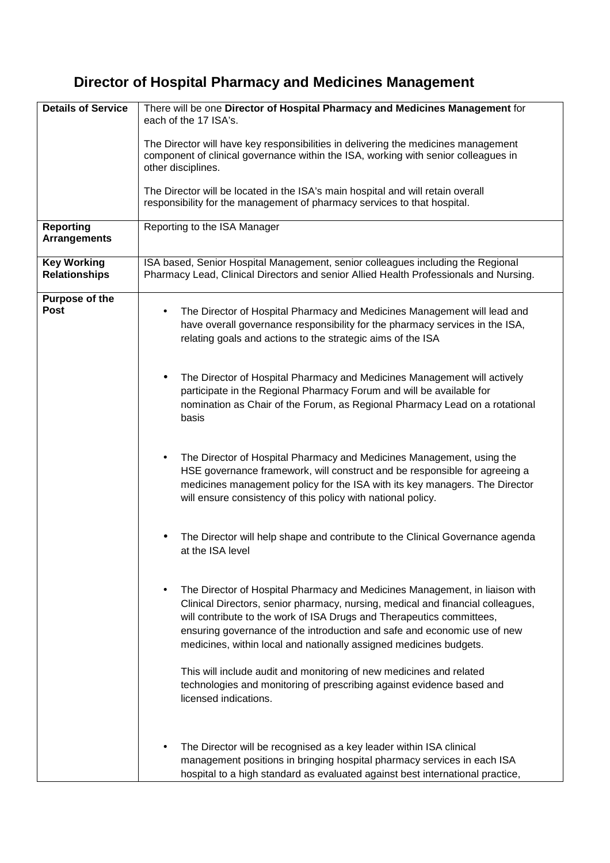# **Director of Hospital Pharmacy and Medicines Management**

| <b>Details of Service</b>                  | There will be one Director of Hospital Pharmacy and Medicines Management for<br>each of the 17 ISA's.                                                                                                                                                                                                                                                                                     |  |
|--------------------------------------------|-------------------------------------------------------------------------------------------------------------------------------------------------------------------------------------------------------------------------------------------------------------------------------------------------------------------------------------------------------------------------------------------|--|
|                                            | The Director will have key responsibilities in delivering the medicines management<br>component of clinical governance within the ISA, working with senior colleagues in<br>other disciplines.                                                                                                                                                                                            |  |
|                                            | The Director will be located in the ISA's main hospital and will retain overall<br>responsibility for the management of pharmacy services to that hospital.                                                                                                                                                                                                                               |  |
| <b>Reporting</b><br><b>Arrangements</b>    | Reporting to the ISA Manager                                                                                                                                                                                                                                                                                                                                                              |  |
| <b>Key Working</b><br><b>Relationships</b> | ISA based, Senior Hospital Management, senior colleagues including the Regional<br>Pharmacy Lead, Clinical Directors and senior Allied Health Professionals and Nursing.                                                                                                                                                                                                                  |  |
| Purpose of the<br><b>Post</b>              | The Director of Hospital Pharmacy and Medicines Management will lead and<br>٠<br>have overall governance responsibility for the pharmacy services in the ISA,<br>relating goals and actions to the strategic aims of the ISA                                                                                                                                                              |  |
|                                            | The Director of Hospital Pharmacy and Medicines Management will actively<br>participate in the Regional Pharmacy Forum and will be available for<br>nomination as Chair of the Forum, as Regional Pharmacy Lead on a rotational<br>basis                                                                                                                                                  |  |
|                                            | The Director of Hospital Pharmacy and Medicines Management, using the<br>HSE governance framework, will construct and be responsible for agreeing a<br>medicines management policy for the ISA with its key managers. The Director<br>will ensure consistency of this policy with national policy.                                                                                        |  |
|                                            | The Director will help shape and contribute to the Clinical Governance agenda<br>at the ISA level                                                                                                                                                                                                                                                                                         |  |
|                                            | The Director of Hospital Pharmacy and Medicines Management, in liaison with<br>Clinical Directors, senior pharmacy, nursing, medical and financial colleagues,<br>will contribute to the work of ISA Drugs and Therapeutics committees,<br>ensuring governance of the introduction and safe and economic use of new<br>medicines, within local and nationally assigned medicines budgets. |  |
|                                            | This will include audit and monitoring of new medicines and related<br>technologies and monitoring of prescribing against evidence based and<br>licensed indications.                                                                                                                                                                                                                     |  |
|                                            | The Director will be recognised as a key leader within ISA clinical<br>management positions in bringing hospital pharmacy services in each ISA<br>hospital to a high standard as evaluated against best international practice,                                                                                                                                                           |  |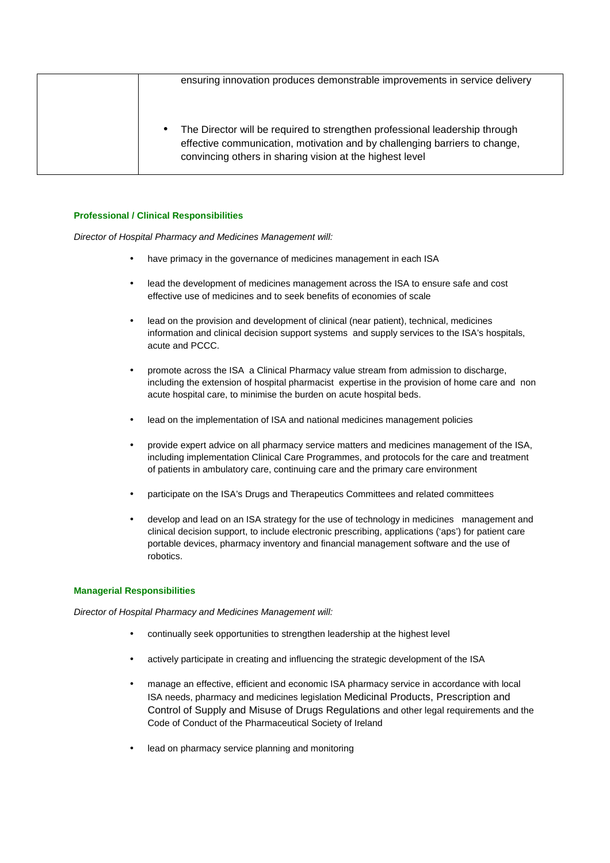| ensuring innovation produces demonstrable improvements in service delivery                                                                                                                                                 |
|----------------------------------------------------------------------------------------------------------------------------------------------------------------------------------------------------------------------------|
| The Director will be required to strengthen professional leadership through<br>٠<br>effective communication, motivation and by challenging barriers to change,<br>convincing others in sharing vision at the highest level |

#### **Professional / Clinical Responsibilities**

Director of Hospital Pharmacy and Medicines Management will:

- have primacy in the governance of medicines management in each ISA
- lead the development of medicines management across the ISA to ensure safe and cost effective use of medicines and to seek benefits of economies of scale
- lead on the provision and development of clinical (near patient), technical, medicines information and clinical decision support systems and supply services to the ISA's hospitals, acute and PCCC.
- promote across the ISA a Clinical Pharmacy value stream from admission to discharge, including the extension of hospital pharmacist expertise in the provision of home care and non acute hospital care, to minimise the burden on acute hospital beds.
- lead on the implementation of ISA and national medicines management policies
- provide expert advice on all pharmacy service matters and medicines management of the ISA, including implementation Clinical Care Programmes, and protocols for the care and treatment of patients in ambulatory care, continuing care and the primary care environment
- participate on the ISA's Drugs and Therapeutics Committees and related committees
- develop and lead on an ISA strategy for the use of technology in medicines management and clinical decision support, to include electronic prescribing, applications ('aps') for patient care portable devices, pharmacy inventory and financial management software and the use of robotics.

#### **Managerial Responsibilities**

Director of Hospital Pharmacy and Medicines Management will:

- continually seek opportunities to strengthen leadership at the highest level
- actively participate in creating and influencing the strategic development of the ISA
- manage an effective, efficient and economic ISA pharmacy service in accordance with local ISA needs, pharmacy and medicines legislation Medicinal Products, Prescription and Control of Supply and Misuse of Drugs Regulations and other legal requirements and the Code of Conduct of the Pharmaceutical Society of Ireland
- lead on pharmacy service planning and monitoring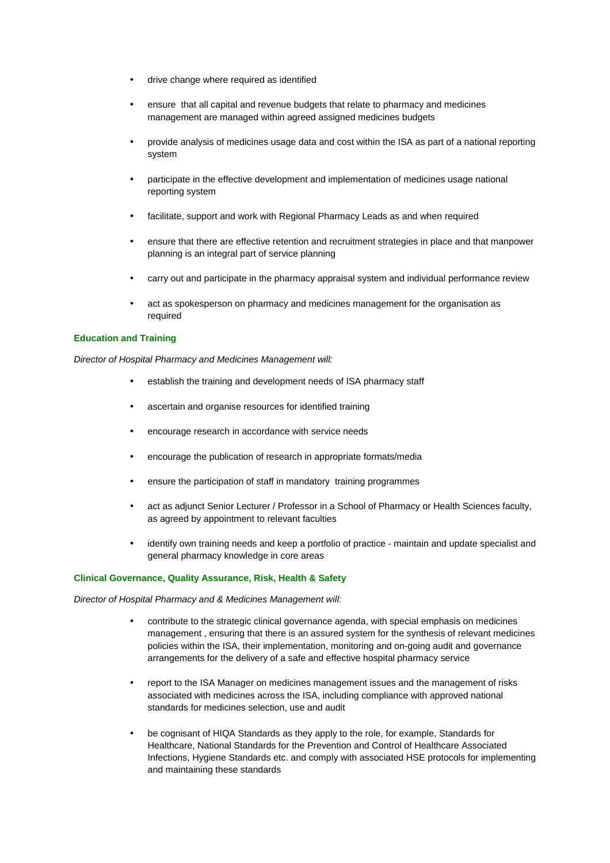- drive change where required as identified
- ensure that all capital and revenue budgets that relate to pharmacy and medicines management are managed within agreed assigned medicines budgets
- provide analysis of medicines usage data and cost within the ISA as part of a national reporting system
- participate in the effective development and implementation of medicines usage national reporting system
- facilitate, support and work with Regional Pharmacy Leads as and when required
- ensure that there are effective retention and recruitment strategies in place and that manpower planning is an integral part of service planning
- carry out and participate in the pharmacy appraisal system and individual performance review
- act as spokesperson on pharmacy and medicines management for the organisation as required

#### **Education and Training**

Director of Hospital Pharmacy and Medicines Management will:

- establish the training and development needs of ISA pharmacy staff
- ascertain and organise resources for identified training
- encourage research in accordance with service needs
- encourage the publication of research in appropriate formats/media
- ensure the participation of staff in mandatory training programmes
- act as adjunct Senior Lecturer / Professor in a School of Pharmacy or Health Sciences faculty, as agreed by appointment to relevant faculties
- identify own training needs and keep a portfolio of practice maintain and update specialist and general pharmacy knowledge in core areas

#### **Clinical Governance, Quality Assurance, Risk, Health & Safety**

Director of Hospital Pharmacy and & Medicines Management will:

- contribute to the strategic clinical governance agenda, with special emphasis on medicines management , ensuring that there is an assured system for the synthesis of relevant medicines policies within the ISA, their implementation, monitoring and on-going audit and governance arrangements for the delivery of a safe and effective hospital pharmacy service
- report to the ISA Manager on medicines management issues and the management of risks associated with medicines across the ISA, including compliance with approved national standards for medicines selection, use and audit
- be cognisant of HIQA Standards as they apply to the role, for example, Standards for Healthcare, National Standards for the Prevention and Control of Healthcare Associated Infections, Hygiene Standards etc. and comply with associated HSE protocols for implementing and maintaining these standards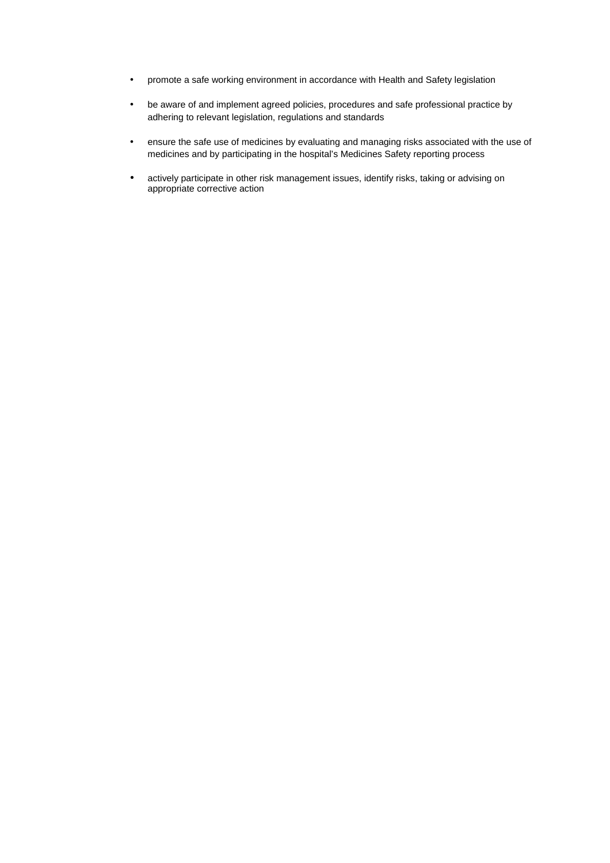- promote a safe working environment in accordance with Health and Safety legislation
- be aware of and implement agreed policies, procedures and safe professional practice by adhering to relevant legislation, regulations and standards
- ensure the safe use of medicines by evaluating and managing risks associated with the use of medicines and by participating in the hospital's Medicines Safety reporting process
- actively participate in other risk management issues, identify risks, taking or advising on appropriate corrective action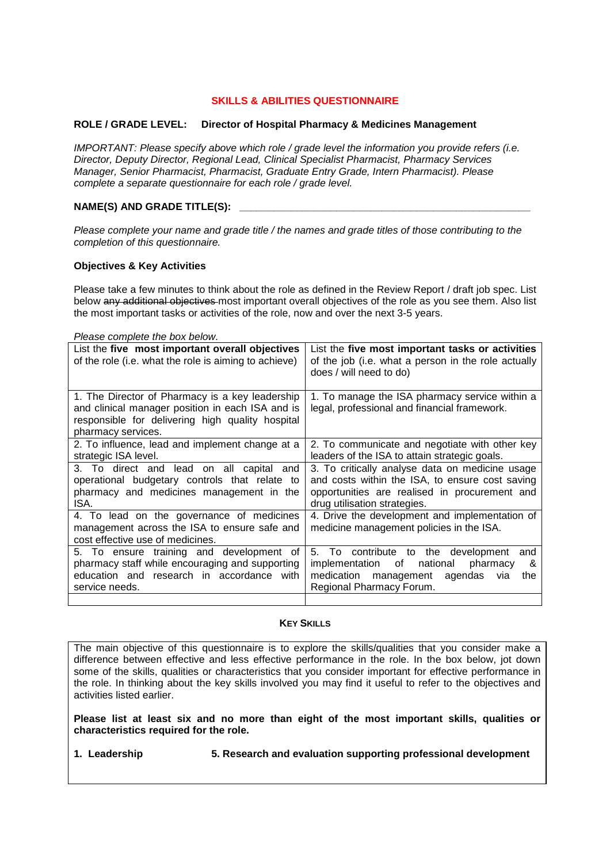# **SKILLS & ABILITIES QUESTIONNAIRE**

#### **ROLE / GRADE LEVEL: Director of Hospital Pharmacy & Medicines Management**

IMPORTANT: Please specify above which role / grade level the information you provide refers (i.e. Director, Deputy Director, Regional Lead, Clinical Specialist Pharmacist, Pharmacy Services Manager, Senior Pharmacist, Pharmacist, Graduate Entry Grade, Intern Pharmacist). Please complete a separate questionnaire for each role / grade level.

# NAME(S) AND GRADE TITLE(S):

Please complete your name and grade title / the names and grade titles of those contributing to the completion of this questionnaire.

#### **Objectives & Key Activities**

Please take a few minutes to think about the role as defined in the Review Report / draft job spec. List below any additional objectives most important overall objectives of the role as you see them. Also list the most important tasks or activities of the role, now and over the next 3-5 years.

| Please complete the box below.                                                                                                                                                |                                                                                                                                                                                     |
|-------------------------------------------------------------------------------------------------------------------------------------------------------------------------------|-------------------------------------------------------------------------------------------------------------------------------------------------------------------------------------|
| List the five most important overall objectives<br>of the role (i.e. what the role is aiming to achieve)                                                                      | List the five most important tasks or activities<br>of the job (i.e. what a person in the role actually<br>does / will need to do)                                                  |
| 1. The Director of Pharmacy is a key leadership<br>and clinical manager position in each ISA and is<br>responsible for delivering high quality hospital<br>pharmacy services. | 1. To manage the ISA pharmacy service within a<br>legal, professional and financial framework.                                                                                      |
| 2. To influence, lead and implement change at a<br>strategic ISA level.                                                                                                       | 2. To communicate and negotiate with other key<br>leaders of the ISA to attain strategic goals.                                                                                     |
| 3. To direct and lead on all capital and<br>operational budgetary controls that relate to<br>pharmacy and medicines management in the<br>ISA.                                 | 3. To critically analyse data on medicine usage<br>and costs within the ISA, to ensure cost saving<br>opportunities are realised in procurement and<br>drug utilisation strategies. |
| 4. To lead on the governance of medicines<br>management across the ISA to ensure safe and<br>cost effective use of medicines.                                                 | 4. Drive the development and implementation of<br>medicine management policies in the ISA.                                                                                          |
| 5. To ensure training and development of<br>pharmacy staff while encouraging and supporting<br>education and research in accordance with<br>service needs.                    | 5. To contribute to the development<br>and<br>implementation<br>of<br>national<br>pharmacy<br>&<br>medication management<br>agendas<br>the<br>via<br>Regional Pharmacy Forum.       |
|                                                                                                                                                                               |                                                                                                                                                                                     |

#### **KEY SKILLS**

The main objective of this questionnaire is to explore the skills/qualities that you consider make a difference between effective and less effective performance in the role. In the box below, jot down some of the skills, qualities or characteristics that you consider important for effective performance in the role. In thinking about the key skills involved you may find it useful to refer to the objectives and activities listed earlier.

**Please list at least six and no more than eight of the most important skills, qualities or characteristics required for the role.** 

**1. Leadership 5. Research and evaluation supporting professional development**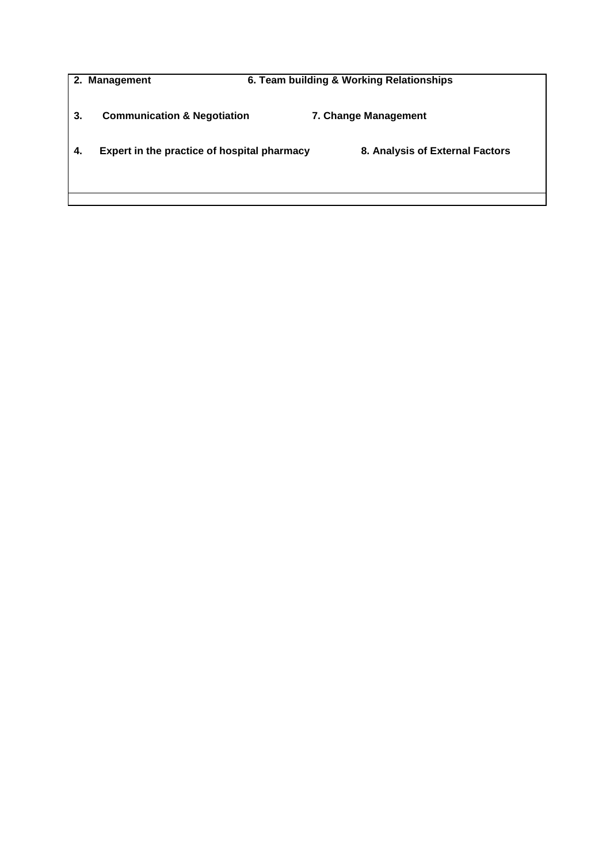|    | 2. Management                               | 6. Team building & Working Relationships |
|----|---------------------------------------------|------------------------------------------|
| 3. | <b>Communication &amp; Negotiation</b>      | 7. Change Management                     |
| 4. | Expert in the practice of hospital pharmacy | 8. Analysis of External Factors          |
|    |                                             |                                          |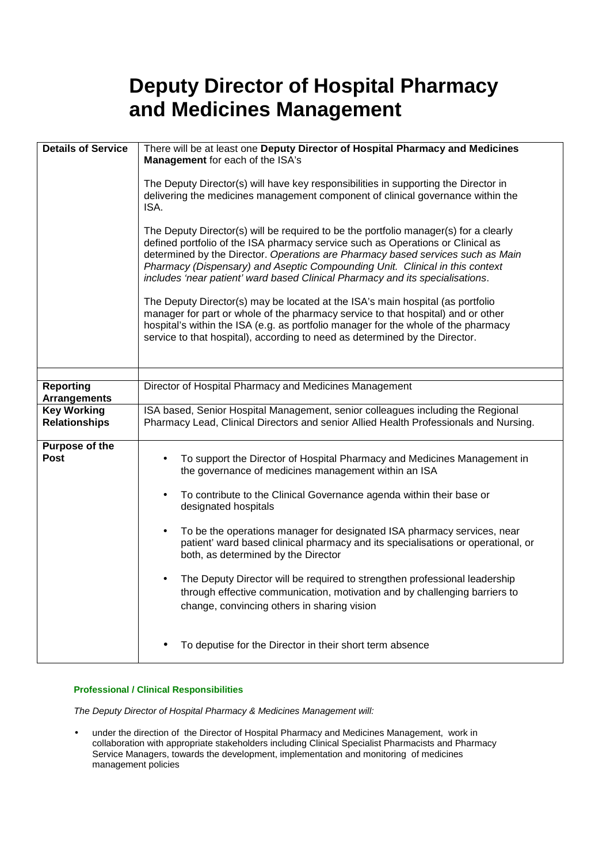# **Deputy Director of Hospital Pharmacy and Medicines Management**

| <b>Details of Service</b>                  | There will be at least one Deputy Director of Hospital Pharmacy and Medicines<br>Management for each of the ISA's                                                                                                                                                                                                                                                                                                                      |  |
|--------------------------------------------|----------------------------------------------------------------------------------------------------------------------------------------------------------------------------------------------------------------------------------------------------------------------------------------------------------------------------------------------------------------------------------------------------------------------------------------|--|
|                                            | The Deputy Director(s) will have key responsibilities in supporting the Director in<br>delivering the medicines management component of clinical governance within the<br>ISA.                                                                                                                                                                                                                                                         |  |
|                                            | The Deputy Director(s) will be required to be the portfolio manager(s) for a clearly<br>defined portfolio of the ISA pharmacy service such as Operations or Clinical as<br>determined by the Director. Operations are Pharmacy based services such as Main<br>Pharmacy (Dispensary) and Aseptic Compounding Unit. Clinical in this context<br>includes 'near patient' ward based Clinical Pharmacy and its specialisations.            |  |
|                                            | The Deputy Director(s) may be located at the ISA's main hospital (as portfolio<br>manager for part or whole of the pharmacy service to that hospital) and or other<br>hospital's within the ISA (e.g. as portfolio manager for the whole of the pharmacy<br>service to that hospital), according to need as determined by the Director.                                                                                                |  |
|                                            |                                                                                                                                                                                                                                                                                                                                                                                                                                        |  |
| <b>Reporting</b><br><b>Arrangements</b>    | Director of Hospital Pharmacy and Medicines Management                                                                                                                                                                                                                                                                                                                                                                                 |  |
| <b>Key Working</b><br><b>Relationships</b> | ISA based, Senior Hospital Management, senior colleagues including the Regional<br>Pharmacy Lead, Clinical Directors and senior Allied Health Professionals and Nursing.                                                                                                                                                                                                                                                               |  |
| Purpose of the<br><b>Post</b>              | To support the Director of Hospital Pharmacy and Medicines Management in<br>the governance of medicines management within an ISA<br>To contribute to the Clinical Governance agenda within their base or<br>designated hospitals<br>To be the operations manager for designated ISA pharmacy services, near<br>patient' ward based clinical pharmacy and its specialisations or operational, or<br>both, as determined by the Director |  |
|                                            | The Deputy Director will be required to strengthen professional leadership<br>through effective communication, motivation and by challenging barriers to<br>change, convincing others in sharing vision                                                                                                                                                                                                                                |  |
|                                            | To deputise for the Director in their short term absence                                                                                                                                                                                                                                                                                                                                                                               |  |

# **Professional / Clinical Responsibilities**

The Deputy Director of Hospital Pharmacy & Medicines Management will:

• under the direction of the Director of Hospital Pharmacy and Medicines Management, work in collaboration with appropriate stakeholders including Clinical Specialist Pharmacists and Pharmacy Service Managers, towards the development, implementation and monitoring of medicines management policies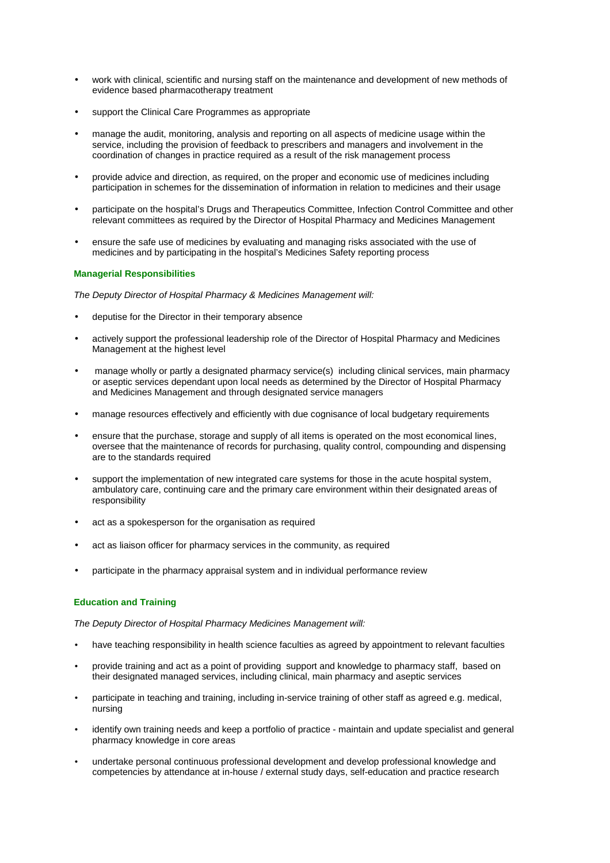- work with clinical, scientific and nursing staff on the maintenance and development of new methods of evidence based pharmacotherapy treatment
- support the Clinical Care Programmes as appropriate
- manage the audit, monitoring, analysis and reporting on all aspects of medicine usage within the service, including the provision of feedback to prescribers and managers and involvement in the coordination of changes in practice required as a result of the risk management process
- provide advice and direction, as required, on the proper and economic use of medicines including participation in schemes for the dissemination of information in relation to medicines and their usage
- participate on the hospital's Drugs and Therapeutics Committee, Infection Control Committee and other relevant committees as required by the Director of Hospital Pharmacy and Medicines Management
- ensure the safe use of medicines by evaluating and managing risks associated with the use of medicines and by participating in the hospital's Medicines Safety reporting process

#### **Managerial Responsibilities**

The Deputy Director of Hospital Pharmacy & Medicines Management will:

- deputise for the Director in their temporary absence
- actively support the professional leadership role of the Director of Hospital Pharmacy and Medicines Management at the highest level
- manage wholly or partly a designated pharmacy service(s) including clinical services, main pharmacy or aseptic services dependant upon local needs as determined by the Director of Hospital Pharmacy and Medicines Management and through designated service managers
- manage resources effectively and efficiently with due cognisance of local budgetary requirements
- ensure that the purchase, storage and supply of all items is operated on the most economical lines, oversee that the maintenance of records for purchasing, quality control, compounding and dispensing are to the standards required
- support the implementation of new integrated care systems for those in the acute hospital system, ambulatory care, continuing care and the primary care environment within their designated areas of responsibility
- act as a spokesperson for the organisation as required
- act as liaison officer for pharmacy services in the community, as required
- participate in the pharmacy appraisal system and in individual performance review

#### **Education and Training**

The Deputy Director of Hospital Pharmacy Medicines Management will:

- have teaching responsibility in health science faculties as agreed by appointment to relevant faculties
- provide training and act as a point of providing support and knowledge to pharmacy staff, based on their designated managed services, including clinical, main pharmacy and aseptic services
- participate in teaching and training, including in-service training of other staff as agreed e.g. medical, nursing
- identify own training needs and keep a portfolio of practice maintain and update specialist and general pharmacy knowledge in core areas
- undertake personal continuous professional development and develop professional knowledge and competencies by attendance at in-house / external study days, self-education and practice research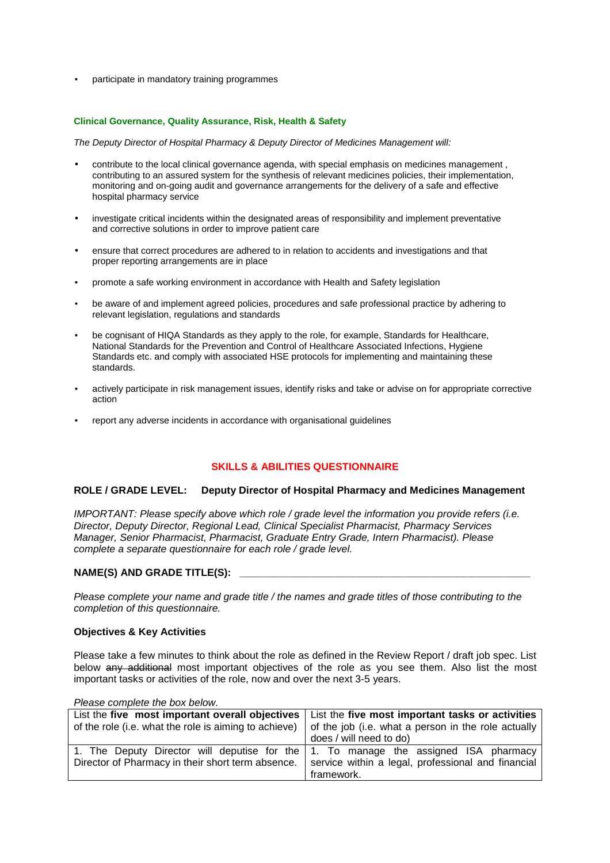• participate in mandatory training programmes

#### **Clinical Governance, Quality Assurance, Risk, Health & Safety**

The Deputy Director of Hospital Pharmacy & Deputy Director of Medicines Management will:

- contribute to the local clinical governance agenda, with special emphasis on medicines management , contributing to an assured system for the synthesis of relevant medicines policies, their implementation, monitoring and on-going audit and governance arrangements for the delivery of a safe and effective hospital pharmacy service
- investigate critical incidents within the designated areas of responsibility and implement preventative and corrective solutions in order to improve patient care
- ensure that correct procedures are adhered to in relation to accidents and investigations and that proper reporting arrangements are in place
- promote a safe working environment in accordance with Health and Safety legislation
- be aware of and implement agreed policies, procedures and safe professional practice by adhering to relevant legislation, regulations and standards
- be cognisant of HIQA Standards as they apply to the role, for example, Standards for Healthcare, National Standards for the Prevention and Control of Healthcare Associated Infections, Hygiene Standards etc. and comply with associated HSE protocols for implementing and maintaining these standards.
- actively participate in risk management issues, identify risks and take or advise on for appropriate corrective action
- report any adverse incidents in accordance with organisational guidelines

### **SKILLS & ABILITIES QUESTIONNAIRE**

#### **ROLE / GRADE LEVEL: Deputy Director of Hospital Pharmacy and Medicines Management**

IMPORTANT: Please specify above which role / grade level the information you provide refers (i.e. Director, Deputy Director, Regional Lead, Clinical Specialist Pharmacist, Pharmacy Services Manager, Senior Pharmacist, Pharmacist, Graduate Entry Grade, Intern Pharmacist). Please complete a separate questionnaire for each role / grade level.

#### NAME(S) AND GRADE TITLE(S):

Please complete your name and grade title / the names and grade titles of those contributing to the completion of this questionnaire.

#### **Objectives & Key Activities**

Please take a few minutes to think about the role as defined in the Review Report / draft job spec. List below any additional most important objectives of the role as you see them. Also list the most important tasks or activities of the role, now and over the next 3-5 years.

List the **five most important overall objectives**  of the role (i.e. what the role is aiming to achieve) List the **five most important tasks or activities** of the job (i.e. what a person in the role actually does / will need to do) 1. The Deputy Director will deputise for the Director of Pharmacy in their short term absence. 1. To manage the assigned ISA pharmacy service within a legal, professional and financial framework.

Please complete the box below.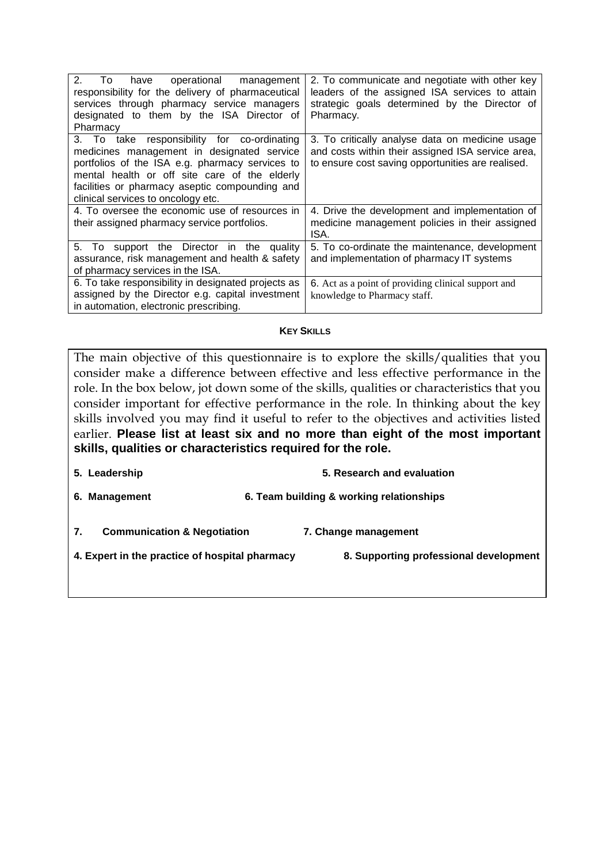| 2 <sub>1</sub><br>To<br>have operational management<br>responsibility for the delivery of pharmaceutical<br>services through pharmacy service managers<br>designated to them by the ISA Director of<br>Pharmacy                                                                       | 2. To communicate and negotiate with other key<br>leaders of the assigned ISA services to attain<br>strategic goals determined by the Director of<br>Pharmacy. |
|---------------------------------------------------------------------------------------------------------------------------------------------------------------------------------------------------------------------------------------------------------------------------------------|----------------------------------------------------------------------------------------------------------------------------------------------------------------|
| 3. To take responsibility for co-ordinating<br>medicines management in designated service<br>portfolios of the ISA e.g. pharmacy services to<br>mental health or off site care of the elderly<br>facilities or pharmacy aseptic compounding and<br>clinical services to oncology etc. | 3. To critically analyse data on medicine usage<br>and costs within their assigned ISA service area,<br>to ensure cost saving opportunities are realised.      |
| 4. To oversee the economic use of resources in<br>their assigned pharmacy service portfolios.                                                                                                                                                                                         | 4. Drive the development and implementation of<br>medicine management policies in their assigned<br>ISA.                                                       |
| 5. To support the Director in the quality<br>assurance, risk management and health & safety<br>of pharmacy services in the ISA.                                                                                                                                                       | 5. To co-ordinate the maintenance, development<br>and implementation of pharmacy IT systems                                                                    |
| 6. To take responsibility in designated projects as<br>assigned by the Director e.g. capital investment<br>in automation, electronic prescribing.                                                                                                                                     | 6. Act as a point of providing clinical support and<br>knowledge to Pharmacy staff.                                                                            |

# **KEY SKILLS**

The main objective of this questionnaire is to explore the skills/qualities that you consider make a difference between effective and less effective performance in the role. In the box below, jot down some of the skills, qualities or characteristics that you consider important for effective performance in the role. In thinking about the key skills involved you may find it useful to refer to the objectives and activities listed earlier. **Please list at least six and no more than eight of the most important skills, qualities or characteristics required for the role.** 

- **5. Leadership 5. Research and evaluation**
- **6. Management 6. Team building & working relationships**
- **7. Communication & Negotiation 7. Change management**
- **4. Expert in the practice of hospital pharmacy 8. Supporting professional development**
-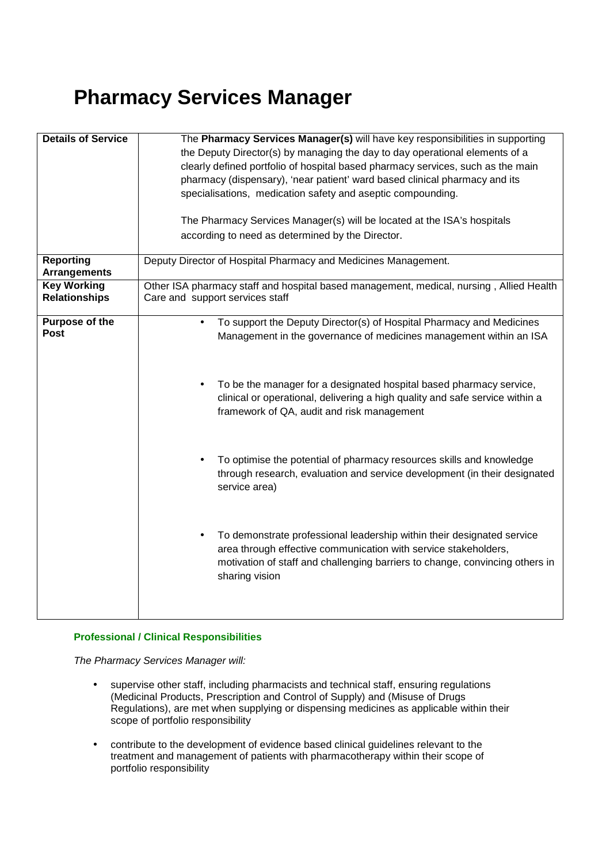# **Pharmacy Services Manager**

| <b>Details of Service</b>                  | The Pharmacy Services Manager(s) will have key responsibilities in supporting<br>the Deputy Director(s) by managing the day to day operational elements of a<br>clearly defined portfolio of hospital based pharmacy services, such as the main<br>pharmacy (dispensary), 'near patient' ward based clinical pharmacy and its<br>specialisations, medication safety and aseptic compounding.<br>The Pharmacy Services Manager(s) will be located at the ISA's hospitals                                                                                                                                                                                                                                                                                                           |  |
|--------------------------------------------|-----------------------------------------------------------------------------------------------------------------------------------------------------------------------------------------------------------------------------------------------------------------------------------------------------------------------------------------------------------------------------------------------------------------------------------------------------------------------------------------------------------------------------------------------------------------------------------------------------------------------------------------------------------------------------------------------------------------------------------------------------------------------------------|--|
|                                            | according to need as determined by the Director.                                                                                                                                                                                                                                                                                                                                                                                                                                                                                                                                                                                                                                                                                                                                  |  |
| <b>Reporting</b><br><b>Arrangements</b>    | Deputy Director of Hospital Pharmacy and Medicines Management.                                                                                                                                                                                                                                                                                                                                                                                                                                                                                                                                                                                                                                                                                                                    |  |
| <b>Key Working</b><br><b>Relationships</b> | Other ISA pharmacy staff and hospital based management, medical, nursing, Allied Health<br>Care and support services staff                                                                                                                                                                                                                                                                                                                                                                                                                                                                                                                                                                                                                                                        |  |
| Purpose of the<br><b>Post</b>              | To support the Deputy Director(s) of Hospital Pharmacy and Medicines<br>$\bullet$<br>Management in the governance of medicines management within an ISA<br>To be the manager for a designated hospital based pharmacy service,<br>clinical or operational, delivering a high quality and safe service within a<br>framework of QA, audit and risk management<br>To optimise the potential of pharmacy resources skills and knowledge<br>through research, evaluation and service development (in their designated<br>service area)<br>To demonstrate professional leadership within their designated service<br>area through effective communication with service stakeholders,<br>motivation of staff and challenging barriers to change, convincing others in<br>sharing vision |  |

# **Professional / Clinical Responsibilities**

The Pharmacy Services Manager will:

- supervise other staff, including pharmacists and technical staff, ensuring regulations (Medicinal Products, Prescription and Control of Supply) and (Misuse of Drugs Regulations), are met when supplying or dispensing medicines as applicable within their scope of portfolio responsibility
- contribute to the development of evidence based clinical guidelines relevant to the treatment and management of patients with pharmacotherapy within their scope of portfolio responsibility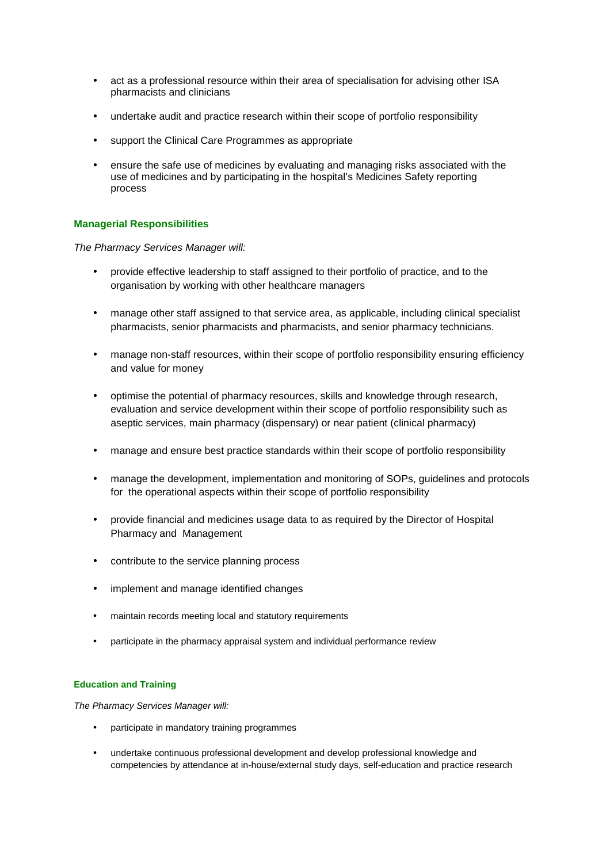- act as a professional resource within their area of specialisation for advising other ISA pharmacists and clinicians
- undertake audit and practice research within their scope of portfolio responsibility
- support the Clinical Care Programmes as appropriate
- ensure the safe use of medicines by evaluating and managing risks associated with the use of medicines and by participating in the hospital's Medicines Safety reporting process

# **Managerial Responsibilities**

The Pharmacy Services Manager will:

- provide effective leadership to staff assigned to their portfolio of practice, and to the organisation by working with other healthcare managers
- manage other staff assigned to that service area, as applicable, including clinical specialist pharmacists, senior pharmacists and pharmacists, and senior pharmacy technicians.
- manage non-staff resources, within their scope of portfolio responsibility ensuring efficiency and value for money
- optimise the potential of pharmacy resources, skills and knowledge through research, evaluation and service development within their scope of portfolio responsibility such as aseptic services, main pharmacy (dispensary) or near patient (clinical pharmacy)
- manage and ensure best practice standards within their scope of portfolio responsibility
- manage the development, implementation and monitoring of SOPs, guidelines and protocols for the operational aspects within their scope of portfolio responsibility
- provide financial and medicines usage data to as required by the Director of Hospital Pharmacy and Management
- contribute to the service planning process
- implement and manage identified changes
- maintain records meeting local and statutory requirements
- participate in the pharmacy appraisal system and individual performance review

#### **Education and Training**

The Pharmacy Services Manager will:

- participate in mandatory training programmes
- undertake continuous professional development and develop professional knowledge and competencies by attendance at in-house/external study days, self-education and practice research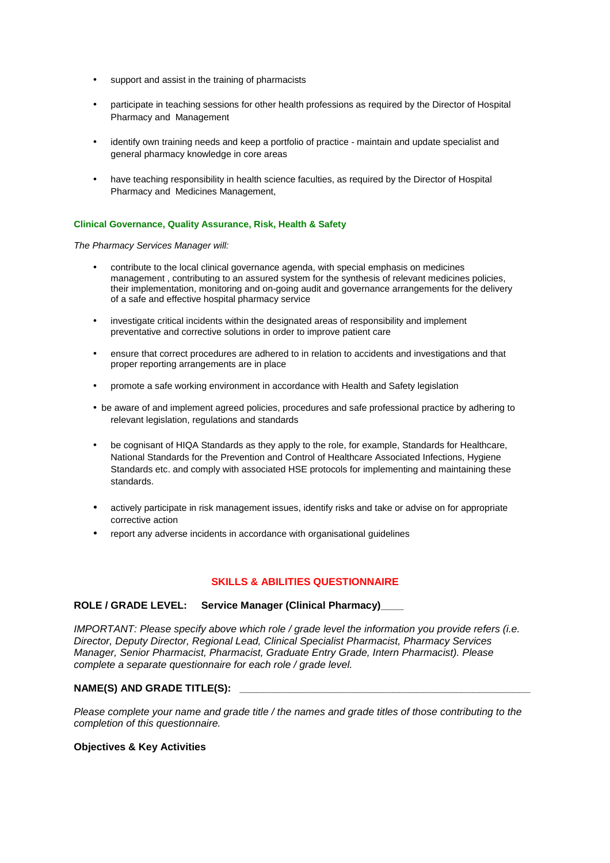- support and assist in the training of pharmacists
- participate in teaching sessions for other health professions as required by the Director of Hospital Pharmacy and Management
- identify own training needs and keep a portfolio of practice maintain and update specialist and general pharmacy knowledge in core areas
- have teaching responsibility in health science faculties, as required by the Director of Hospital Pharmacy and Medicines Management,

#### **Clinical Governance, Quality Assurance, Risk, Health & Safety**

The Pharmacy Services Manager will:

- contribute to the local clinical governance agenda, with special emphasis on medicines management , contributing to an assured system for the synthesis of relevant medicines policies, their implementation, monitoring and on-going audit and governance arrangements for the delivery of a safe and effective hospital pharmacy service
- investigate critical incidents within the designated areas of responsibility and implement preventative and corrective solutions in order to improve patient care
- ensure that correct procedures are adhered to in relation to accidents and investigations and that proper reporting arrangements are in place
- promote a safe working environment in accordance with Health and Safety legislation
- be aware of and implement agreed policies, procedures and safe professional practice by adhering to relevant legislation, regulations and standards
- be cognisant of HIQA Standards as they apply to the role, for example, Standards for Healthcare, National Standards for the Prevention and Control of Healthcare Associated Infections, Hygiene Standards etc. and comply with associated HSE protocols for implementing and maintaining these standards.
- actively participate in risk management issues, identify risks and take or advise on for appropriate corrective action
- report any adverse incidents in accordance with organisational guidelines

#### **SKILLS & ABILITIES QUESTIONNAIRE**

#### **ROLE / GRADE LEVEL: Service Manager (Clinical Pharmacy)\_\_\_\_**

IMPORTANT: Please specify above which role / grade level the information you provide refers (i.e. Director, Deputy Director, Regional Lead, Clinical Specialist Pharmacist, Pharmacy Services Manager, Senior Pharmacist, Pharmacist, Graduate Entry Grade, Intern Pharmacist). Please complete a separate questionnaire for each role / grade level.

#### NAME(S) AND GRADE TITLE(S):

Please complete your name and grade title / the names and grade titles of those contributing to the completion of this questionnaire.

#### **Objectives & Key Activities**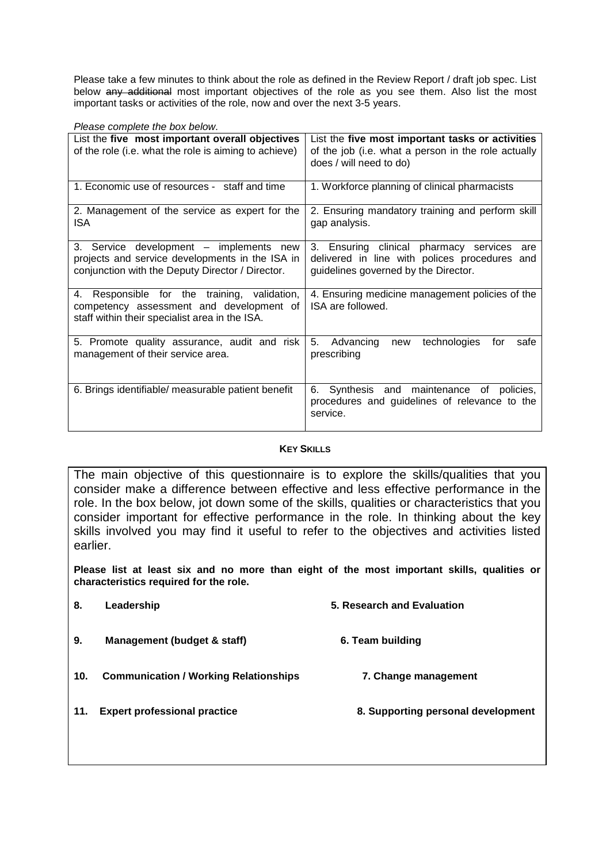Please take a few minutes to think about the role as defined in the Review Report / draft job spec. List below any additional most important objectives of the role as you see them. Also list the most important tasks or activities of the role, now and over the next 3-5 years.

| Please complete the box below.                                                                                                                 |                                                                                                                                        |  |
|------------------------------------------------------------------------------------------------------------------------------------------------|----------------------------------------------------------------------------------------------------------------------------------------|--|
| List the five most important overall objectives<br>of the role (i.e. what the role is aiming to achieve)                                       | List the five most important tasks or activities<br>of the job (i.e. what a person in the role actually<br>does / will need to do)     |  |
| 1. Economic use of resources - staff and time                                                                                                  | 1. Workforce planning of clinical pharmacists                                                                                          |  |
| 2. Management of the service as expert for the<br>ISA                                                                                          | 2. Ensuring mandatory training and perform skill<br>gap analysis.                                                                      |  |
| 3. Service development - implements new<br>projects and service developments in the ISA in<br>conjunction with the Deputy Director / Director. | 3. Ensuring clinical pharmacy services<br>are<br>delivered in line with polices procedures and<br>guidelines governed by the Director. |  |
| Responsible for the training, validation,<br>4.<br>competency assessment and development of<br>staff within their specialist area in the ISA.  | 4. Ensuring medicine management policies of the<br>ISA are followed.                                                                   |  |
| 5. Promote quality assurance, audit and risk<br>management of their service area.                                                              | 5.<br>technologies<br>Advancing<br>safe<br>for<br>new<br>prescribing                                                                   |  |
| 6. Brings identifiable/ measurable patient benefit                                                                                             | 6. Synthesis and maintenance of policies,<br>procedures and guidelines of relevance to the<br>service.                                 |  |

# **KEY SKILLS**

The main objective of this questionnaire is to explore the skills/qualities that you consider make a difference between effective and less effective performance in the role. In the box below, jot down some of the skills, qualities or characteristics that you consider important for effective performance in the role. In thinking about the key skills involved you may find it useful to refer to the objectives and activities listed earlier.

**Please list at least six and no more than eight of the most important skills, qualities or characteristics required for the role.** 

| 8.  | Leadership                                   | 5. Research and Evaluation         |
|-----|----------------------------------------------|------------------------------------|
| 9.  | Management (budget & staff)                  | 6. Team building                   |
| 10. | <b>Communication / Working Relationships</b> | 7. Change management               |
| 11. | <b>Expert professional practice</b>          | 8. Supporting personal development |
|     |                                              |                                    |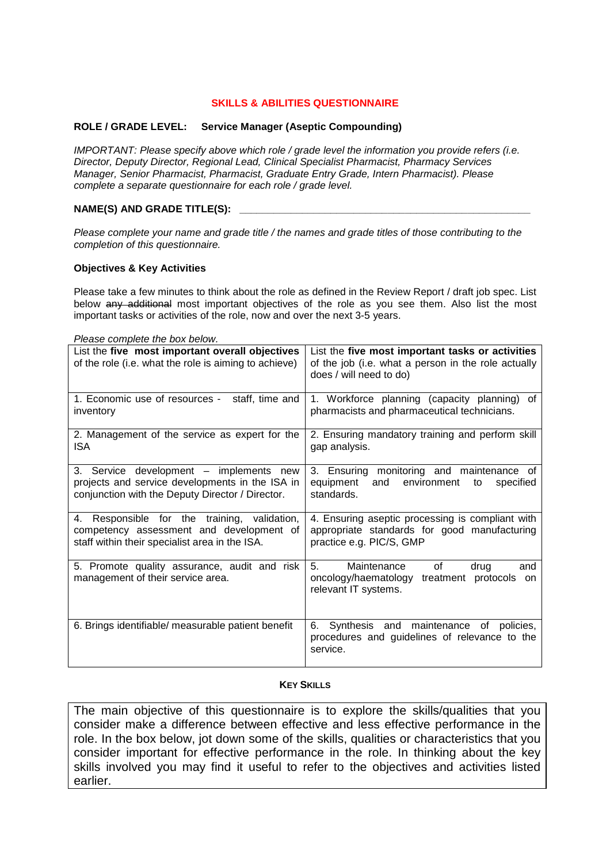# **SKILLS & ABILITIES QUESTIONNAIRE**

#### **ROLE / GRADE LEVEL: Service Manager (Aseptic Compounding)**

IMPORTANT: Please specify above which role / grade level the information you provide refers (i.e. Director, Deputy Director, Regional Lead, Clinical Specialist Pharmacist, Pharmacy Services Manager, Senior Pharmacist, Pharmacist, Graduate Entry Grade, Intern Pharmacist). Please complete a separate questionnaire for each role / grade level.

#### **NAME(S) AND GRADE TITLE(S):**

Please complete your name and grade title / the names and grade titles of those contributing to the completion of this questionnaire.

#### **Objectives & Key Activities**

Please take a few minutes to think about the role as defined in the Review Report / draft job spec. List below any additional most important objectives of the role as you see them. Also list the most important tasks or activities of the role, now and over the next 3-5 years.

| Please complete the box below.                                                                                                                 |                                                                                                                                    |  |
|------------------------------------------------------------------------------------------------------------------------------------------------|------------------------------------------------------------------------------------------------------------------------------------|--|
| List the five most important overall objectives<br>of the role (i.e. what the role is aiming to achieve)                                       | List the five most important tasks or activities<br>of the job (i.e. what a person in the role actually<br>does / will need to do) |  |
| 1. Economic use of resources -<br>staff, time and<br>inventory                                                                                 | 1. Workforce planning (capacity planning)<br>0f<br>pharmacists and pharmaceutical technicians.                                     |  |
| 2. Management of the service as expert for the<br>ISA                                                                                          | 2. Ensuring mandatory training and perform skill<br>gap analysis.                                                                  |  |
| 3. Service development - implements new<br>projects and service developments in the ISA in<br>conjunction with the Deputy Director / Director. | 3. Ensuring monitoring and maintenance of<br>equipment<br>and<br>environment<br>specified<br>to<br>standards.                      |  |
| 4. Responsible for the training, validation,<br>competency assessment and development of<br>staff within their specialist area in the ISA.     | 4. Ensuring aseptic processing is compliant with<br>appropriate standards for good manufacturing<br>practice e.g. PIC/S, GMP       |  |
| 5. Promote quality assurance, audit and risk<br>management of their service area.                                                              | 5.<br>Maintenance<br>0f<br>drug<br>and<br>oncology/haematology<br>treatment protocols on<br>relevant IT systems.                   |  |
| 6. Brings identifiable/ measurable patient benefit                                                                                             | 6. Synthesis and maintenance of policies,<br>procedures and guidelines of relevance to the<br>service.                             |  |

#### **KEY SKILLS**

The main objective of this questionnaire is to explore the skills/qualities that you consider make a difference between effective and less effective performance in the role. In the box below, jot down some of the skills, qualities or characteristics that you consider important for effective performance in the role. In thinking about the key skills involved you may find it useful to refer to the objectives and activities listed earlier.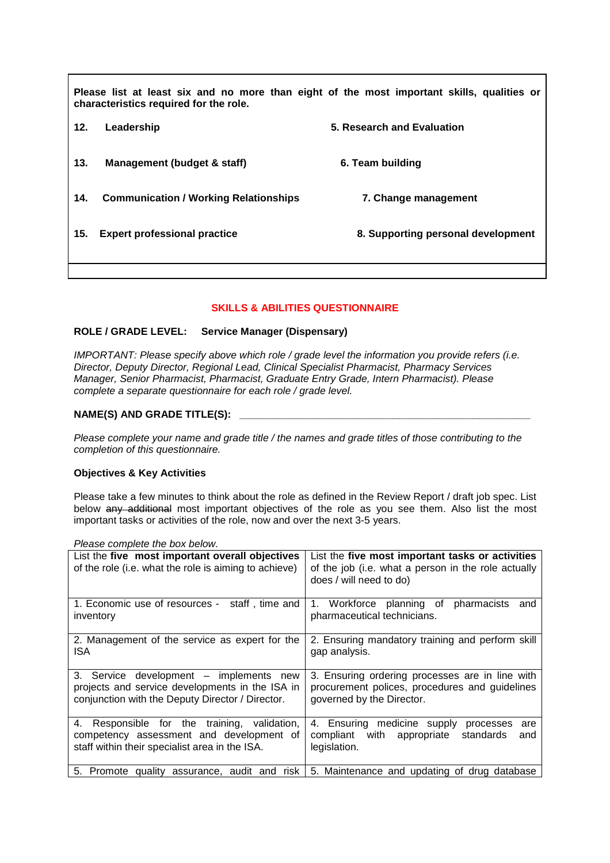**Please list at least six and no more than eight of the most important skills, qualities or characteristics required for the role. 12. Leadership 5. Research and Evaluation 13. Management (budget & staff) 6. Team building 14. Communication / Working Relationships 7. Change management 15. Expert professional practice 8. Supporting personal development** 

# **SKILLS & ABILITIES QUESTIONNAIRE**

# **ROLE / GRADE LEVEL: Service Manager (Dispensary)**

IMPORTANT: Please specify above which role / grade level the information you provide refers (i.e. Director, Deputy Director, Regional Lead, Clinical Specialist Pharmacist, Pharmacy Services Manager, Senior Pharmacist, Pharmacist, Graduate Entry Grade, Intern Pharmacist). Please complete a separate questionnaire for each role / grade level.

# **NAME(S) AND GRADE TITLE(S): \_\_\_\_\_\_\_\_\_\_\_\_\_\_\_\_\_\_\_\_\_\_\_\_\_\_\_\_\_\_\_\_\_\_\_\_\_\_\_\_\_\_\_\_\_\_\_\_\_\_\_**

Please complete your name and grade title / the names and grade titles of those contributing to the completion of this questionnaire.

# **Objectives & Key Activities**

Please take a few minutes to think about the role as defined in the Review Report / draft job spec. List below any additional most important objectives of the role as you see them. Also list the most important tasks or activities of the role, now and over the next 3-5 years.

| List the five most important overall objectives<br>of the role (i.e. what the role is aiming to achieve)                                       | List the five most important tasks or activities<br>of the job (i.e. what a person in the role actually                        |
|------------------------------------------------------------------------------------------------------------------------------------------------|--------------------------------------------------------------------------------------------------------------------------------|
|                                                                                                                                                | does / will need to do)                                                                                                        |
| 1. Economic use of resources - staff, time and<br>inventory                                                                                    | 1. Workforce planning of pharmacists<br>and<br>pharmaceutical technicians.                                                     |
| 2. Management of the service as expert for the<br>ISA                                                                                          | 2. Ensuring mandatory training and perform skill<br>gap analysis.                                                              |
| 3. Service development – implements new<br>projects and service developments in the ISA in<br>conjunction with the Deputy Director / Director. | 3. Ensuring ordering processes are in line with<br>procurement polices, procedures and guidelines<br>governed by the Director. |
| 4. Responsible for the training, validation,<br>competency assessment and development of<br>staff within their specialist area in the ISA.     | 4. Ensuring medicine supply<br>processes<br>are<br>compliant with appropriate<br>standards<br>and<br>legislation.              |
| 5. Promote quality assurance, audit and risk                                                                                                   | 5. Maintenance and updating of drug database                                                                                   |

Please complete the box below.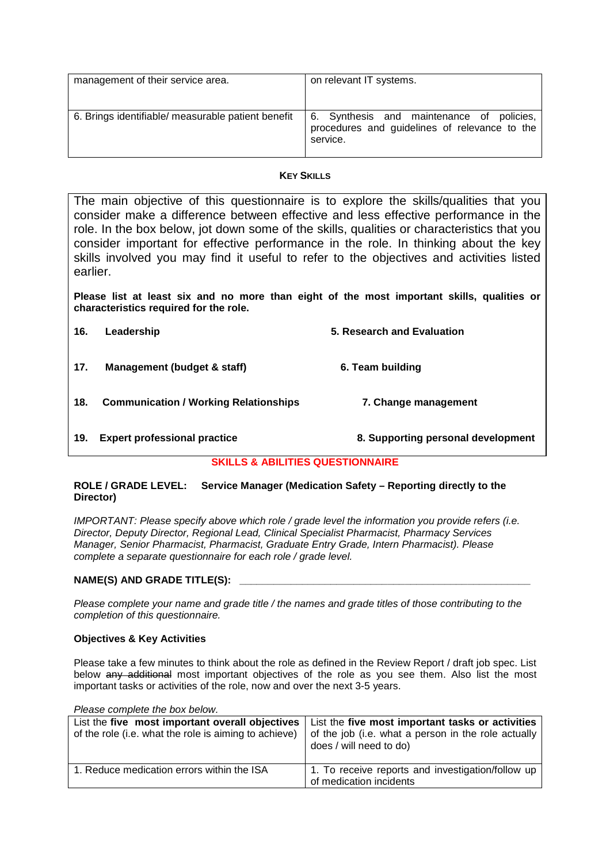| management of their service area.                  | on relevant IT systems.                                                                                |
|----------------------------------------------------|--------------------------------------------------------------------------------------------------------|
| 6. Brings identifiable/ measurable patient benefit | 6. Synthesis and maintenance of policies,<br>procedures and guidelines of relevance to the<br>service. |

#### **KEY SKILLS**

The main objective of this questionnaire is to explore the skills/qualities that you consider make a difference between effective and less effective performance in the role. In the box below, jot down some of the skills, qualities or characteristics that you consider important for effective performance in the role. In thinking about the key skills involved you may find it useful to refer to the objectives and activities listed earlier.

**Please list at least six and no more than eight of the most important skills, qualities or characteristics required for the role.** 

| 16. | Leadership                                   | 5. Research and Evaluation         |
|-----|----------------------------------------------|------------------------------------|
| 17. | Management (budget & staff)                  | 6. Team building                   |
| 18. | <b>Communication / Working Relationships</b> | 7. Change management               |
| 19. | <b>Expert professional practice</b>          | 8. Supporting personal development |

# **SKILLS & ABILITIES QUESTIONNAIRE**

#### **ROLE / GRADE LEVEL: Service Manager (Medication Safety – Reporting directly to the Director)**

IMPORTANT: Please specify above which role / grade level the information you provide refers (i.e. Director, Deputy Director, Regional Lead, Clinical Specialist Pharmacist, Pharmacy Services Manager, Senior Pharmacist, Pharmacist, Graduate Entry Grade, Intern Pharmacist). Please complete a separate questionnaire for each role / grade level.

# **NAME(S) AND GRADE TITLE(S):**

Please complete your name and grade title / the names and grade titles of those contributing to the completion of this questionnaire.

#### **Objectives & Key Activities**

Please take a few minutes to think about the role as defined in the Review Report / draft job spec. List below any additional most important objectives of the role as you see them. Also list the most important tasks or activities of the role, now and over the next 3-5 years.

Please complete the box below.

| List the five most important overall objectives<br>of the role (i.e. what the role is aiming to achieve) | List the five most important tasks or activities<br>of the job (i.e. what a person in the role actually<br>does / will need to do) |
|----------------------------------------------------------------------------------------------------------|------------------------------------------------------------------------------------------------------------------------------------|
| 1. Reduce medication errors within the ISA                                                               | 1. To receive reports and investigation/follow up<br>of medication incidents                                                       |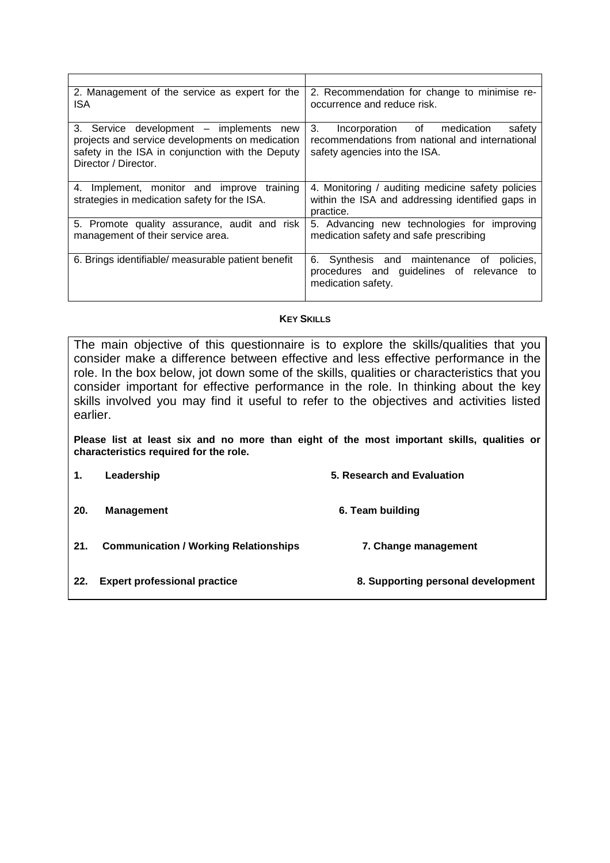| 2. Management of the service as expert for the<br>ISA                                                                                                                  | 2. Recommendation for change to minimise re-<br>occurrence and reduce risk.                                                     |
|------------------------------------------------------------------------------------------------------------------------------------------------------------------------|---------------------------------------------------------------------------------------------------------------------------------|
| 3. Service development - implements new<br>projects and service developments on medication<br>safety in the ISA in conjunction with the Deputy<br>Director / Director. | 3.<br>Incorporation of medication<br>safety<br>recommendations from national and international<br>safety agencies into the ISA. |
| 4. Implement, monitor and improve training<br>strategies in medication safety for the ISA.                                                                             | 4. Monitoring / auditing medicine safety policies<br>within the ISA and addressing identified gaps in<br>practice.              |
| 5. Promote quality assurance, audit and risk<br>management of their service area.                                                                                      | 5. Advancing new technologies for improving<br>medication safety and safe prescribing                                           |
| 6. Brings identifiable/ measurable patient benefit                                                                                                                     | 6. Synthesis and maintenance of policies,<br>procedures and guidelines of relevance to<br>medication safety.                    |

# **KEY SKILLS**

The main objective of this questionnaire is to explore the skills/qualities that you consider make a difference between effective and less effective performance in the role. In the box below, jot down some of the skills, qualities or characteristics that you consider important for effective performance in the role. In thinking about the key skills involved you may find it useful to refer to the objectives and activities listed earlier.

**Please list at least six and no more than eight of the most important skills, qualities or characteristics required for the role.** 

| 1.  | Leadership                                   | 5. Research and Evaluation         |
|-----|----------------------------------------------|------------------------------------|
| 20. | <b>Management</b>                            | 6. Team building                   |
| 21. | <b>Communication / Working Relationships</b> | 7. Change management               |
| 22. | <b>Expert professional practice</b>          | 8. Supporting personal development |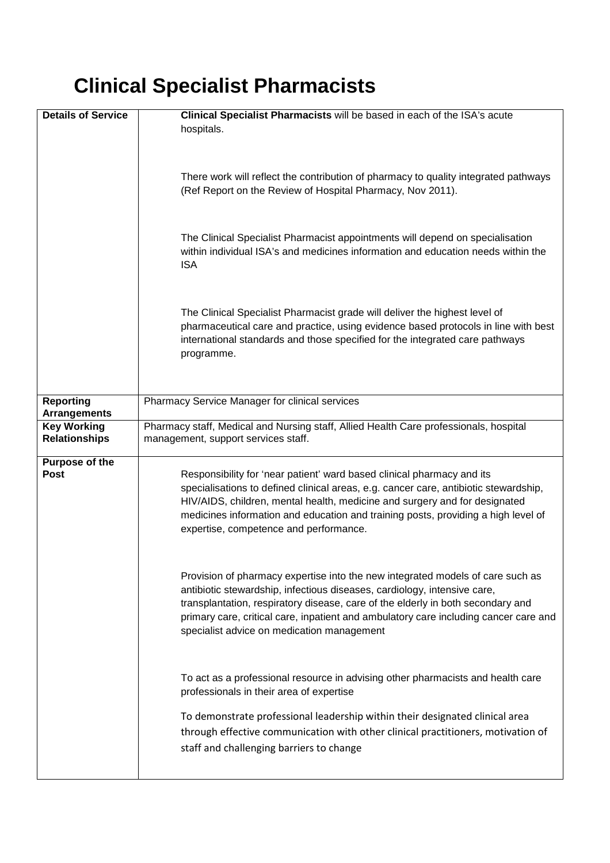# **Clinical Specialist Pharmacists**

| <b>Details of Service</b>                                                                                                                                                                                                                                                                                                                                                                                    | Clinical Specialist Pharmacists will be based in each of the ISA's acute<br>hospitals.                                                                                                                                                                                                                                                                                              |  |
|--------------------------------------------------------------------------------------------------------------------------------------------------------------------------------------------------------------------------------------------------------------------------------------------------------------------------------------------------------------------------------------------------------------|-------------------------------------------------------------------------------------------------------------------------------------------------------------------------------------------------------------------------------------------------------------------------------------------------------------------------------------------------------------------------------------|--|
|                                                                                                                                                                                                                                                                                                                                                                                                              | There work will reflect the contribution of pharmacy to quality integrated pathways<br>(Ref Report on the Review of Hospital Pharmacy, Nov 2011).                                                                                                                                                                                                                                   |  |
|                                                                                                                                                                                                                                                                                                                                                                                                              | The Clinical Specialist Pharmacist appointments will depend on specialisation<br>within individual ISA's and medicines information and education needs within the<br><b>ISA</b>                                                                                                                                                                                                     |  |
|                                                                                                                                                                                                                                                                                                                                                                                                              | The Clinical Specialist Pharmacist grade will deliver the highest level of<br>pharmaceutical care and practice, using evidence based protocols in line with best<br>international standards and those specified for the integrated care pathways<br>programme.                                                                                                                      |  |
| <b>Reporting</b><br><b>Arrangements</b>                                                                                                                                                                                                                                                                                                                                                                      | Pharmacy Service Manager for clinical services                                                                                                                                                                                                                                                                                                                                      |  |
| <b>Key Working</b><br><b>Relationships</b>                                                                                                                                                                                                                                                                                                                                                                   | Pharmacy staff, Medical and Nursing staff, Allied Health Care professionals, hospital<br>management, support services staff.                                                                                                                                                                                                                                                        |  |
| Purpose of the<br><b>Post</b><br>Responsibility for 'near patient' ward based clinical pharmacy and its<br>specialisations to defined clinical areas, e.g. cancer care, antibiotic stewardship,<br>HIV/AIDS, children, mental health, medicine and surgery and for designated<br>medicines information and education and training posts, providing a high level of<br>expertise, competence and performance. |                                                                                                                                                                                                                                                                                                                                                                                     |  |
|                                                                                                                                                                                                                                                                                                                                                                                                              | Provision of pharmacy expertise into the new integrated models of care such as<br>antibiotic stewardship, infectious diseases, cardiology, intensive care,<br>transplantation, respiratory disease, care of the elderly in both secondary and<br>primary care, critical care, inpatient and ambulatory care including cancer care and<br>specialist advice on medication management |  |
|                                                                                                                                                                                                                                                                                                                                                                                                              | To act as a professional resource in advising other pharmacists and health care<br>professionals in their area of expertise                                                                                                                                                                                                                                                         |  |
|                                                                                                                                                                                                                                                                                                                                                                                                              | To demonstrate professional leadership within their designated clinical area<br>through effective communication with other clinical practitioners, motivation of<br>staff and challenging barriers to change                                                                                                                                                                        |  |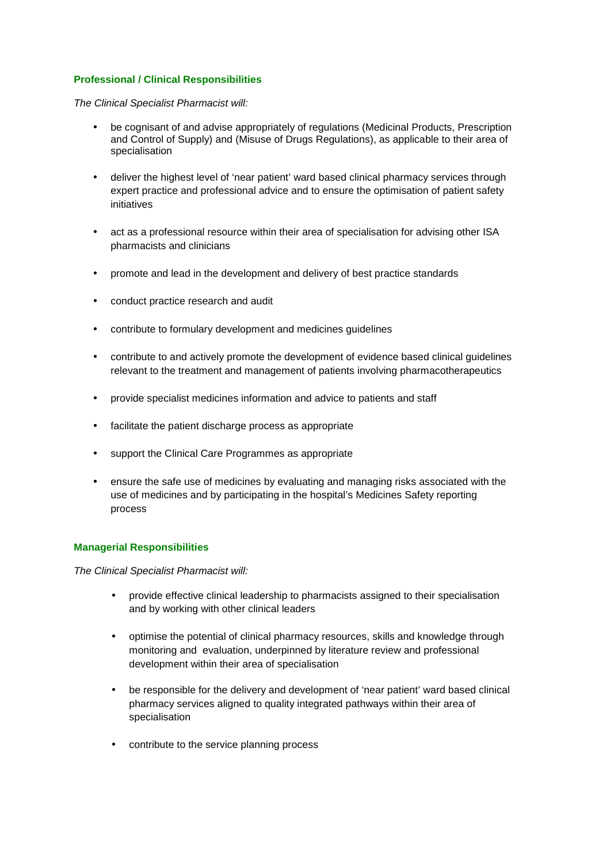# **Professional / Clinical Responsibilities**

#### The Clinical Specialist Pharmacist will:

- be cognisant of and advise appropriately of regulations (Medicinal Products, Prescription and Control of Supply) and (Misuse of Drugs Regulations), as applicable to their area of specialisation
- deliver the highest level of 'near patient' ward based clinical pharmacy services through expert practice and professional advice and to ensure the optimisation of patient safety initiatives
- act as a professional resource within their area of specialisation for advising other ISA pharmacists and clinicians
- promote and lead in the development and delivery of best practice standards
- conduct practice research and audit
- contribute to formulary development and medicines guidelines
- contribute to and actively promote the development of evidence based clinical guidelines relevant to the treatment and management of patients involving pharmacotherapeutics
- provide specialist medicines information and advice to patients and staff
- facilitate the patient discharge process as appropriate
- support the Clinical Care Programmes as appropriate
- ensure the safe use of medicines by evaluating and managing risks associated with the use of medicines and by participating in the hospital's Medicines Safety reporting process

#### **Managerial Responsibilities**

The Clinical Specialist Pharmacist will:

- provide effective clinical leadership to pharmacists assigned to their specialisation and by working with other clinical leaders
- optimise the potential of clinical pharmacy resources, skills and knowledge through monitoring and evaluation, underpinned by literature review and professional development within their area of specialisation
- be responsible for the delivery and development of 'near patient' ward based clinical pharmacy services aligned to quality integrated pathways within their area of specialisation
- contribute to the service planning process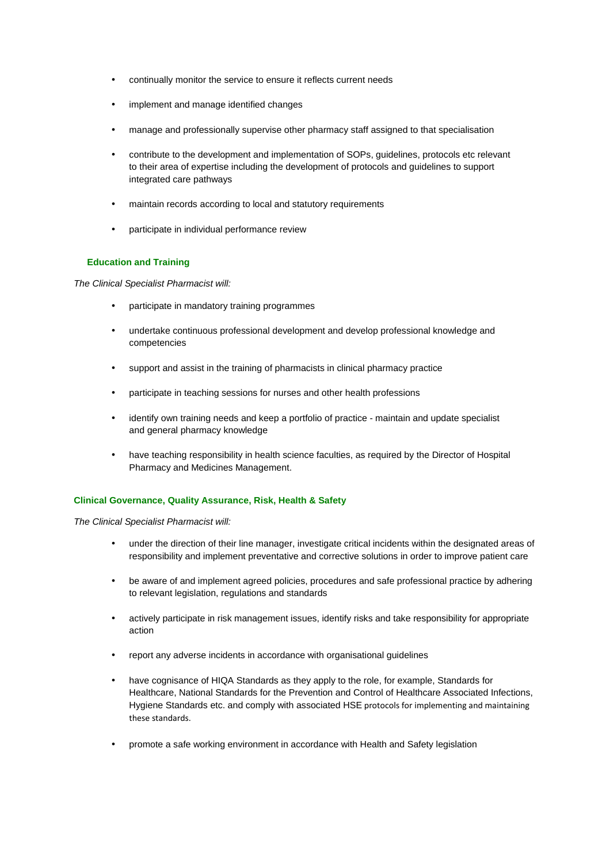- continually monitor the service to ensure it reflects current needs
- implement and manage identified changes
- manage and professionally supervise other pharmacy staff assigned to that specialisation
- contribute to the development and implementation of SOPs, guidelines, protocols etc relevant to their area of expertise including the development of protocols and guidelines to support integrated care pathways
- maintain records according to local and statutory requirements
- participate in individual performance review

#### **Education and Training**

The Clinical Specialist Pharmacist will:

- participate in mandatory training programmes
- undertake continuous professional development and develop professional knowledge and competencies
- support and assist in the training of pharmacists in clinical pharmacy practice
- participate in teaching sessions for nurses and other health professions
- identify own training needs and keep a portfolio of practice maintain and update specialist and general pharmacy knowledge
- have teaching responsibility in health science faculties, as required by the Director of Hospital Pharmacy and Medicines Management.

#### **Clinical Governance, Quality Assurance, Risk, Health & Safety**

The Clinical Specialist Pharmacist will:

- under the direction of their line manager, investigate critical incidents within the designated areas of responsibility and implement preventative and corrective solutions in order to improve patient care
- be aware of and implement agreed policies, procedures and safe professional practice by adhering to relevant legislation, regulations and standards
- actively participate in risk management issues, identify risks and take responsibility for appropriate action
- report any adverse incidents in accordance with organisational guidelines
- have cognisance of HIQA Standards as they apply to the role, for example, Standards for Healthcare, National Standards for the Prevention and Control of Healthcare Associated Infections, Hygiene Standards etc. and comply with associated HSE protocols for implementing and maintaining these standards.
- promote a safe working environment in accordance with Health and Safety legislation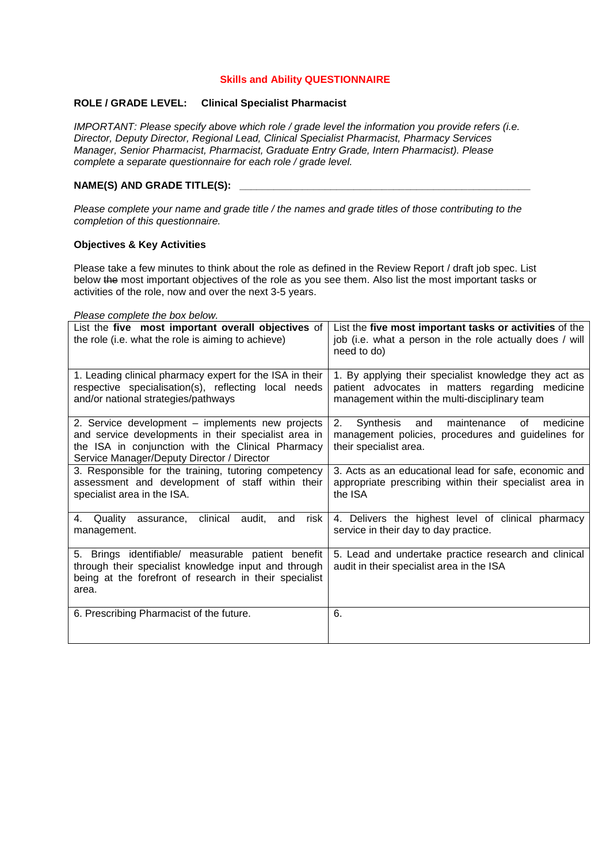#### **Skills and Ability QUESTIONNAIRE**

#### **ROLE / GRADE LEVEL: Clinical Specialist Pharmacist**

IMPORTANT: Please specify above which role / grade level the information you provide refers (i.e. Director, Deputy Director, Regional Lead, Clinical Specialist Pharmacist, Pharmacy Services Manager, Senior Pharmacist, Pharmacist, Graduate Entry Grade, Intern Pharmacist). Please complete a separate questionnaire for each role / grade level.

# NAME(S) AND GRADE TITLE(S):

Please complete your name and grade title / the names and grade titles of those contributing to the completion of this questionnaire.

#### **Objectives & Key Activities**

Please take a few minutes to think about the role as defined in the Review Report / draft job spec. List below the most important objectives of the role as you see them. Also list the most important tasks or activities of the role, now and over the next 3-5 years.

#### Please complete the box below.

| List the five most important overall objectives of<br>the role (i.e. what the role is aiming to achieve)                                                                                                    | List the five most important tasks or activities of the<br>job (i.e. what a person in the role actually does / will<br>need to do)                        |
|-------------------------------------------------------------------------------------------------------------------------------------------------------------------------------------------------------------|-----------------------------------------------------------------------------------------------------------------------------------------------------------|
| 1. Leading clinical pharmacy expert for the ISA in their<br>respective specialisation(s), reflecting local needs<br>and/or national strategies/pathways                                                     | 1. By applying their specialist knowledge they act as<br>patient advocates in matters regarding medicine<br>management within the multi-disciplinary team |
| 2. Service development - implements new projects<br>and service developments in their specialist area in<br>the ISA in conjunction with the Clinical Pharmacy<br>Service Manager/Deputy Director / Director | medicine<br>2. Synthesis<br>and<br>maintenance<br>of<br>management policies, procedures and guidelines for<br>their specialist area.                      |
| 3. Responsible for the training, tutoring competency<br>assessment and development of staff within their<br>specialist area in the ISA.                                                                     | 3. Acts as an educational lead for safe, economic and<br>appropriate prescribing within their specialist area in<br>the ISA                               |
| clinical<br>risk<br>audit.<br>and<br>4.<br>Quality<br>assurance,<br>management.                                                                                                                             | 4. Delivers the highest level of clinical pharmacy<br>service in their day to day practice.                                                               |
| 5. Brings identifiable/ measurable patient benefit<br>through their specialist knowledge input and through<br>being at the forefront of research in their specialist<br>area.                               | 5. Lead and undertake practice research and clinical<br>audit in their specialist area in the ISA                                                         |
| 6. Prescribing Pharmacist of the future.                                                                                                                                                                    | 6.                                                                                                                                                        |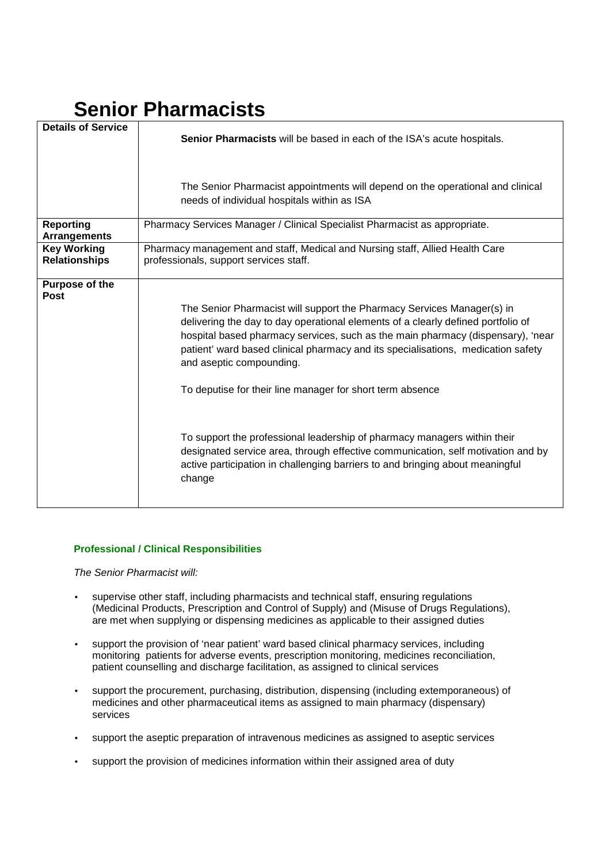# **Senior Pharmacists**

| <b>Details of Service</b>                  | Senior Pharmacists will be based in each of the ISA's acute hospitals.                                                                                                                                                                                                                                                                                                                                                                                                                                                                                                                                                                                                                |  |
|--------------------------------------------|---------------------------------------------------------------------------------------------------------------------------------------------------------------------------------------------------------------------------------------------------------------------------------------------------------------------------------------------------------------------------------------------------------------------------------------------------------------------------------------------------------------------------------------------------------------------------------------------------------------------------------------------------------------------------------------|--|
|                                            |                                                                                                                                                                                                                                                                                                                                                                                                                                                                                                                                                                                                                                                                                       |  |
|                                            | The Senior Pharmacist appointments will depend on the operational and clinical<br>needs of individual hospitals within as ISA                                                                                                                                                                                                                                                                                                                                                                                                                                                                                                                                                         |  |
| Reporting<br><b>Arrangements</b>           | Pharmacy Services Manager / Clinical Specialist Pharmacist as appropriate.                                                                                                                                                                                                                                                                                                                                                                                                                                                                                                                                                                                                            |  |
| <b>Key Working</b><br><b>Relationships</b> | Pharmacy management and staff, Medical and Nursing staff, Allied Health Care<br>professionals, support services staff.                                                                                                                                                                                                                                                                                                                                                                                                                                                                                                                                                                |  |
| Purpose of the<br><b>Post</b>              | The Senior Pharmacist will support the Pharmacy Services Manager(s) in<br>delivering the day to day operational elements of a clearly defined portfolio of<br>hospital based pharmacy services, such as the main pharmacy (dispensary), 'near<br>patient' ward based clinical pharmacy and its specialisations, medication safety<br>and aseptic compounding.<br>To deputise for their line manager for short term absence<br>To support the professional leadership of pharmacy managers within their<br>designated service area, through effective communication, self motivation and by<br>active participation in challenging barriers to and bringing about meaningful<br>change |  |

# **Professional / Clinical Responsibilities**

The Senior Pharmacist will:

- supervise other staff, including pharmacists and technical staff, ensuring regulations (Medicinal Products, Prescription and Control of Supply) and (Misuse of Drugs Regulations), are met when supplying or dispensing medicines as applicable to their assigned duties
- support the provision of 'near patient' ward based clinical pharmacy services, including monitoring patients for adverse events, prescription monitoring, medicines reconciliation, patient counselling and discharge facilitation, as assigned to clinical services
- support the procurement, purchasing, distribution, dispensing (including extemporaneous) of medicines and other pharmaceutical items as assigned to main pharmacy (dispensary) services
- support the aseptic preparation of intravenous medicines as assigned to aseptic services
- support the provision of medicines information within their assigned area of duty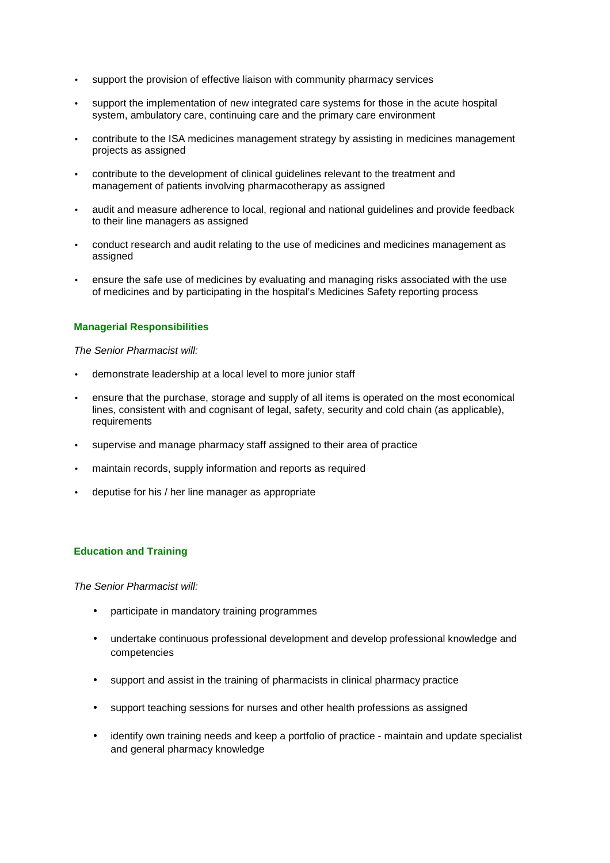- support the provision of effective liaison with community pharmacy services
- support the implementation of new integrated care systems for those in the acute hospital system, ambulatory care, continuing care and the primary care environment
- contribute to the ISA medicines management strategy by assisting in medicines management projects as assigned
- contribute to the development of clinical guidelines relevant to the treatment and management of patients involving pharmacotherapy as assigned
- audit and measure adherence to local, regional and national guidelines and provide feedback to their line managers as assigned
- conduct research and audit relating to the use of medicines and medicines management as assigned
- ensure the safe use of medicines by evaluating and managing risks associated with the use of medicines and by participating in the hospital's Medicines Safety reporting process

# **Managerial Responsibilities**

The Senior Pharmacist will:

- demonstrate leadership at a local level to more junior staff
- ensure that the purchase, storage and supply of all items is operated on the most economical lines, consistent with and cognisant of legal, safety, security and cold chain (as applicable), requirements
- supervise and manage pharmacy staff assigned to their area of practice
- maintain records, supply information and reports as required
- deputise for his / her line manager as appropriate

# **Education and Training**

The Senior Pharmacist will:

- participate in mandatory training programmes
- undertake continuous professional development and develop professional knowledge and competencies
- support and assist in the training of pharmacists in clinical pharmacy practice
- support teaching sessions for nurses and other health professions as assigned
- identify own training needs and keep a portfolio of practice maintain and update specialist and general pharmacy knowledge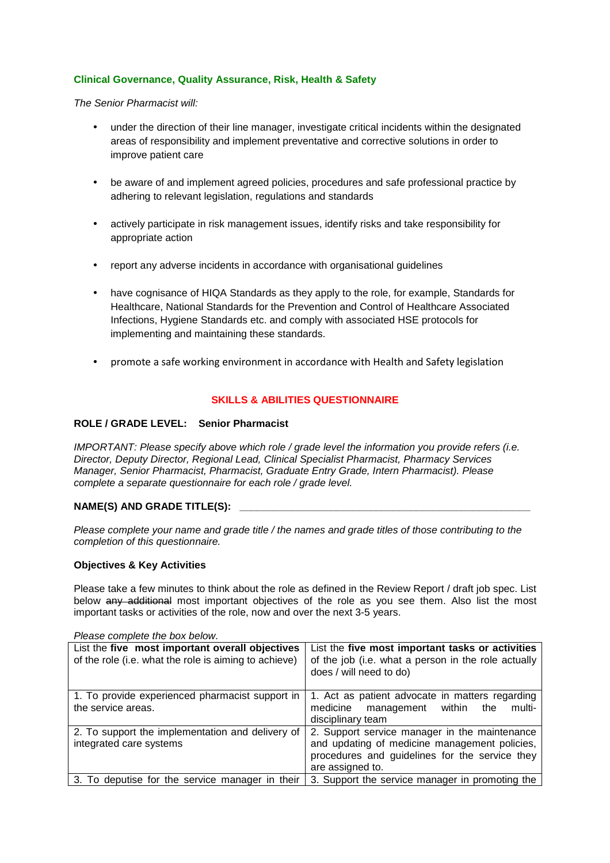# **Clinical Governance, Quality Assurance, Risk, Health & Safety**

The Senior Pharmacist will:

- under the direction of their line manager, investigate critical incidents within the designated areas of responsibility and implement preventative and corrective solutions in order to improve patient care
- be aware of and implement agreed policies, procedures and safe professional practice by adhering to relevant legislation, regulations and standards
- actively participate in risk management issues, identify risks and take responsibility for appropriate action
- report any adverse incidents in accordance with organisational guidelines
- have cognisance of HIQA Standards as they apply to the role, for example, Standards for Healthcare, National Standards for the Prevention and Control of Healthcare Associated Infections, Hygiene Standards etc. and comply with associated HSE protocols for implementing and maintaining these standards.
- promote a safe working environment in accordance with Health and Safety legislation

#### **SKILLS & ABILITIES QUESTIONNAIRE**

#### **ROLE / GRADE LEVEL: Senior Pharmacist**

IMPORTANT: Please specify above which role / grade level the information you provide refers (i.e. Director, Deputy Director, Regional Lead, Clinical Specialist Pharmacist, Pharmacy Services Manager, Senior Pharmacist, Pharmacist, Graduate Entry Grade, Intern Pharmacist). Please complete a separate questionnaire for each role / grade level.

#### **NAME(S) AND GRADE TITLE(S):**

Please complete your name and grade title / the names and grade titles of those contributing to the completion of this questionnaire.

#### **Objectives & Key Activities**

Please take a few minutes to think about the role as defined in the Review Report / draft job spec. List below any additional most important objectives of the role as you see them. Also list the most important tasks or activities of the role, now and over the next 3-5 years.

| Please complete the box below.                        |                                                                                |  |  |
|-------------------------------------------------------|--------------------------------------------------------------------------------|--|--|
| List the five most important overall objectives       | List the five most important tasks or activities                               |  |  |
| of the role (i.e. what the role is aiming to achieve) | of the job (i.e. what a person in the role actually<br>does / will need to do) |  |  |
| 1. To provide experienced pharmacist support in       | 1. Act as patient advocate in matters regarding                                |  |  |
| the service areas.                                    | medicine management within<br>the<br>multi-                                    |  |  |
|                                                       | disciplinary team                                                              |  |  |
| 2. To support the implementation and delivery of      | 2. Support service manager in the maintenance                                  |  |  |
| integrated care systems                               | and updating of medicine management policies,                                  |  |  |
|                                                       | procedures and guidelines for the service they                                 |  |  |
|                                                       | are assigned to.                                                               |  |  |
| 3. To deputise for the service manager in their       | 3. Support the service manager in promoting the                                |  |  |

Please complete the box below.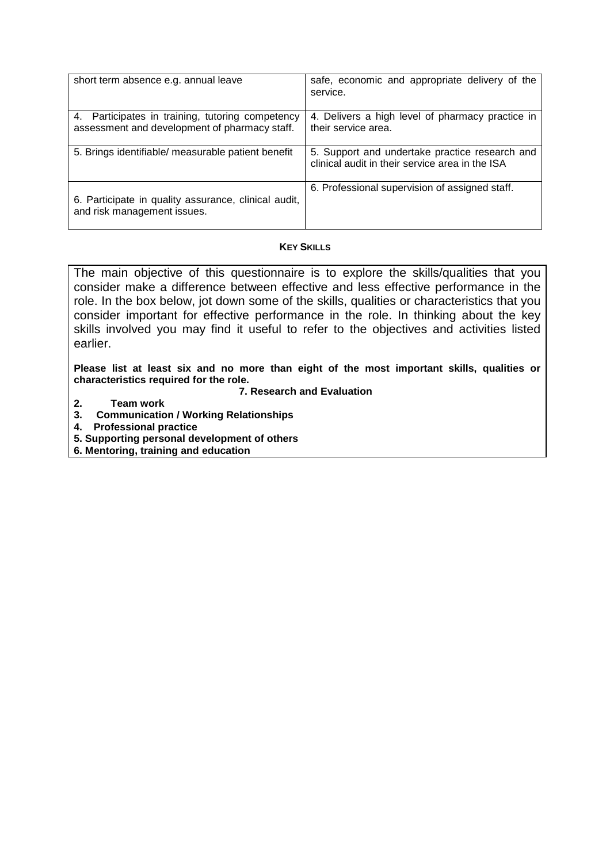| short term absence e.g. annual leave                                                              | safe, economic and appropriate delivery of the<br>service.                                        |
|---------------------------------------------------------------------------------------------------|---------------------------------------------------------------------------------------------------|
| 4. Participates in training, tutoring competency<br>assessment and development of pharmacy staff. | 4. Delivers a high level of pharmacy practice in<br>their service area.                           |
| 5. Brings identifiable/ measurable patient benefit                                                | 5. Support and undertake practice research and<br>clinical audit in their service area in the ISA |
| 6. Participate in quality assurance, clinical audit,<br>and risk management issues.               | 6. Professional supervision of assigned staff.                                                    |

# **KEY SKILLS**

The main objective of this questionnaire is to explore the skills/qualities that you consider make a difference between effective and less effective performance in the role. In the box below, jot down some of the skills, qualities or characteristics that you consider important for effective performance in the role. In thinking about the key skills involved you may find it useful to refer to the objectives and activities listed earlier.

**Please list at least six and no more than eight of the most important skills, qualities or characteristics required for the role.** 

# **7. Research and Evaluation**

- **2. Team work**
- **3. Communication / Working Relationships**
- **4. Professional practice**
- **5. Supporting personal development of others**
- **6. Mentoring, training and education**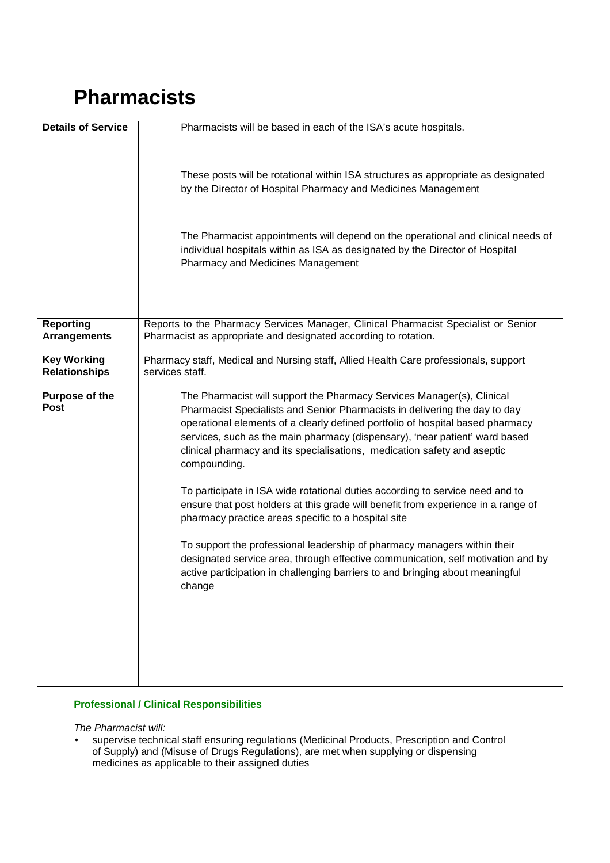# **Pharmacists**

| <b>Details of Service</b>                  | Pharmacists will be based in each of the ISA's acute hospitals.                                                                                                                                                                                                                                                                                                                                                                                                                                                                                                                                                                                                                                                                                                                                                                                                                                           |
|--------------------------------------------|-----------------------------------------------------------------------------------------------------------------------------------------------------------------------------------------------------------------------------------------------------------------------------------------------------------------------------------------------------------------------------------------------------------------------------------------------------------------------------------------------------------------------------------------------------------------------------------------------------------------------------------------------------------------------------------------------------------------------------------------------------------------------------------------------------------------------------------------------------------------------------------------------------------|
|                                            | These posts will be rotational within ISA structures as appropriate as designated<br>by the Director of Hospital Pharmacy and Medicines Management                                                                                                                                                                                                                                                                                                                                                                                                                                                                                                                                                                                                                                                                                                                                                        |
|                                            | The Pharmacist appointments will depend on the operational and clinical needs of<br>individual hospitals within as ISA as designated by the Director of Hospital<br>Pharmacy and Medicines Management                                                                                                                                                                                                                                                                                                                                                                                                                                                                                                                                                                                                                                                                                                     |
| <b>Reporting</b><br><b>Arrangements</b>    | Reports to the Pharmacy Services Manager, Clinical Pharmacist Specialist or Senior<br>Pharmacist as appropriate and designated according to rotation.                                                                                                                                                                                                                                                                                                                                                                                                                                                                                                                                                                                                                                                                                                                                                     |
|                                            |                                                                                                                                                                                                                                                                                                                                                                                                                                                                                                                                                                                                                                                                                                                                                                                                                                                                                                           |
| <b>Key Working</b><br><b>Relationships</b> | Pharmacy staff, Medical and Nursing staff, Allied Health Care professionals, support<br>services staff.                                                                                                                                                                                                                                                                                                                                                                                                                                                                                                                                                                                                                                                                                                                                                                                                   |
| Purpose of the<br><b>Post</b>              | The Pharmacist will support the Pharmacy Services Manager(s), Clinical<br>Pharmacist Specialists and Senior Pharmacists in delivering the day to day<br>operational elements of a clearly defined portfolio of hospital based pharmacy<br>services, such as the main pharmacy (dispensary), 'near patient' ward based<br>clinical pharmacy and its specialisations, medication safety and aseptic<br>compounding.<br>To participate in ISA wide rotational duties according to service need and to<br>ensure that post holders at this grade will benefit from experience in a range of<br>pharmacy practice areas specific to a hospital site<br>To support the professional leadership of pharmacy managers within their<br>designated service area, through effective communication, self motivation and by<br>active participation in challenging barriers to and bringing about meaningful<br>change |

# **Professional / Clinical Responsibilities**

The Pharmacist will:

• supervise technical staff ensuring regulations (Medicinal Products, Prescription and Control of Supply) and (Misuse of Drugs Regulations), are met when supplying or dispensing medicines as applicable to their assigned duties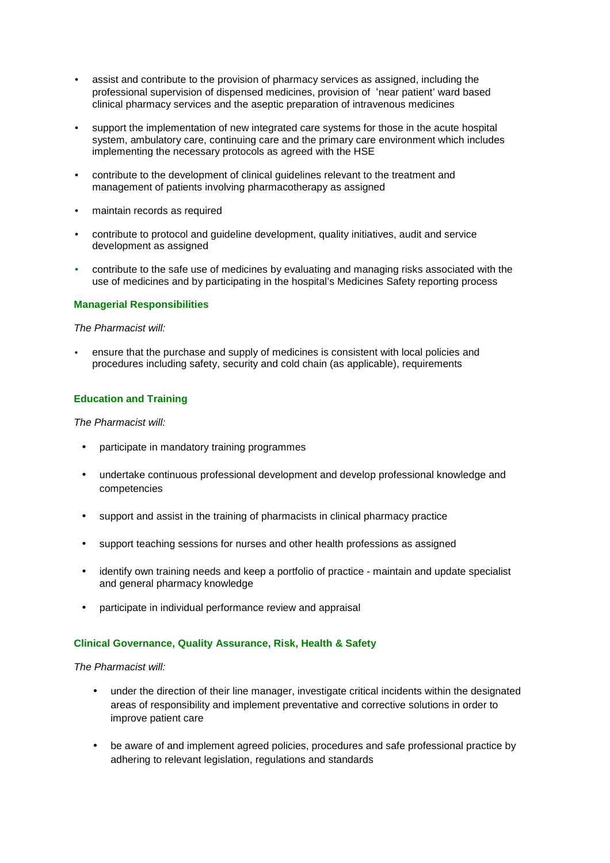- assist and contribute to the provision of pharmacy services as assigned, including the professional supervision of dispensed medicines, provision of 'near patient' ward based clinical pharmacy services and the aseptic preparation of intravenous medicines
- support the implementation of new integrated care systems for those in the acute hospital system, ambulatory care, continuing care and the primary care environment which includes implementing the necessary protocols as agreed with the HSE
- contribute to the development of clinical guidelines relevant to the treatment and management of patients involving pharmacotherapy as assigned
- maintain records as required
- contribute to protocol and guideline development, quality initiatives, audit and service development as assigned
- contribute to the safe use of medicines by evaluating and managing risks associated with the use of medicines and by participating in the hospital's Medicines Safety reporting process

#### **Managerial Responsibilities**

#### The Pharmacist will:

• ensure that the purchase and supply of medicines is consistent with local policies and procedures including safety, security and cold chain (as applicable), requirements

# **Education and Training**

#### The Pharmacist will:

- participate in mandatory training programmes
- undertake continuous professional development and develop professional knowledge and competencies
- support and assist in the training of pharmacists in clinical pharmacy practice
- support teaching sessions for nurses and other health professions as assigned
- identify own training needs and keep a portfolio of practice maintain and update specialist and general pharmacy knowledge
- participate in individual performance review and appraisal

# **Clinical Governance, Quality Assurance, Risk, Health & Safety**

The Pharmacist will:

- under the direction of their line manager, investigate critical incidents within the designated areas of responsibility and implement preventative and corrective solutions in order to improve patient care
- be aware of and implement agreed policies, procedures and safe professional practice by adhering to relevant legislation, regulations and standards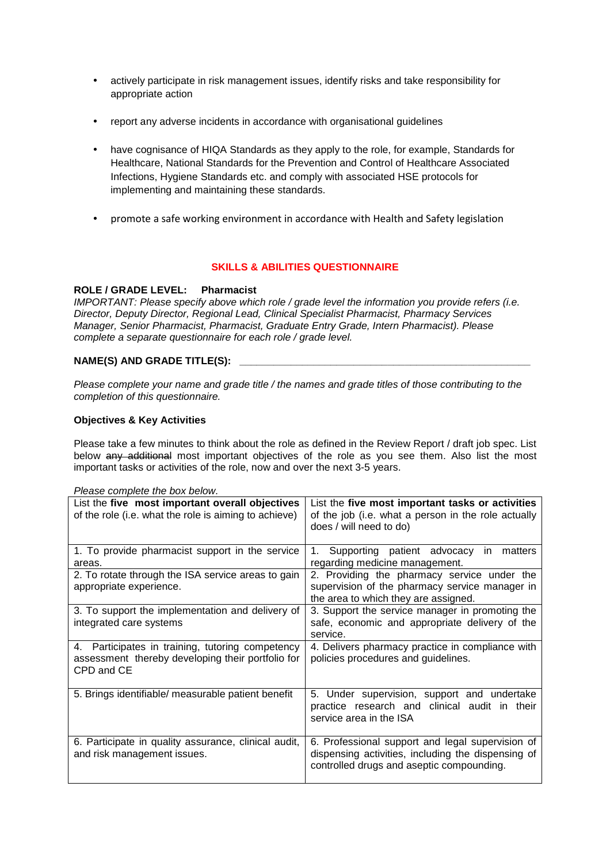- actively participate in risk management issues, identify risks and take responsibility for appropriate action
- report any adverse incidents in accordance with organisational guidelines
- have cognisance of HIQA Standards as they apply to the role, for example, Standards for Healthcare, National Standards for the Prevention and Control of Healthcare Associated Infections, Hygiene Standards etc. and comply with associated HSE protocols for implementing and maintaining these standards.
- promote a safe working environment in accordance with Health and Safety legislation

# **SKILLS & ABILITIES QUESTIONNAIRE**

# **ROLE / GRADE LEVEL: Pharmacist**

IMPORTANT: Please specify above which role / grade level the information you provide refers (i.e. Director, Deputy Director, Regional Lead, Clinical Specialist Pharmacist, Pharmacy Services Manager, Senior Pharmacist, Pharmacist, Graduate Entry Grade, Intern Pharmacist). Please complete a separate questionnaire for each role / grade level.

# NAME(S) AND GRADE TITLE(S):

Please complete your name and grade title / the names and grade titles of those contributing to the completion of this questionnaire.

# **Objectives & Key Activities**

Please take a few minutes to think about the role as defined in the Review Report / draft job spec. List below any additional most important objectives of the role as you see them. Also list the most important tasks or activities of the role, now and over the next 3-5 years.

| riease complete the box below.                            |                                                                                   |  |  |
|-----------------------------------------------------------|-----------------------------------------------------------------------------------|--|--|
| List the five most important overall objectives           | List the five most important tasks or activities                                  |  |  |
| of the role (i.e. what the role is aiming to achieve)     | of the job (i.e. what a person in the role actually                               |  |  |
|                                                           | does / will need to do)                                                           |  |  |
| 1. To provide pharmacist support in the service<br>areas. | Supporting patient advocacy in<br>1.<br>matters<br>regarding medicine management. |  |  |
|                                                           |                                                                                   |  |  |
| 2. To rotate through the ISA service areas to gain        | 2. Providing the pharmacy service under the                                       |  |  |
| appropriate experience.                                   | supervision of the pharmacy service manager in                                    |  |  |
|                                                           | the area to which they are assigned.                                              |  |  |
| 3. To support the implementation and delivery of          | 3. Support the service manager in promoting the                                   |  |  |
| integrated care systems                                   | safe, economic and appropriate delivery of the                                    |  |  |
|                                                           | service.                                                                          |  |  |
| 4. Participates in training, tutoring competency          | 4. Delivers pharmacy practice in compliance with                                  |  |  |
| assessment thereby developing their portfolio for         | policies procedures and guidelines.                                               |  |  |
| CPD and CE                                                |                                                                                   |  |  |
|                                                           |                                                                                   |  |  |
| 5. Brings identifiable/ measurable patient benefit        | 5. Under supervision, support and undertake                                       |  |  |
|                                                           | practice research and clinical audit in their                                     |  |  |
|                                                           | service area in the ISA                                                           |  |  |
|                                                           |                                                                                   |  |  |
| 6. Participate in quality assurance, clinical audit,      | 6. Professional support and legal supervision of                                  |  |  |
| and risk management issues.                               | dispensing activities, including the dispensing of                                |  |  |
|                                                           | controlled drugs and aseptic compounding.                                         |  |  |
|                                                           |                                                                                   |  |  |
|                                                           |                                                                                   |  |  |

Please complete the box below.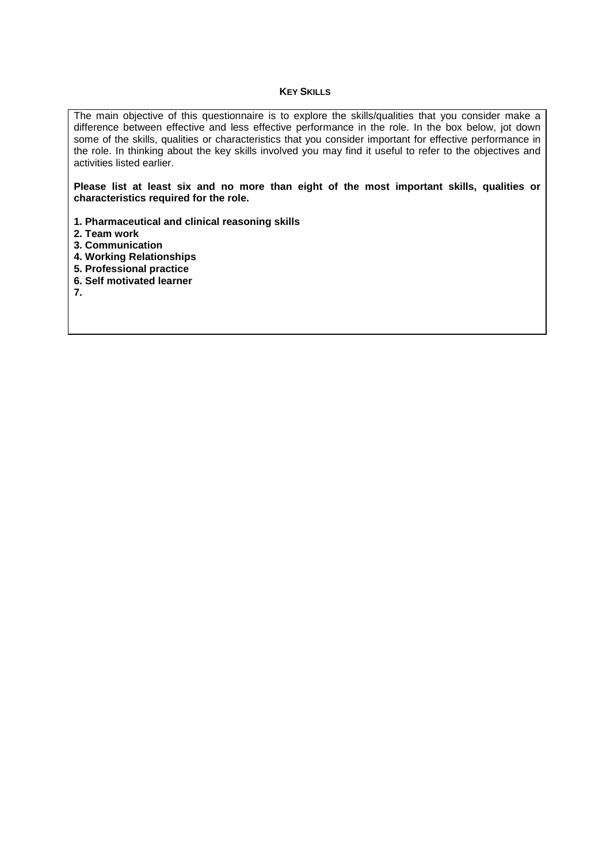#### **KEY SKILLS**

The main objective of this questionnaire is to explore the skills/qualities that you consider make a difference between effective and less effective performance in the role. In the box below, jot down some of the skills, qualities or characteristics that you consider important for effective performance in the role. In thinking about the key skills involved you may find it useful to refer to the objectives and activities listed earlier.

**Please list at least six and no more than eight of the most important skills, qualities or characteristics required for the role.** 

- **1. Pharmaceutical and clinical reasoning skills**
- **2. Team work**
- **3. Communication**
- **4. Working Relationships**
- **5. Professional practice**
- **6. Self motivated learner**
- **7.**